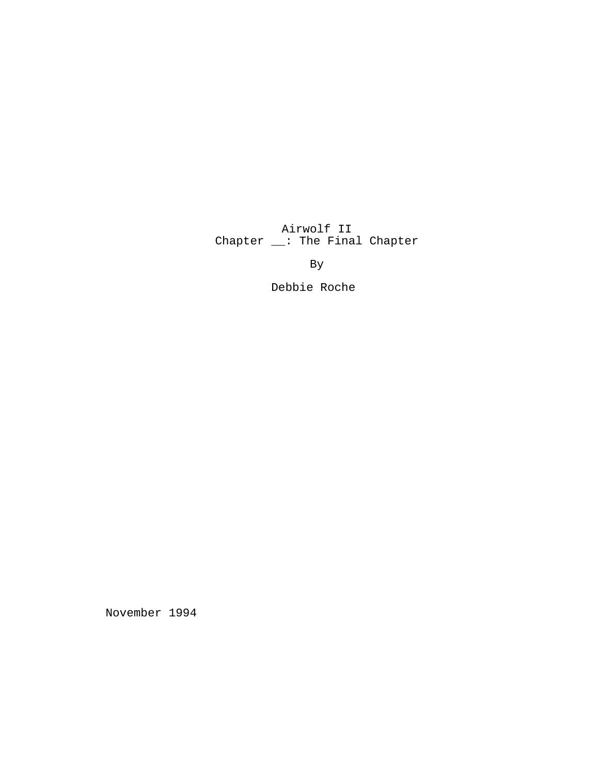Airwolf II Chapter \_\_: The Final Chapter

By

Debbie Roche

November 1994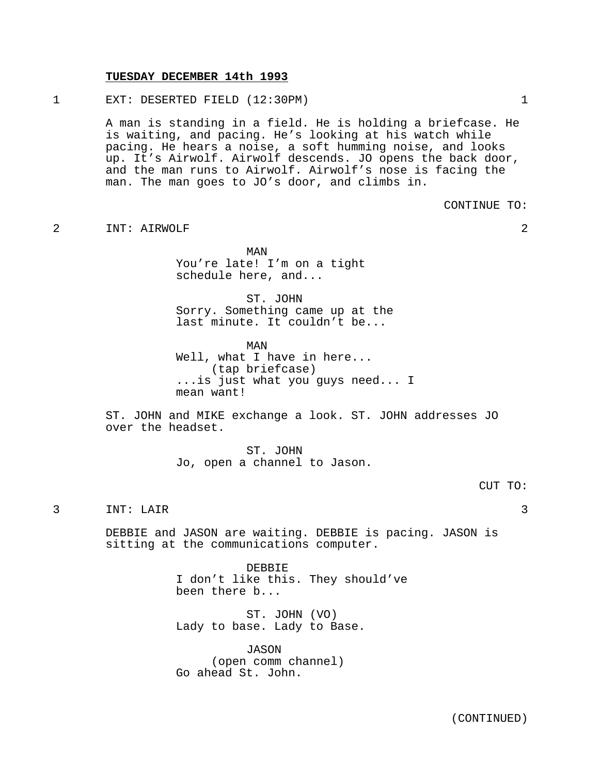#### **TUESDAY DECEMBER 14th 1993**

1 EXT: DESERTED FIELD (12:30PM) 1

A man is standing in a field. He is holding a briefcase. He is waiting, and pacing. He's looking at his watch while pacing. He hears a noise, a soft humming noise, and looks up. It's Airwolf. Airwolf descends. JO opens the back door, and the man runs to Airwolf. Airwolf's nose is facing the man. The man goes to JO's door, and climbs in.

CONTINUE TO:

2 INT: AIRWOLF 2

MAN You're late! I'm on a tight schedule here, and...

ST. JOHN Sorry. Something came up at the last minute. It couldn't be...

MAN Well, what I have in here... (tap briefcase) ...is just what you guys need... I mean want!

ST. JOHN and MIKE exchange a look. ST. JOHN addresses JO over the headset.

> ST. JOHN Jo, open a channel to Jason.

### CUT TO:

# 3 INT: LAIR 3

DEBBIE and JASON are waiting. DEBBIE is pacing. JASON is sitting at the communications computer.

> DEBBIE I don't like this. They should've been there b...

ST. JOHN (VO) Lady to base. Lady to Base.

JASON (open comm channel) Go ahead St. John.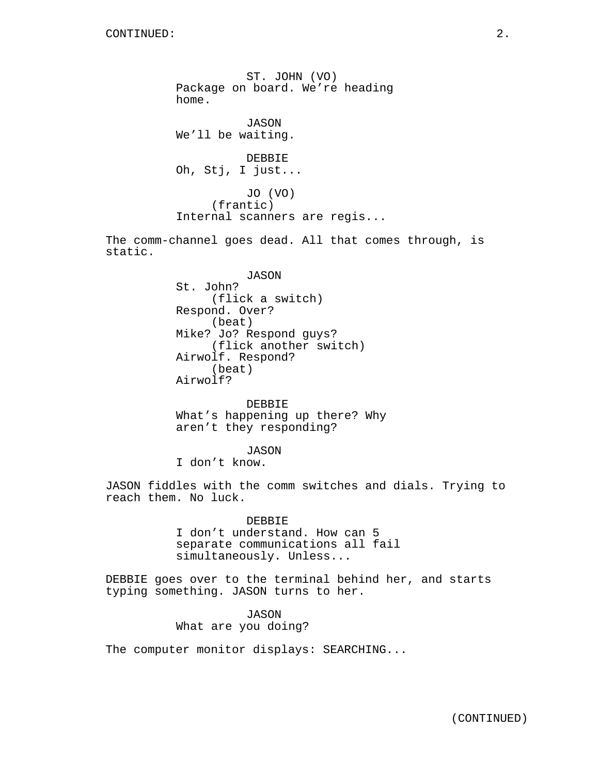ST. JOHN (VO) Package on board. We're heading home. JASON We'll be waiting. DEBBIE Oh, Stj, I just... JO (VO) (frantic) Internal scanners are regis... The comm-channel goes dead. All that comes through, is static.

> JASON St. John? (flick a switch) Respond. Over? (beat) Mike? Jo? Respond guys? (flick another switch) Airwolf. Respond? (beat) Airwolf?

DEBBIE What's happening up there? Why aren't they responding?

JASON I don't know.

JASON fiddles with the comm switches and dials. Trying to reach them. No luck.

> DEBBIE I don't understand. How can 5 separate communications all fail simultaneously. Unless...

DEBBIE goes over to the terminal behind her, and starts typing something. JASON turns to her.

> JASON What are you doing?

The computer monitor displays: SEARCHING...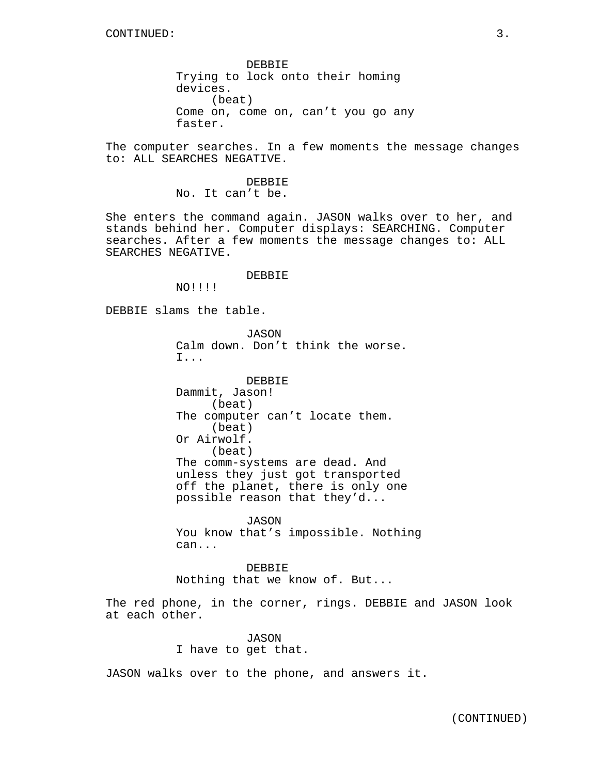DEBBIE Trying to lock onto their homing devices. (beat) Come on, come on, can't you go any faster.

The computer searches. In a few moments the message changes to: ALL SEARCHES NEGATIVE.

> DEBBIE No. It can't be.

She enters the command again. JASON walks over to her, and stands behind her. Computer displays: SEARCHING. Computer searches. After a few moments the message changes to: ALL SEARCHES NEGATIVE.

DEBBIE

NO!!!!

DEBBIE slams the table.

JASON Calm down. Don't think the worse. I...

DEBBIE Dammit, Jason! (beat) The computer can't locate them. (beat) Or Airwolf. (beat) The comm-systems are dead. And unless they just got transported off the planet, there is only one possible reason that they'd...

JASON You know that's impossible. Nothing can...

DEBBIE Nothing that we know of. But...

The red phone, in the corner, rings. DEBBIE and JASON look at each other.

> JASON I have to get that.

JASON walks over to the phone, and answers it.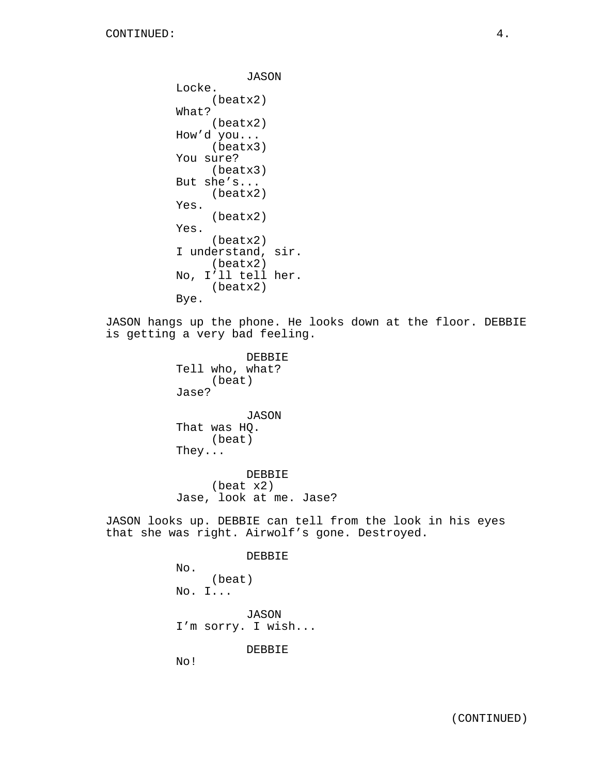```
JASON
Locke.
     (beatx2)
What?
     (beatx2)
How'd you...
     (beatx3)
You sure?
     (beatx3)
But she's...
     (beatx2)
Yes.
     (beatx2)
Yes.
     (beatx2)
I understand, sir.
     (beatx2)
No, I'll tell her.
    (beatx2)
Bye.
```
JASON hangs up the phone. He looks down at the floor. DEBBIE is getting a very bad feeling.

> DEBBIE Tell who, what? (beat) Jase?

JASON That was HQ. (beat) They...

DEBBIE (beat x2) Jase, look at me. Jase?

JASON looks up. DEBBIE can tell from the look in his eyes that she was right. Airwolf's gone. Destroyed.

> DEBBIE No. (beat) No. I... JASON I'm sorry. I wish... DEBBIE

No!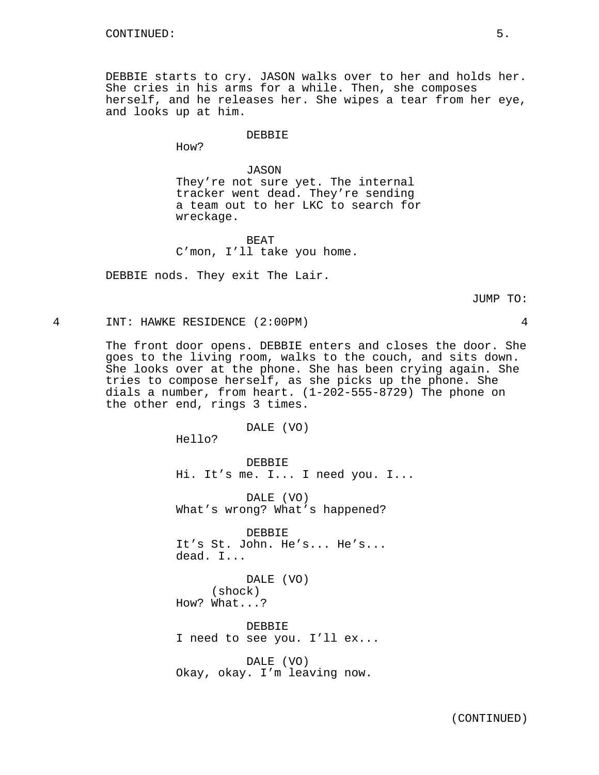DEBBIE starts to cry. JASON walks over to her and holds her. She cries in his arms for a while. Then, she composes herself, and he releases her. She wipes a tear from her eye, and looks up at him.

### DEBBIE

How?

JASON They're not sure yet. The internal tracker went dead. They're sending a team out to her LKC to search for wreckage.

BEAT C'mon, I'll take you home.

DEBBIE nods. They exit The Lair.

JUMP TO:

4 INT: HAWKE RESIDENCE (2:00PM) 4

The front door opens. DEBBIE enters and closes the door. She goes to the living room, walks to the couch, and sits down. She looks over at the phone. She has been crying again. She tries to compose herself, as she picks up the phone. She dials a number, from heart. (1-202-555-8729) The phone on the other end, rings 3 times.

DALE (VO)

Hello?

DEBBIE Hi. It's me. I... I need you. I...

DALE (VO) What's wrong? What's happened?

DEBBIE It's St. John. He's... He's... dead. I...

DALE (VO) (shock) How? What...?

DEBBIE I need to see you. I'll ex...

DALE (VO) Okay, okay. I'm leaving now.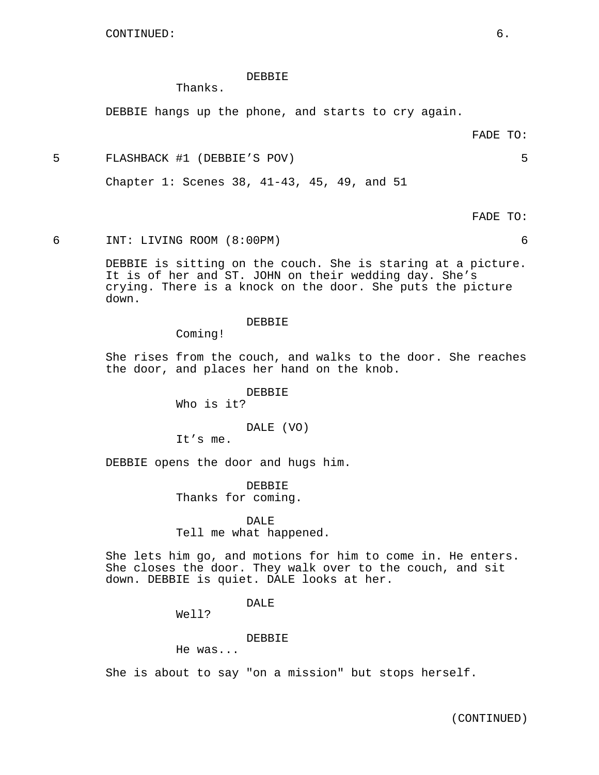### DEBBIE

Thanks.

DEBBIE hangs up the phone, and starts to cry again.

FADE TO:

5 FLASHBACK #1 (DEBBIE'S POV) 5

Chapter 1: Scenes 38, 41-43, 45, 49, and 51

FADE TO:

6 INT: LIVING ROOM (8:00PM) 6

DEBBIE is sitting on the couch. She is staring at a picture. It is of her and ST. JOHN on their wedding day. She's crying. There is a knock on the door. She puts the picture down.

DEBBIE

Coming!

She rises from the couch, and walks to the door. She reaches the door, and places her hand on the knob.

> DEBBIE Who is it?

> > DALE (VO)

It's me.

DEBBIE opens the door and hugs him.

DEBBIE Thanks for coming.

DALE Tell me what happened.

She lets him go, and motions for him to come in. He enters. She closes the door. They walk over to the couch, and sit down. DEBBIE is quiet. DALE looks at her.

DALE

Well?

DEBBIE

He was...

She is about to say "on a mission" but stops herself.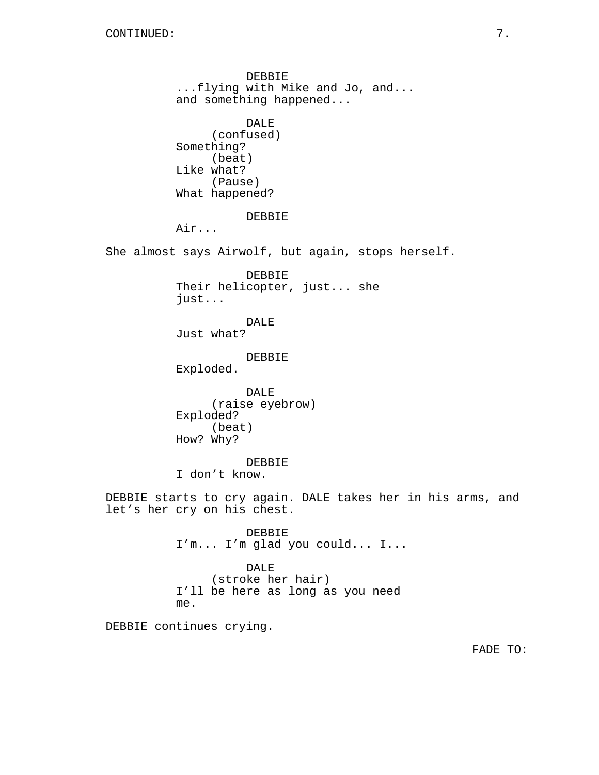DEBBIE ...flying with Mike and Jo, and... and something happened... DALE (confused) Something? (beat) Like what? (Pause) What happened? DEBBIE Air... She almost says Airwolf, but again, stops herself. DEBBIE Their helicopter, just... she just... DALE Just what? DEBBIE Exploded. DALE (raise eyebrow) Exploded? (beat) How? Why? DEBBIE I don't know. DEBBIE starts to cry again. DALE takes her in his arms, and let's her cry on his chest. DEBBIE I'm... I'm glad you could... I... DALE (stroke her hair) I'll be here as long as you need me. DEBBIE continues crying.

FADE TO: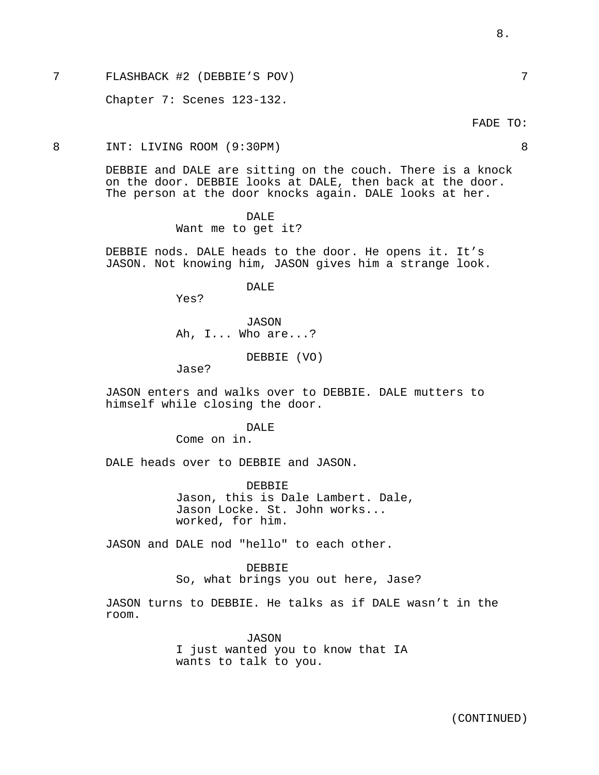7 FLASHBACK #2 (DEBBIE'S POV) 7

Chapter 7: Scenes 123-132.

8 INT: LIVING ROOM (9:30PM) 8

DEBBIE and DALE are sitting on the couch. There is a knock on the door. DEBBIE looks at DALE, then back at the door. The person at the door knocks again. DALE looks at her.

> DALE Want me to get it?

DEBBIE nods. DALE heads to the door. He opens it. It's JASON. Not knowing him, JASON gives him a strange look.

DALE

Yes?

JASON Ah, I... Who are...?

DEBBIE (VO)

Jase?

JASON enters and walks over to DEBBIE. DALE mutters to himself while closing the door.

## DALE.

Come on in.

DALE heads over to DEBBIE and JASON.

DEBBIE Jason, this is Dale Lambert. Dale, Jason Locke. St. John works... worked, for him.

JASON and DALE nod "hello" to each other.

DEBBIE So, what brings you out here, Jase?

JASON turns to DEBBIE. He talks as if DALE wasn't in the room.

> JASON I just wanted you to know that IA wants to talk to you.

FADE TO:

8.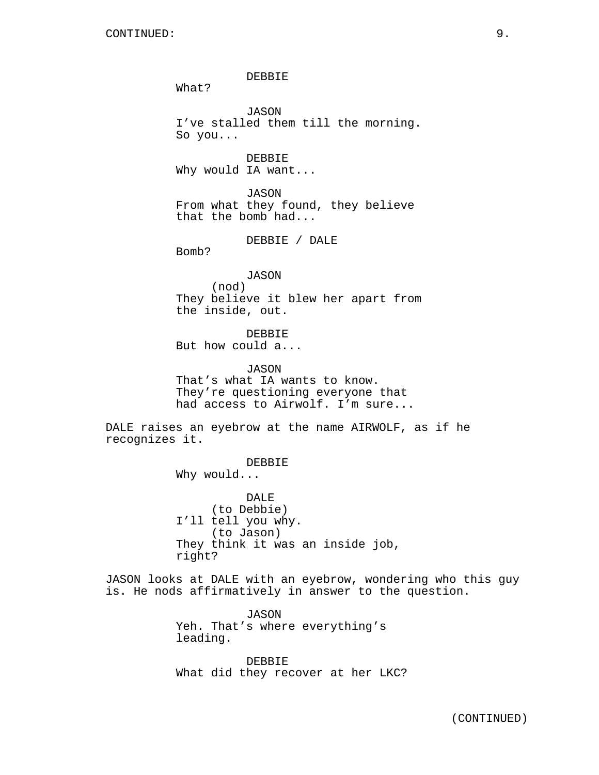DEBBIE What? JASON I've stalled them till the morning. So you... DEBBIE Why would IA want... JASON

From what they found, they believe that the bomb had...

DEBBIE / DALE

Bomb?

JASON (nod) They believe it blew her apart from the inside, out.

DEBBIE But how could a...

JASON That's what IA wants to know. They're questioning everyone that had access to Airwolf. I'm sure...

DALE raises an eyebrow at the name AIRWOLF, as if he recognizes it.

DEBBIE

Why would...

DALE (to Debbie) I'll tell you why. (to Jason) They think it was an inside job, right?

JASON looks at DALE with an eyebrow, wondering who this guy is. He nods affirmatively in answer to the question.

> JASON Yeh. That's where everything's leading.

DEBBIE What did they recover at her LKC?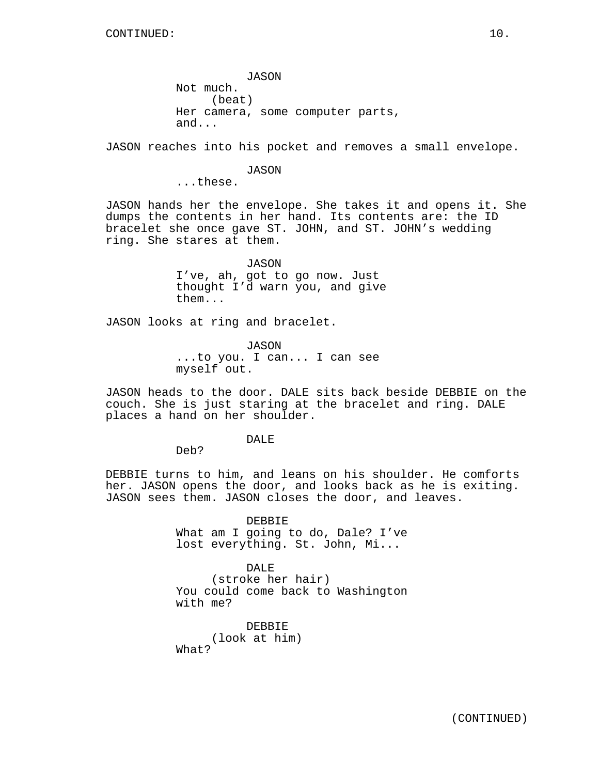JASON Not much. (beat) Her camera, some computer parts, and...

JASON reaches into his pocket and removes a small envelope.

### JASON

...these.

JASON hands her the envelope. She takes it and opens it. She dumps the contents in her hand. Its contents are: the ID bracelet she once gave ST. JOHN, and ST. JOHN's wedding ring. She stares at them.

> JASON I've, ah, got to go now. Just thought I'd warn you, and give them...

JASON looks at ring and bracelet.

JASON ...to you. I can... I can see myself out.

JASON heads to the door. DALE sits back beside DEBBIE on the couch. She is just staring at the bracelet and ring. DALE places a hand on her shoulder.

### DALE

Deb?

DEBBIE turns to him, and leans on his shoulder. He comforts her. JASON opens the door, and looks back as he is exiting. JASON sees them. JASON closes the door, and leaves.

> DEBBIE What am I going to do, Dale? I've lost everything. St. John, Mi...

> DALE (stroke her hair) You could come back to Washington with me?

DEBBIE (look at him) What?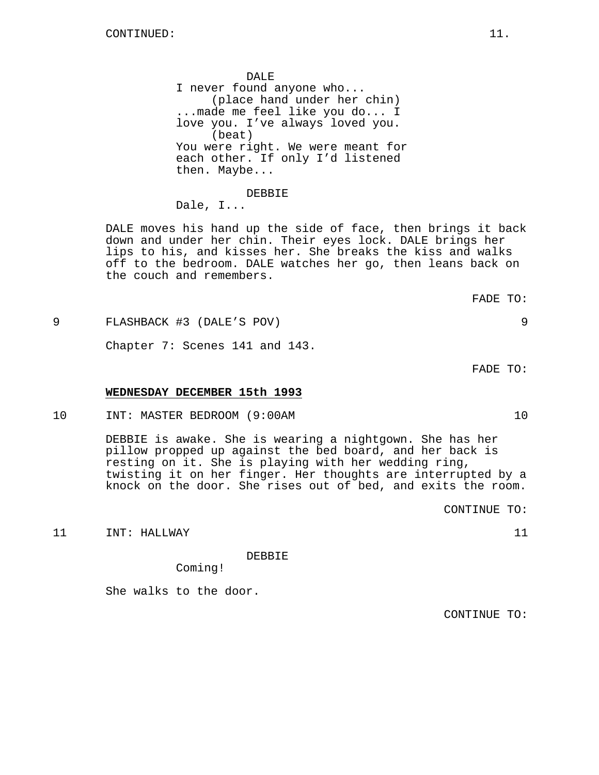DALE I never found anyone who... (place hand under her chin) ...made me feel like you do... I love you. I've always loved you. (beat) You were right. We were meant for each other. If only I'd listened then. Maybe...

DEBBIE Dale, I...

DALE moves his hand up the side of face, then brings it back down and under her chin. Their eyes lock. DALE brings her lips to his, and kisses her. She breaks the kiss and walks off to the bedroom. DALE watches her go, then leans back on the couch and remembers.

9 FLASHBACK #3 (DALE'S POV) 9

Chapter 7: Scenes 141 and 143.

# **WEDNESDAY DECEMBER 15th 1993**

10 INT: MASTER BEDROOM (9:00AM 10

DEBBIE is awake. She is wearing a nightgown. She has her pillow propped up against the bed board, and her back is resting on it. She is playing with her wedding ring, twisting it on her finger. Her thoughts are interrupted by a knock on the door. She rises out of bed, and exits the room.

CONTINUE TO:

11 INT: HALLWAY 11 21

DEBBIE

Coming!

She walks to the door.

CONTINUE TO:

FADE TO:

FADE TO: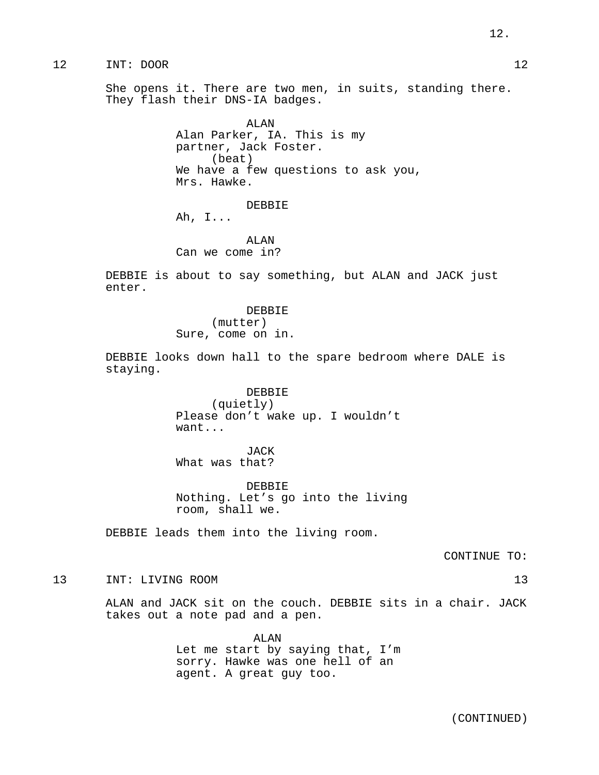She opens it. There are two men, in suits, standing there. They flash their DNS-IA badges.

> ALAN Alan Parker, IA. This is my partner, Jack Foster. (beat) We have a few questions to ask you, Mrs. Hawke.

> > DEBBIE

Ah, I...

ALAN Can we come in?

DEBBIE is about to say something, but ALAN and JACK just enter.

> DEBBIE (mutter) Sure, come on in.

DEBBIE looks down hall to the spare bedroom where DALE is staying.

> DEBBIE (quietly) Please don't wake up. I wouldn't want...

JACK What was that?

DEBBIE Nothing. Let's go into the living room, shall we.

DEBBIE leads them into the living room.

CONTINUE TO:

13 INT: LIVING ROOM 13

ALAN and JACK sit on the couch. DEBBIE sits in a chair. JACK takes out a note pad and a pen.

> ALAN Let me start by saying that, I'm sorry. Hawke was one hell of an agent. A great guy too.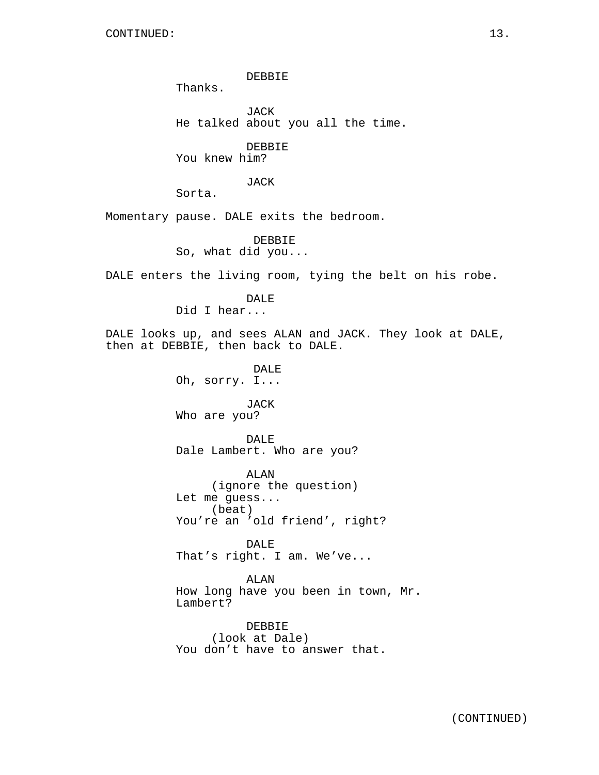DEBBIE

Thanks.

JACK He talked about you all the time.

DEBBIE

You knew him?

JACK

Sorta.

Momentary pause. DALE exits the bedroom.

DEBBIE So, what did you...

DALE enters the living room, tying the belt on his robe.

DALE Did I hear...

DALE looks up, and sees ALAN and JACK. They look at DALE, then at DEBBIE, then back to DALE.

> DALE Oh, sorry. I...

JACK Who are you?

DALE Dale Lambert. Who are you?

ALAN (ignore the question) Let me guess... (beat) You're an 'old friend', right?

DALE That's right. I am. We've...

ALAN How long have you been in town, Mr. Lambert?

DEBBIE (look at Dale) You don't have to answer that.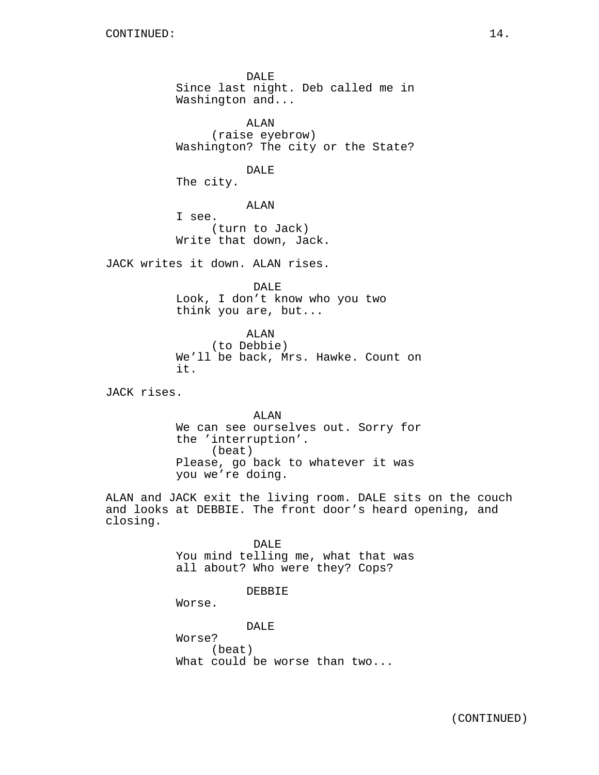DALE Since last night. Deb called me in Washington and...

ALAN (raise eyebrow) Washington? The city or the State?

DALE

The city.

ALAN I see. (turn to Jack) Write that down, Jack.

JACK writes it down. ALAN rises.

DALE Look, I don't know who you two think you are, but...

ALAN (to Debbie) We'll be back, Mrs. Hawke. Count on it.

JACK rises.

ALAN We can see ourselves out. Sorry for the 'interruption'. (beat) Please, go back to whatever it was you we're doing.

ALAN and JACK exit the living room. DALE sits on the couch and looks at DEBBIE. The front door's heard opening, and closing.

> DALE You mind telling me, what that was all about? Who were they? Cops?

> > DEBBIE

Worse.

DALE Worse? (beat) What could be worse than two...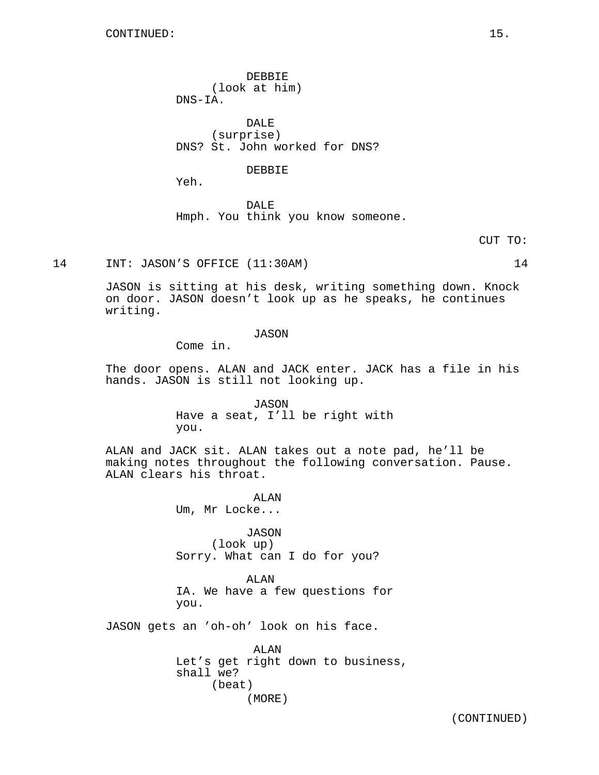DEBBIE (look at him) DNS-IA.

DALE (surprise) DNS? St. John worked for DNS?

#### DEBBIE

Yeh.

DALE Hmph. You think you know someone.

CUT TO:

14 INT: JASON'S OFFICE (11:30AM) 14

JASON is sitting at his desk, writing something down. Knock on door. JASON doesn't look up as he speaks, he continues writing.

### JASON

Come in.

The door opens. ALAN and JACK enter. JACK has a file in his hands. JASON is still not looking up.

> JASON Have a seat, I'll be right with you.

ALAN and JACK sit. ALAN takes out a note pad, he'll be making notes throughout the following conversation. Pause. ALAN clears his throat.

> ALAN Um, Mr Locke...

JASON (look up) Sorry. What can I do for you?

ALAN IA. We have a few questions for you.

JASON gets an 'oh-oh' look on his face.

ALAN Let's get right down to business, shall we? (beat) (MORE)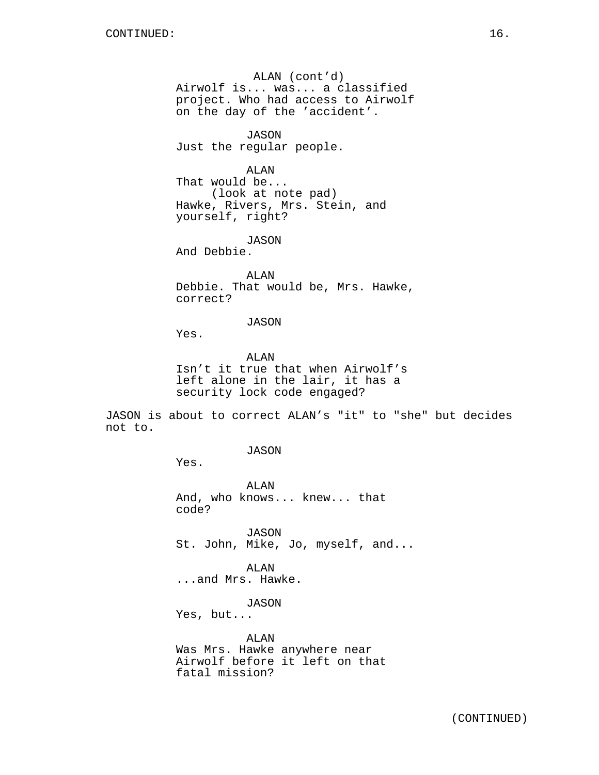ALAN (cont'd) Airwolf is... was... a classified project. Who had access to Airwolf on the day of the 'accident'.

JASON Just the regular people.

ALAN That would be... (look at note pad) Hawke, Rivers, Mrs. Stein, and yourself, right?

JASON And Debbie.

ALAN Debbie. That would be, Mrs. Hawke, correct?

JASON

Yes.

ALAN Isn't it true that when Airwolf's left alone in the lair, it has a security lock code engaged?

JASON is about to correct ALAN's "it" to "she" but decides not to.

JASON

Yes.

ALAN And, who knows... knew... that code?

JASON St. John, Mike, Jo, myself, and...

ALAN ...and Mrs. Hawke.

JASON

Yes, but...

ALAN Was Mrs. Hawke anywhere near Airwolf before it left on that fatal mission?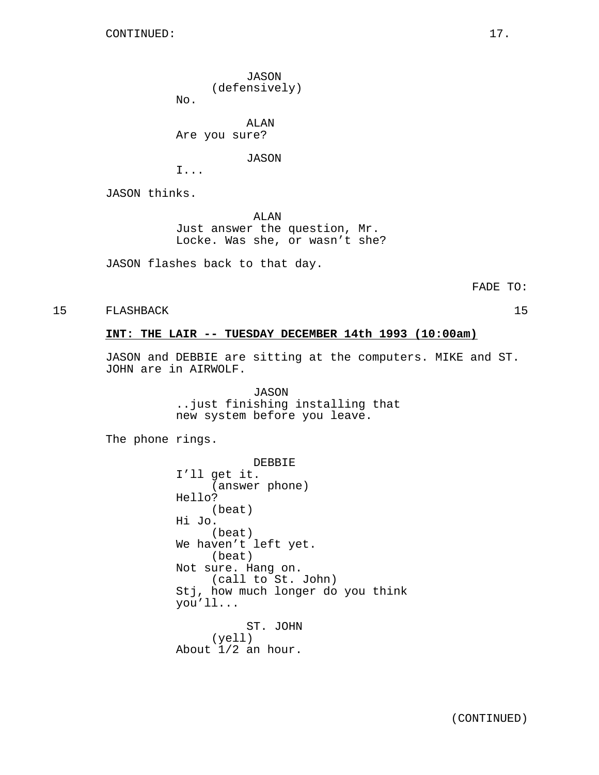JASON (defensively)

No.

ALAN Are you sure?

JASON

I...

JASON thinks.

ALAN Just answer the question, Mr. Locke. Was she, or wasn't she?

JASON flashes back to that day.

15 FLASHBACK 15

## **INT: THE LAIR -- TUESDAY DECEMBER 14th 1993 (10:00am)**

JASON and DEBBIE are sitting at the computers. MIKE and ST. JOHN are in AIRWOLF.

> JASON ..just finishing installing that new system before you leave.

The phone rings.

DEBBIE I'll get it. (answer phone) Hello? (beat) Hi Jo. (beat) We haven't left yet. (beat) Not sure. Hang on. (call to St. John) Stj, how much longer do you think you'll... ST. JOHN (yell) About 1/2 an hour.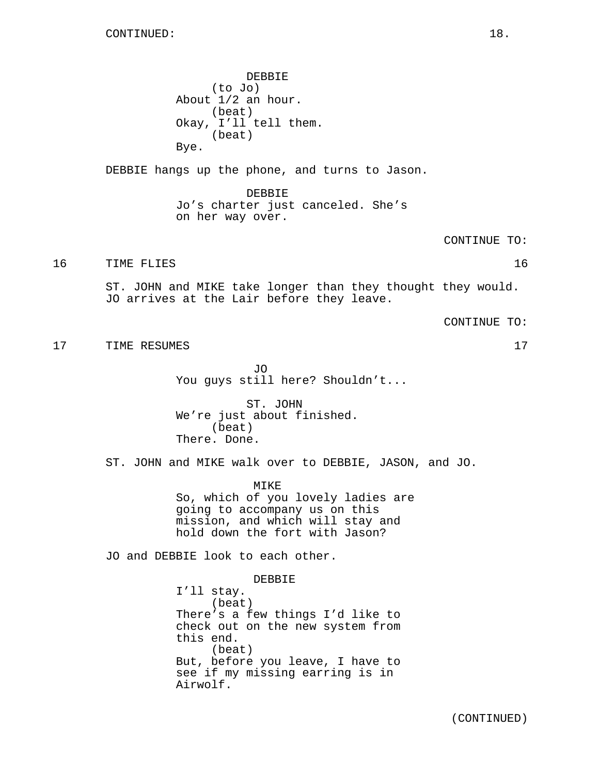DEBBIE (to Jo) About 1/2 an hour. (beat) Okay, I'll tell them. (beat) Bye. DEBBIE hangs up the phone, and turns to Jason. DEBBIE Jo's charter just canceled. She's on her way over. CONTINUE TO: 16 TIME FLIES 2012 16 ST. JOHN and MIKE take longer than they thought they would. JO arrives at the Lair before they leave. CONTINUE TO: 17 TIME RESUMES 17 JO You guys still here? Shouldn't... ST. JOHN We're just about finished. (beat) There. Done. ST. JOHN and MIKE walk over to DEBBIE, JASON, and JO. MIKE So, which of you lovely ladies are going to accompany us on this mission, and which will stay and hold down the fort with Jason? JO and DEBBIE look to each other. DEBBIE I'll stay. (beat) There's a few things I'd like to check out on the new system from this end. (beat) But, before you leave, I have to see if my missing earring is in Airwolf.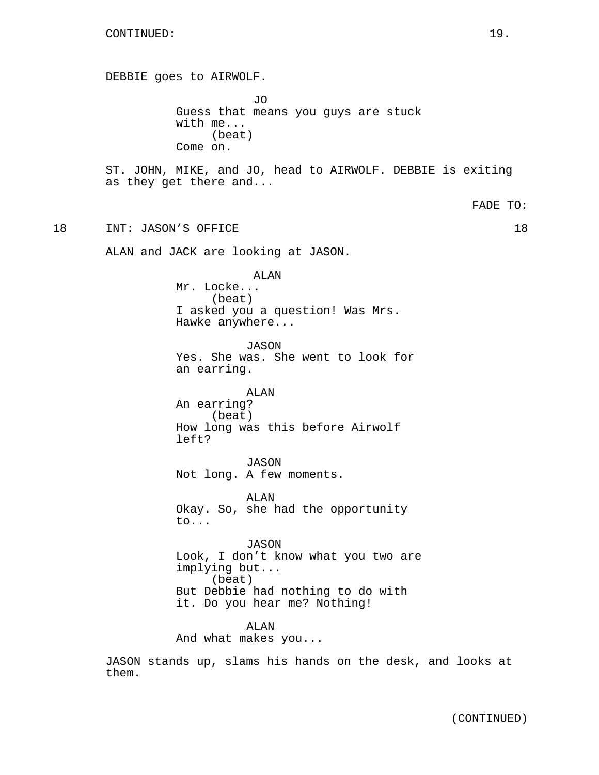DEBBIE goes to AIRWOLF. JO Guess that means you guys are stuck with me... (beat) Come on. ST. JOHN, MIKE, and JO, head to AIRWOLF. DEBBIE is exiting as they get there and... FADE TO: 18 INT: JASON'S OFFICE 18 ALAN and JACK are looking at JASON. ALAN Mr. Locke... (beat) I asked you a question! Was Mrs. Hawke anywhere... JASON Yes. She was. She went to look for an earring. ALAN An earring? (beat) How long was this before Airwolf left? JASON Not long. A few moments. ALAN Okay. So, she had the opportunity to... JASON Look, I don't know what you two are implying but... (beat) But Debbie had nothing to do with it. Do you hear me? Nothing! ALAN And what makes you...

JASON stands up, slams his hands on the desk, and looks at them.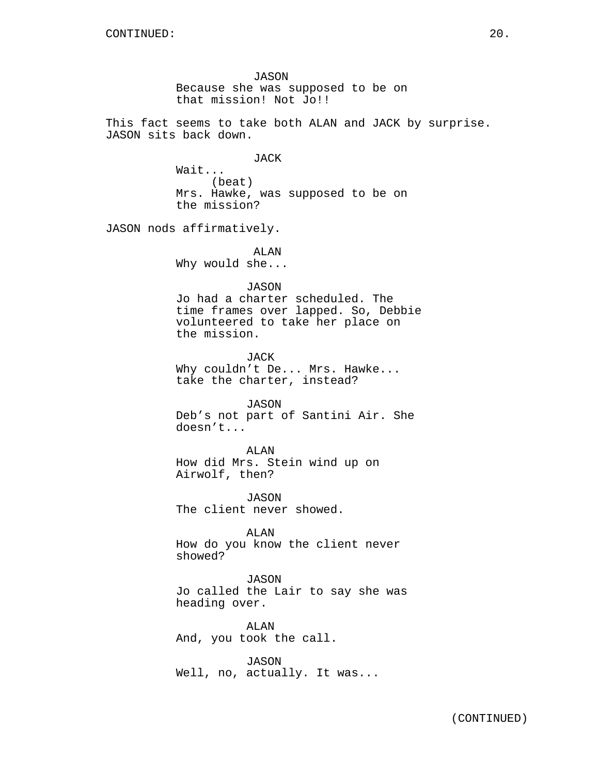JASON Because she was supposed to be on that mission! Not Jo!!

This fact seems to take both ALAN and JACK by surprise. JASON sits back down.

JACK

Wait... (beat) Mrs. Hawke, was supposed to be on the mission?

JASON nods affirmatively.

ALAN Why would she...

#### JASON

Jo had a charter scheduled. The time frames over lapped. So, Debbie volunteered to take her place on the mission.

JACK Why couldn't De... Mrs. Hawke... take the charter, instead?

JASON

Deb's not part of Santini Air. She doesn't...

ALAN How did Mrs. Stein wind up on Airwolf, then?

JASON The client never showed.

ALAN How do you know the client never showed?

JASON Jo called the Lair to say she was heading over.

ALAN And, you took the call.

JASON Well, no, actually. It was...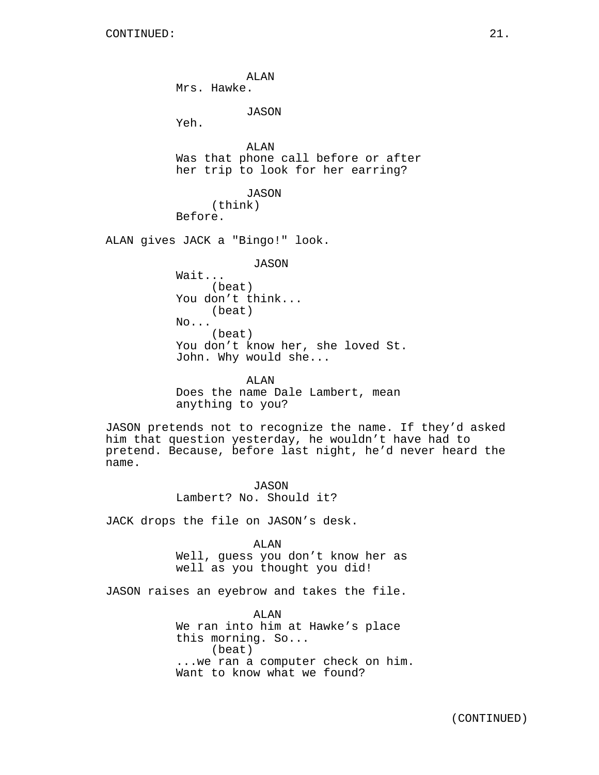ALAN Mrs. Hawke. JASON Yeh. ALAN Was that phone call before or after her trip to look for her earring? JASON (think) Before. ALAN gives JACK a "Bingo!" look. JASON Wait... (beat) You don't think... (beat) No... (beat) You don't know her, she loved St. John. Why would she... ALAN Does the name Dale Lambert, mean anything to you?

JASON pretends not to recognize the name. If they'd asked him that question yesterday, he wouldn't have had to pretend. Because, before last night, he'd never heard the name.

> JASON Lambert? No. Should it?

JACK drops the file on JASON's desk.

ALAN Well, guess you don't know her as well as you thought you did!

JASON raises an eyebrow and takes the file.

ALAN We ran into him at Hawke's place this morning. So... (beat) ...we ran a computer check on him. Want to know what we found?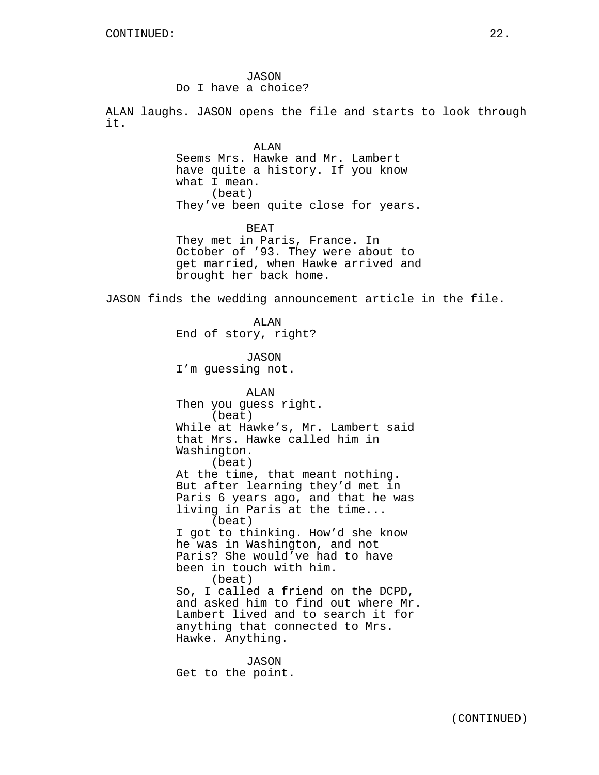JASON Do I have a choice?

ALAN laughs. JASON opens the file and starts to look through it.

> ALAN Seems Mrs. Hawke and Mr. Lambert have quite a history. If you know what I mean. (beat) They've been quite close for years.

> BEAT They met in Paris, France. In October of '93. They were about to get married, when Hawke arrived and brought her back home.

JASON finds the wedding announcement article in the file.

ALAN End of story, right?

JASON I'm guessing not.

ALAN Then you guess right. (beat) While at Hawke's, Mr. Lambert said that Mrs. Hawke called him in Washington. (beat) At the time, that meant nothing. But after learning they'd met in Paris 6 years ago, and that he was living in Paris at the time... (beat) I got to thinking. How'd she know he was in Washington, and not Paris? She would've had to have been in touch with him. (beat) So, I called a friend on the DCPD, and asked him to find out where Mr. Lambert lived and to search it for anything that connected to Mrs. Hawke. Anything.

JASON Get to the point.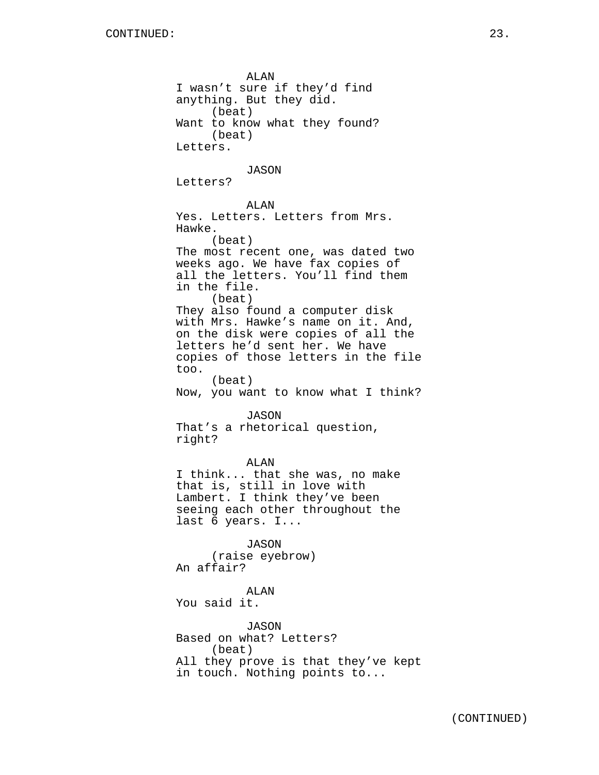ALAN I wasn't sure if they'd find anything. But they did. (beat) Want to know what they found? (beat) Letters. JASON Letters? ALAN Yes. Letters. Letters from Mrs. Hawke. (beat) The most recent one, was dated two weeks ago. We have fax copies of all the letters. You'll find them in the file. (beat) They also found a computer disk with Mrs. Hawke's name on it. And, on the disk were copies of all the letters he'd sent her. We have copies of those letters in the file too. (beat) Now, you want to know what I think? JASON That's a rhetorical question, right? ALAN I think... that she was, no make that is, still in love with Lambert. I think they've been seeing each other throughout the last 6 years. I... JASON (raise eyebrow) An affair? ALAN You said it. JASON Based on what? Letters? (beat) All they prove is that they've kept in touch. Nothing points to...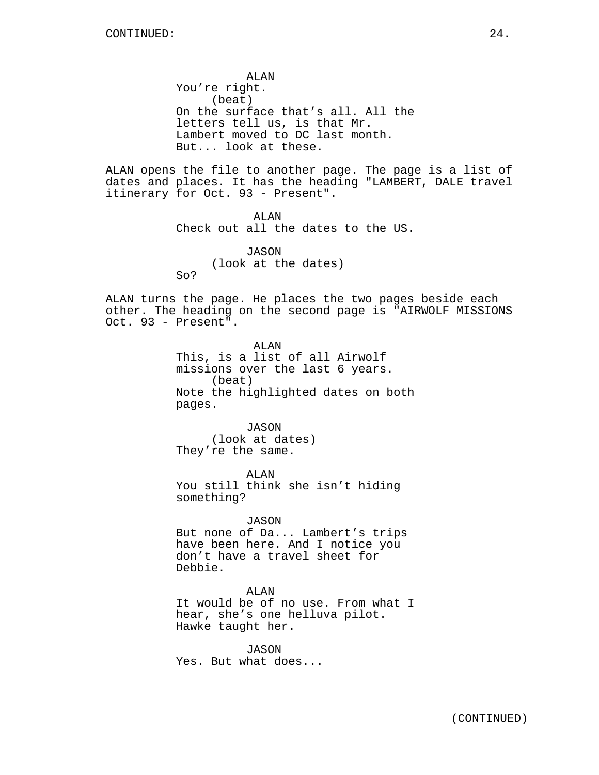ALAN You're right. (beat) On the surface that's all. All the letters tell us, is that Mr. Lambert moved to DC last month. But... look at these.

ALAN opens the file to another page. The page is a list of dates and places. It has the heading "LAMBERT, DALE travel itinerary for Oct. 93 - Present".

> ALAN Check out all the dates to the US.

> > JASON (look at the dates)

So?

ALAN turns the page. He places the two pages beside each other. The heading on the second page is "AIRWOLF MISSIONS Oct. 93 - Present".

> ALAN This, is a list of all Airwolf missions over the last 6 years. (beat) Note the highlighted dates on both pages.

JASON (look at dates) They're the same.

ALAN You still think she isn't hiding something?

JASON But none of Da... Lambert's trips have been here. And I notice you don't have a travel sheet for Debbie.

ALAN It would be of no use. From what I hear, she's one helluva pilot. Hawke taught her.

JASON Yes. But what does...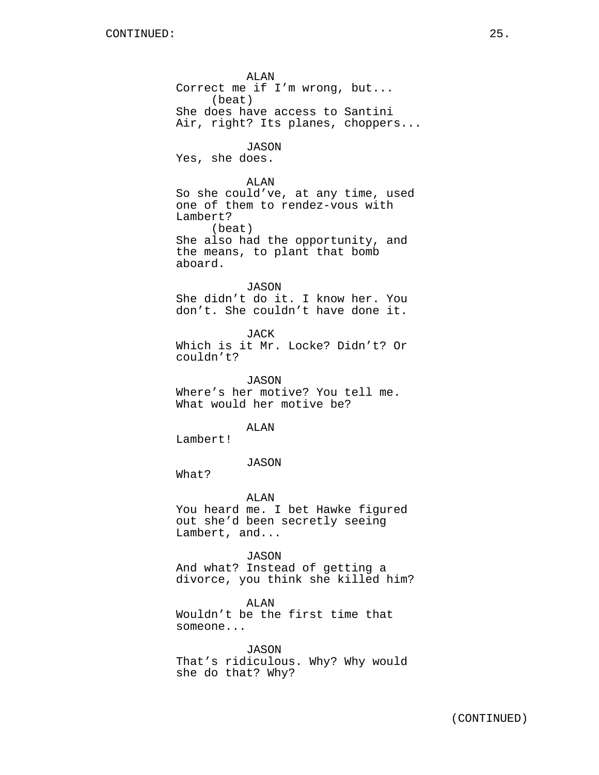ALAN Correct me if I'm wrong, but... (beat) She does have access to Santini Air, right? Its planes, choppers... JASON Yes, she does. ALAN So she could've, at any time, used one of them to rendez-vous with Lambert? (beat) She also had the opportunity, and the means, to plant that bomb aboard. JASON She didn't do it. I know her. You don't. She couldn't have done it. JACK Which is it Mr. Locke? Didn't? Or couldn't? JASON Where's her motive? You tell me. What would her motive be? ALAN Lambert! JASON What? ALAN You heard me. I bet Hawke figured out she'd been secretly seeing Lambert, and... JASON And what? Instead of getting a divorce, you think she killed him? ALAN Wouldn't be the first time that someone... JASON That's ridiculous. Why? Why would

she do that? Why?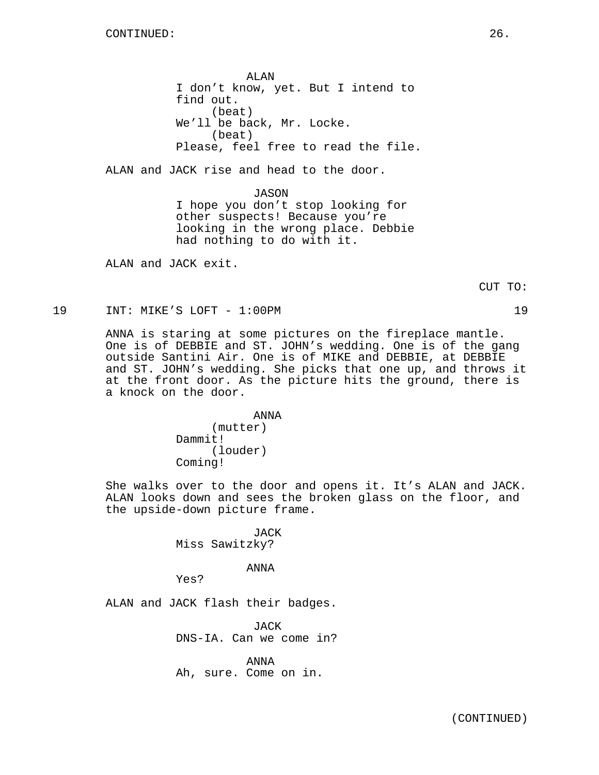ALAN I don't know, yet. But I intend to find out. (beat) We'll be back, Mr. Locke. (beat) Please, feel free to read the file.

ALAN and JACK rise and head to the door.

JASON I hope you don't stop looking for other suspects! Because you're looking in the wrong place. Debbie had nothing to do with it.

ALAN and JACK exit.

CUT TO:

19 INT: MIKE'S LOFT - 1:00PM 19

ANNA is staring at some pictures on the fireplace mantle. One is of DEBBIE and ST. JOHN's wedding. One is of the gang outside Santini Air. One is of MIKE and DEBBIE, at DEBBIE and ST. JOHN's wedding. She picks that one up, and throws it at the front door. As the picture hits the ground, there is a knock on the door.

> ANNA (mutter) Dammit! (louder) Coming!

She walks over to the door and opens it. It's ALAN and JACK. ALAN looks down and sees the broken glass on the floor, and the upside-down picture frame.

> JACK Miss Sawitzky?

## ANNA

Yes?

ALAN and JACK flash their badges.

JACK DNS-IA. Can we come in?

ANNA Ah, sure. Come on in.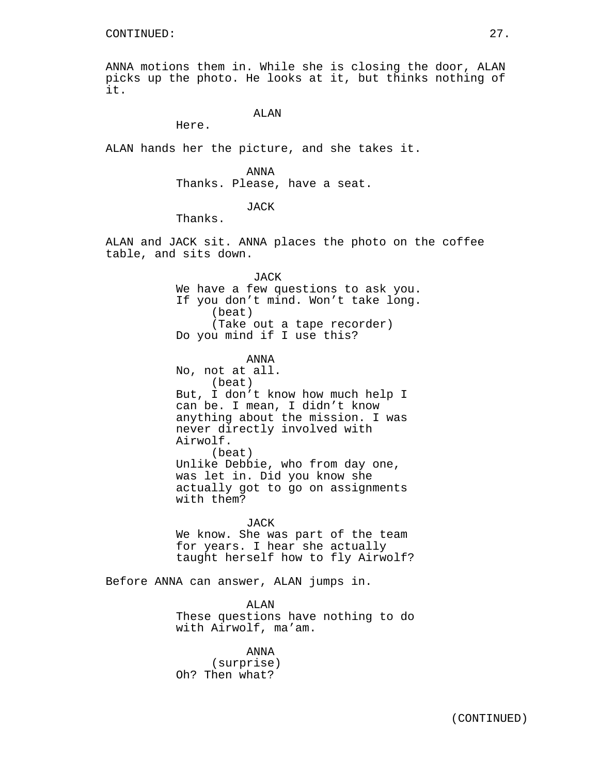ANNA motions them in. While she is closing the door, ALAN picks up the photo. He looks at it, but thinks nothing of it.

# ALAN

Here.

ALAN hands her the picture, and she takes it.

### ANNA

Thanks. Please, have a seat.

# JACK

Thanks.

ALAN and JACK sit. ANNA places the photo on the coffee table, and sits down.

## JACK We have a few questions to ask you. If you don't mind. Won't take long. (beat) (Take out a tape recorder) Do you mind if I use this?

### ANNA

No, not at all. (beat) But, I don't know how much help I can be. I mean, I didn't know anything about the mission. I was never directly involved with Airwolf. (beat) Unlike Debbie, who from day one, was let in. Did you know she actually got to go on assignments with them?

JACK We know. She was part of the team for years. I hear she actually taught herself how to fly Airwolf?

Before ANNA can answer, ALAN jumps in.

ALAN These questions have nothing to do with Airwolf, ma'am.

ANNA (surprise) Oh? Then what?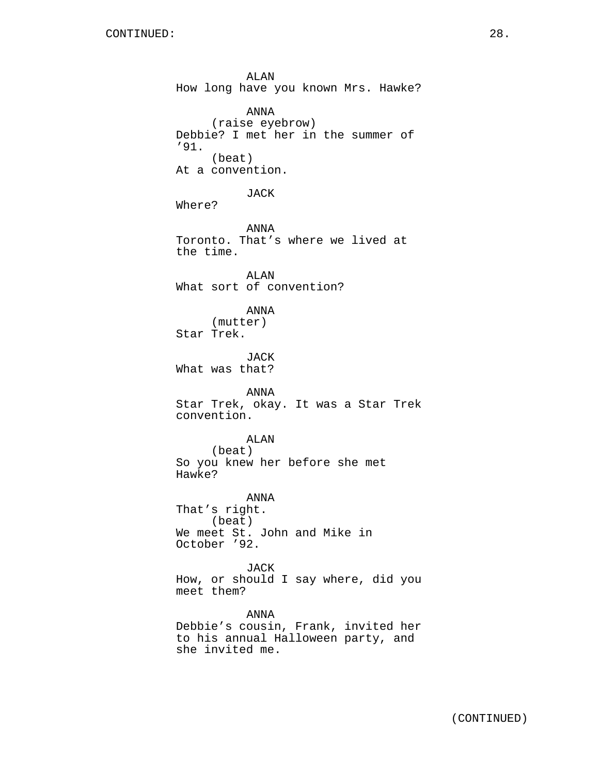ALAN How long have you known Mrs. Hawke? ANNA (raise eyebrow) Debbie? I met her in the summer of '91. (beat) At a convention. JACK Where? ANNA Toronto. That's where we lived at the time. ALAN What sort of convention? ANNA (mutter) Star Trek. JACK What was that? ANNA Star Trek, okay. It was a Star Trek convention. ALAN (beat) So you knew her before she met Hawke? ANNA That's right. (beat) We meet St. John and Mike in October '92. JACK How, or should I say where, did you meet them? ANNA Debbie's cousin, Frank, invited her to his annual Halloween party, and she invited me.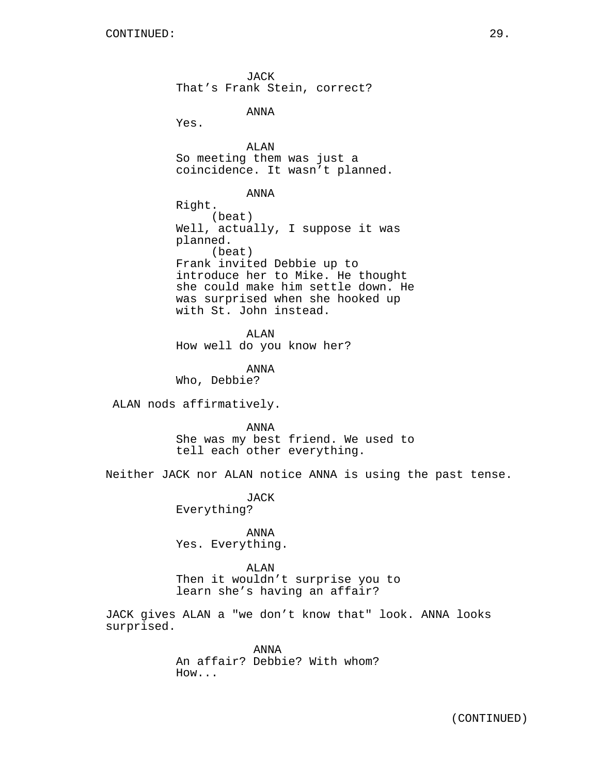surprised.

JACK That's Frank Stein, correct? ANNA Yes. ALAN So meeting them was just a coincidence. It wasn't planned. ANNA Right. (beat) Well, actually, I suppose it was planned. (beat) Frank invited Debbie up to introduce her to Mike. He thought she could make him settle down. He was surprised when she hooked up with St. John instead. ALAN How well do you know her? ANNA Who, Debbie? ALAN nods affirmatively. ANNA She was my best friend. We used to tell each other everything. Neither JACK nor ALAN notice ANNA is using the past tense. JACK Everything? ANNA Yes. Everything. ALAN Then it wouldn't surprise you to learn she's having an affair? JACK gives ALAN a "we don't know that" look. ANNA looks

> ANNA An affair? Debbie? With whom? How...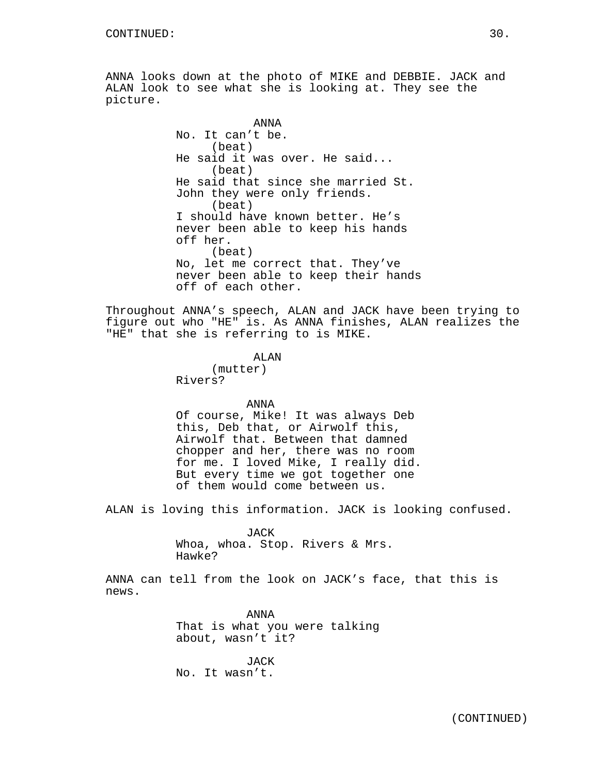ANNA looks down at the photo of MIKE and DEBBIE. JACK and ALAN look to see what she is looking at. They see the picture.

> ANNA No. It can't be. (beat) He said it was over. He said... (beat) He said that since she married St. John they were only friends. (beat) I should have known better. He's never been able to keep his hands off her. (beat) No, let me correct that. They've never been able to keep their hands off of each other.

Throughout ANNA's speech, ALAN and JACK have been trying to figure out who "HE" is. As ANNA finishes, ALAN realizes the "HE" that she is referring to is MIKE.

### ALAN

(mutter) Rivers?

ANNA

Of course, Mike! It was always Deb this, Deb that, or Airwolf this, Airwolf that. Between that damned chopper and her, there was no room for me. I loved Mike, I really did. But every time we got together one of them would come between us.

ALAN is loving this information. JACK is looking confused.

#### JACK

Whoa, whoa. Stop. Rivers & Mrs. Hawke?

ANNA can tell from the look on JACK's face, that this is news.

> ANNA That is what you were talking about, wasn't it?

JACK No. It wasn't.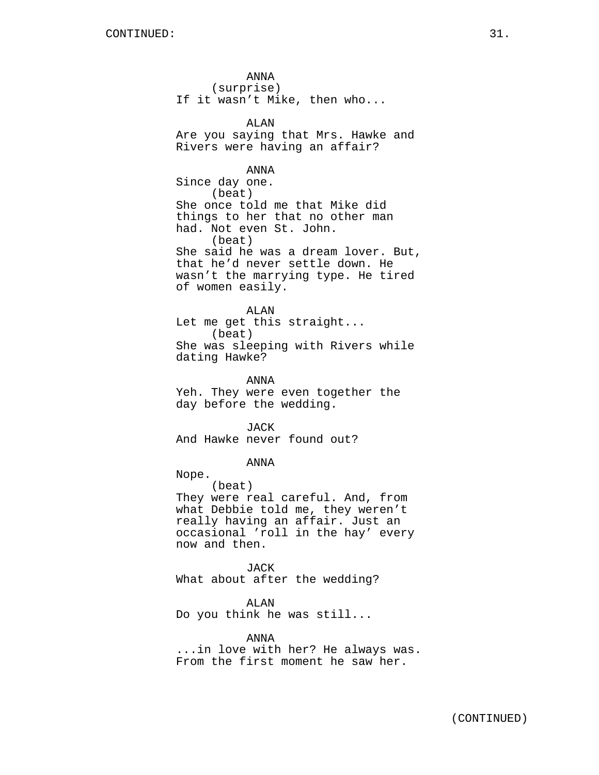ANNA (surprise) If it wasn't Mike, then who... ALAN Are you saying that Mrs. Hawke and Rivers were having an affair? ANNA Since day one. (beat) She once told me that Mike did things to her that no other man had. Not even St. John. (beat) She said he was a dream lover. But, that he'd never settle down. He wasn't the marrying type. He tired of women easily. ALAN Let me get this straight... (beat) She was sleeping with Rivers while dating Hawke? ANNA Yeh. They were even together the day before the wedding. **JACK** And Hawke never found out?

ANNA

Nope.

(beat) They were real careful. And, from what Debbie told me, they weren't really having an affair. Just an occasional 'roll in the hay' every now and then.

JACK What about after the wedding?

ALAN

Do you think he was still...

ANNA ...in love with her? He always was. From the first moment he saw her.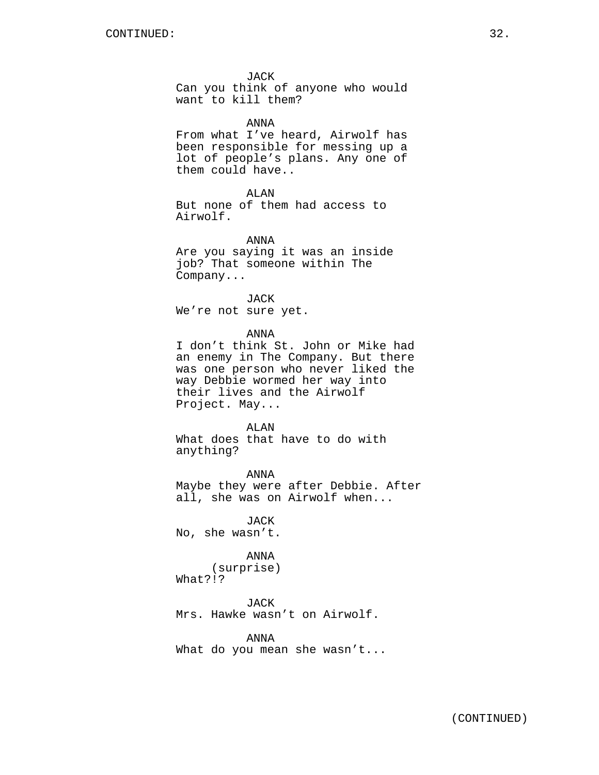JACK

Can you think of anyone who would want to kill them?

ANNA

From what I've heard, Airwolf has been responsible for messing up a lot of people's plans. Any one of them could have..

ALAN But none of them had access to Airwolf.

ANNA Are you saying it was an inside job? That someone within The Company...

JACK We're not sure yet.

ANNA

I don't think St. John or Mike had an enemy in The Company. But there was one person who never liked the way Debbie wormed her way into their lives and the Airwolf Project. May...

ALAN What does that have to do with anything?

ANNA Maybe they were after Debbie. After all, she was on Airwolf when...

JACK No, she wasn't.

ANNA (surprise) What?!?

JACK Mrs. Hawke wasn't on Airwolf.

ANNA What do you mean she wasn't...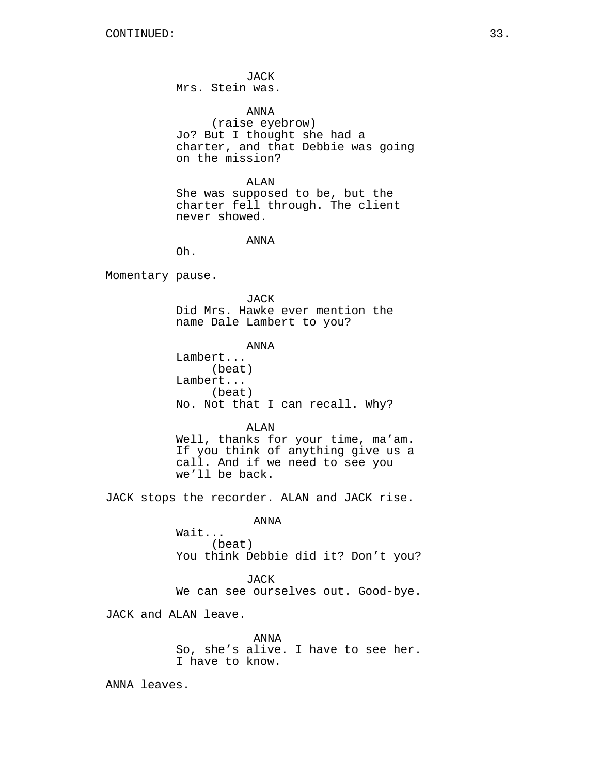JACK Mrs. Stein was.

ANNA (raise eyebrow) Jo? But I thought she had a charter, and that Debbie was going on the mission?

ALAN She was supposed to be, but the charter fell through. The client never showed.

ANNA

Oh.

Momentary pause.

JACK Did Mrs. Hawke ever mention the name Dale Lambert to you?

ANNA Lambert... (beat) Lambert... (beat) No. Not that I can recall. Why?

ALAN Well, thanks for your time, ma'am. If you think of anything give us a call. And if we need to see you we'll be back.

JACK stops the recorder. ALAN and JACK rise.

ANNA

Wait... (beat) You think Debbie did it? Don't you?

JACK We can see ourselves out. Good-bye.

JACK and ALAN leave.

ANNA So, she's alive. I have to see her. I have to know.

ANNA leaves.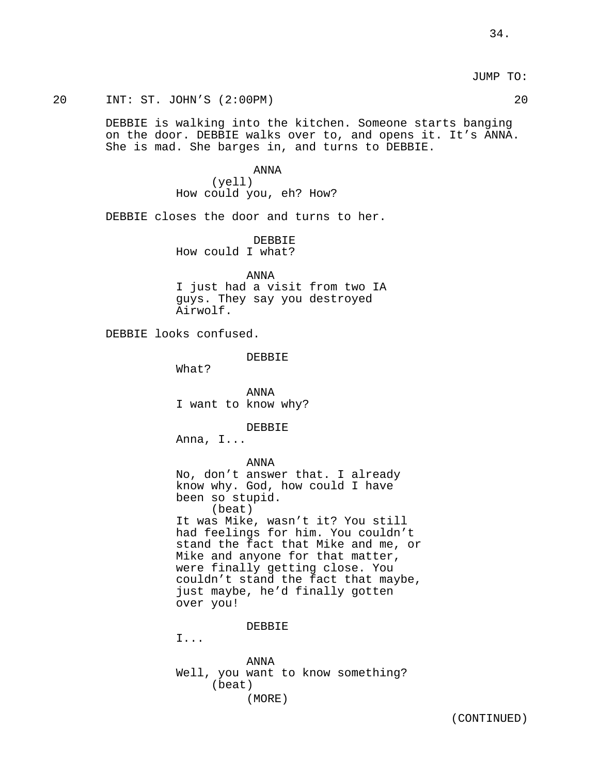20 INT: ST. JOHN'S (2:00PM) 20

DEBBIE is walking into the kitchen. Someone starts banging on the door. DEBBIE walks over to, and opens it. It's ANNA. She is mad. She barges in, and turns to DEBBIE.

> ANNA (yell) How could you, eh? How?

DEBBIE closes the door and turns to her.

DEBBIE How could I what?

ANNA I just had a visit from two IA guys. They say you destroyed Airwolf.

DEBBIE looks confused.

DEBBIE

What?

ANNA I want to know why?

DEBBIE

Anna, I...

ANNA

No, don't answer that. I already know why. God, how could I have been so stupid. (beat) It was Mike, wasn't it? You still had feelings for him. You couldn't stand the fact that Mike and me, or Mike and anyone for that matter, were finally getting close. You couldn't stand the fact that maybe, just maybe, he'd finally gotten over you!

DEBBIE

I...

ANNA Well, you want to know something? (beat) (MORE)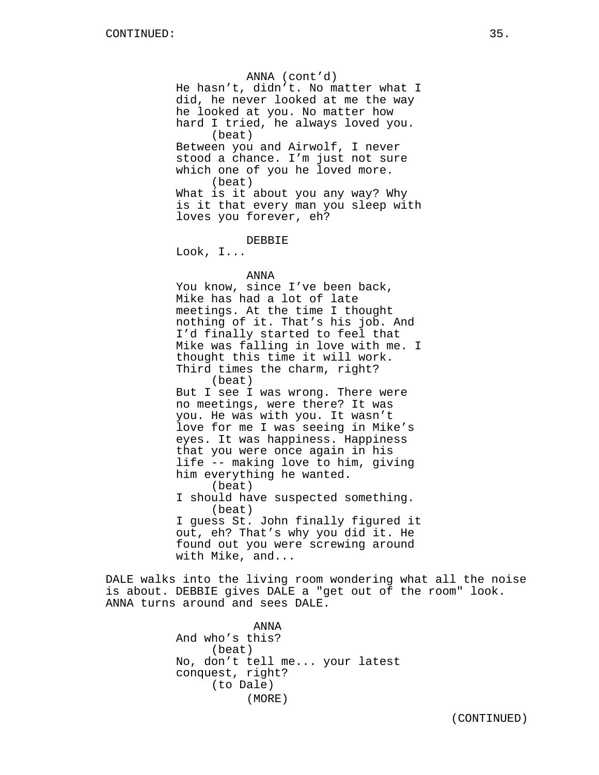ANNA (cont'd) He hasn't, didn't. No matter what I did, he never looked at me the way he looked at you. No matter how hard I tried, he always loved you. (beat) Between you and Airwolf, I never stood a chance. I'm just not sure which one of you he loved more. (beat) What is it about you any way? Why is it that every man you sleep with loves you forever, eh? DEBBIE Look, I... ANNA You know, since I've been back, Mike has had a lot of late meetings. At the time I thought

nothing of it. That's his job. And I'd finally started to feel that Mike was falling in love with me. I thought this time it will work. Third times the charm, right? (beat) But I see I was wrong. There were no meetings, were there? It was you. He was with you. It wasn't love for me I was seeing in Mike's

eyes. It was happiness. Happiness that you were once again in his life -- making love to him, giving him everything he wanted. (beat) I should have suspected something. (beat) I guess St. John finally figured it out, eh? That's why you did it. He found out you were screwing around with Mike, and...

DALE walks into the living room wondering what all the noise is about. DEBBIE gives DALE a "get out of the room" look. ANNA turns around and sees DALE.

> ANNA And who's this? (beat) No, don't tell me... your latest conquest, right? (to Dale) (MORE)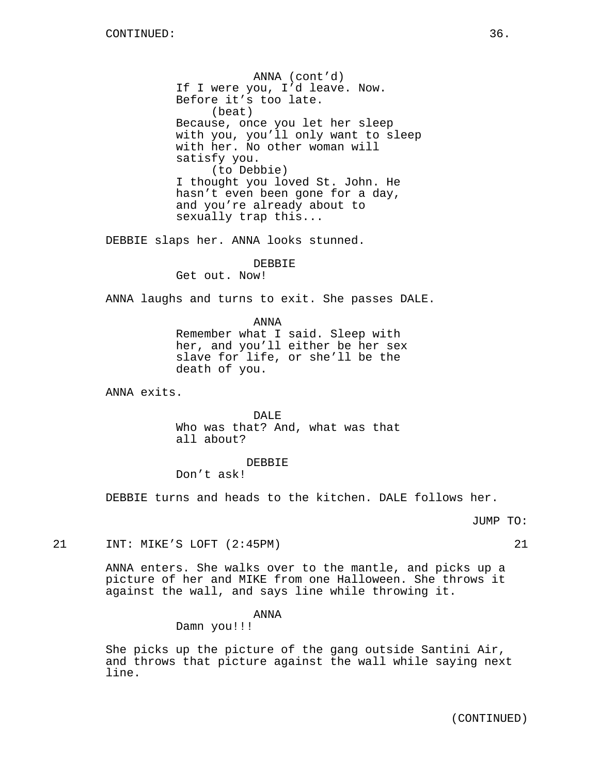ANNA (cont'd) If I were you, I'd leave. Now. Before it's too late. (beat) Because, once you let her sleep with you, you'll only want to sleep with her. No other woman will satisfy you. (to Debbie) I thought you loved St. John. He hasn't even been gone for a day, and you're already about to sexually trap this...

DEBBIE slaps her. ANNA looks stunned.

## DEBBIE

Get out. Now!

ANNA laughs and turns to exit. She passes DALE.

ANNA Remember what I said. Sleep with her, and you'll either be her sex slave for life, or she'll be the death of you.

ANNA exits.

DALE Who was that? And, what was that all about?

#### DEBBIE

Don't ask!

DEBBIE turns and heads to the kitchen. DALE follows her.

## JUMP TO:

21 INT: MIKE'S LOFT (2:45PM) 21

ANNA enters. She walks over to the mantle, and picks up a picture of her and MIKE from one Halloween. She throws it against the wall, and says line while throwing it.

## ANNA

Damn you!!!

She picks up the picture of the gang outside Santini Air, and throws that picture against the wall while saying next line.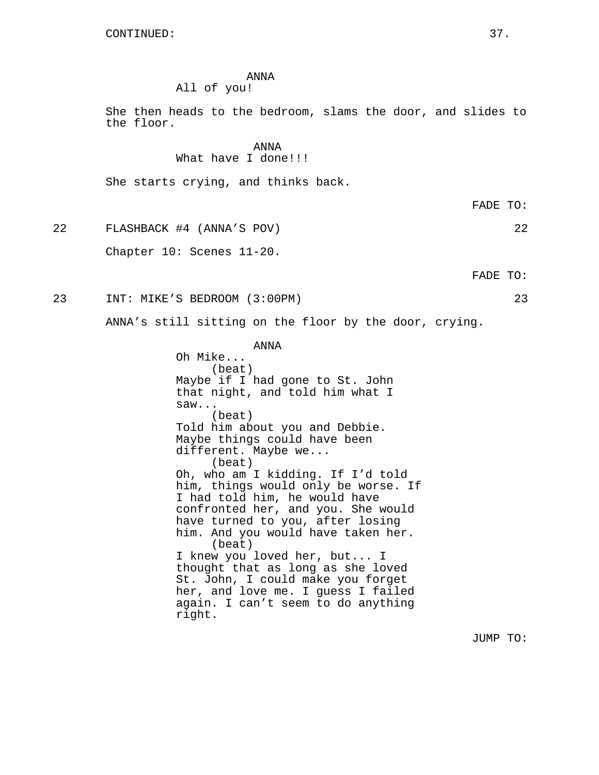## ANNA All of you!

She then heads to the bedroom, slams the door, and slides to the floor.

> ANNA What have I done!!!

She starts crying, and thinks back.

22 FLASHBACK #4 (ANNA'S POV) 22

Chapter 10: Scenes 11-20.

FADE TO:

FADE TO:

23 INT: MIKE'S BEDROOM (3:00PM) 23

right.

ANNA's still sitting on the floor by the door, crying.

ANNA

Oh Mike... (beat) Maybe if I had gone to St. John that night, and told him what I saw... (beat) Told him about you and Debbie. Maybe things could have been different. Maybe we... (beat) Oh, who am I kidding. If I'd told him, things would only be worse. If I had told him, he would have confronted her, and you. She would have turned to you, after losing him. And you would have taken her. (beat) I knew you loved her, but... I thought that as long as she loved St. John, I could make you forget her, and love me. I guess I failed

again. I can't seem to do anything

JUMP TO: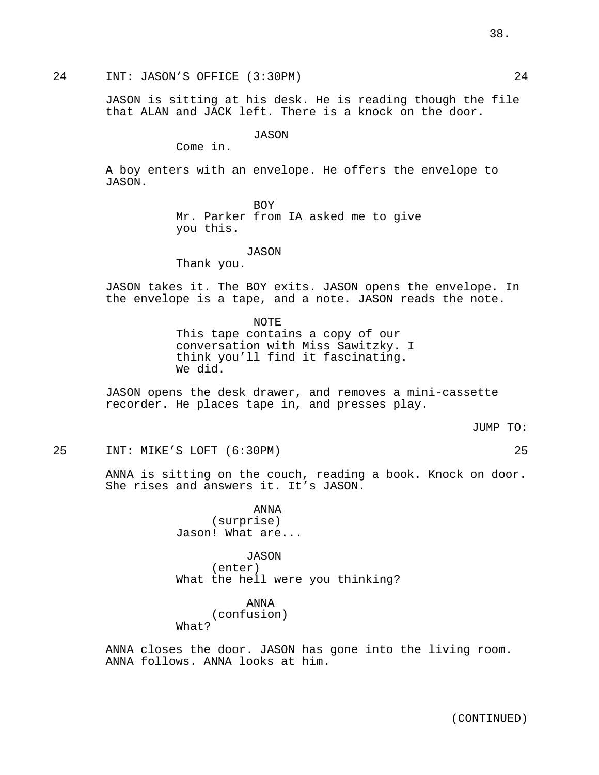24 INT: JASON'S OFFICE (3:30PM) 24

JASON is sitting at his desk. He is reading though the file that ALAN and JACK left. There is a knock on the door.

JASON

Come in.

A boy enters with an envelope. He offers the envelope to JASON.

BOY

Mr. Parker from IA asked me to give you this.

JASON

Thank you.

JASON takes it. The BOY exits. JASON opens the envelope. In the envelope is a tape, and a note. JASON reads the note.

> NOTE This tape contains a copy of our conversation with Miss Sawitzky. I think you'll find it fascinating. We did.

JASON opens the desk drawer, and removes a mini-cassette recorder. He places tape in, and presses play.

JUMP TO:

25 INT: MIKE'S LOFT (6:30PM) 25

ANNA is sitting on the couch, reading a book. Knock on door. She rises and answers it. It's JASON.

> ANNA (surprise) Jason! What are...

JASON (enter) What the hell were you thinking?

ANNA (confusion) What?

ANNA closes the door. JASON has gone into the living room. ANNA follows. ANNA looks at him.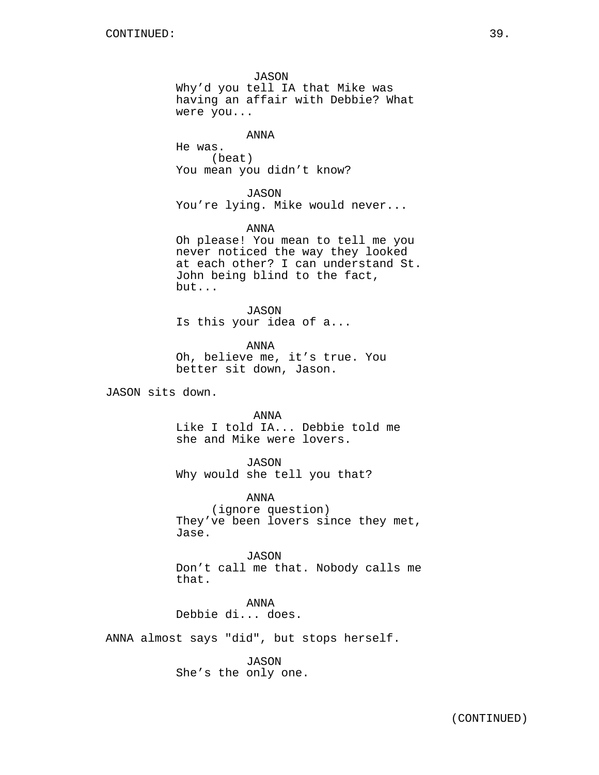JASON Why'd you tell IA that Mike was having an affair with Debbie? What were you...

ANNA

He was. (beat) You mean you didn't know?

JASON You're lying. Mike would never...

ANNA Oh please! You mean to tell me you never noticed the way they looked at each other? I can understand St. John being blind to the fact, but...

JASON Is this your idea of a...

ANNA Oh, believe me, it's true. You better sit down, Jason.

JASON sits down.

ANNA Like I told IA... Debbie told me she and Mike were lovers.

JASON Why would she tell you that?

ANNA (ignore question) They've been lovers since they met, Jase.

JASON Don't call me that. Nobody calls me that.

ANNA Debbie di... does.

ANNA almost says "did", but stops herself.

JASON She's the only one.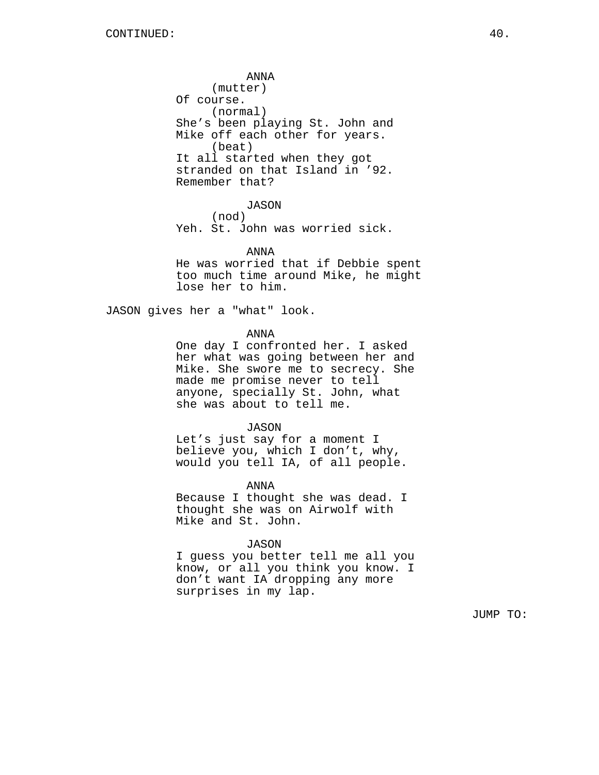ANNA (mutter) Of course. (normal) She's been playing St. John and Mike off each other for years. (beat) It all started when they got stranded on that Island in '92. Remember that?

JASON

(nod)

Yeh. St. John was worried sick.

ANNA

He was worried that if Debbie spent too much time around Mike, he might lose her to him.

JASON gives her a "what" look.

ANNA

One day I confronted her. I asked her what was going between her and Mike. She swore me to secrecy. She made me promise never to tell anyone, specially St. John, what she was about to tell me.

JASON

Let's just say for a moment I believe you, which I don't, why, would you tell IA, of all people.

ANNA

Because I thought she was dead. I thought she was on Airwolf with Mike and St. John.

JASON

I guess you better tell me all you know, or all you think you know. I don't want IA dropping any more surprises in my lap.

JUMP TO: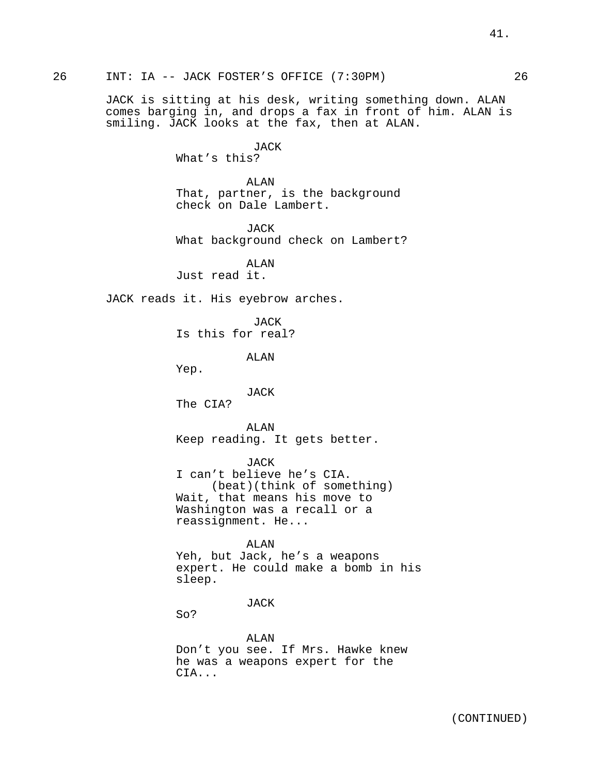26 INT: IA -- JACK FOSTER'S OFFICE (7:30PM) 26

JACK is sitting at his desk, writing something down. ALAN comes barging in, and drops a fax in front of him. ALAN is smiling. JACK looks at the fax, then at ALAN.

JACK

What's this?

ALAN That, partner, is the background check on Dale Lambert.

JACK What background check on Lambert?

ALAN Just read it.

JACK reads it. His eyebrow arches.

**JACK** Is this for real?

ALAN

Yep.

JACK

The CIA?

ALAN Keep reading. It gets better.

JACK I can't believe he's CIA. (beat)(think of something) Wait, that means his move to Washington was a recall or a reassignment. He...

ALAN Yeh, but Jack, he's a weapons expert. He could make a bomb in his sleep.

JACK

So?

ALAN Don't you see. If Mrs. Hawke knew he was a weapons expert for the CIA...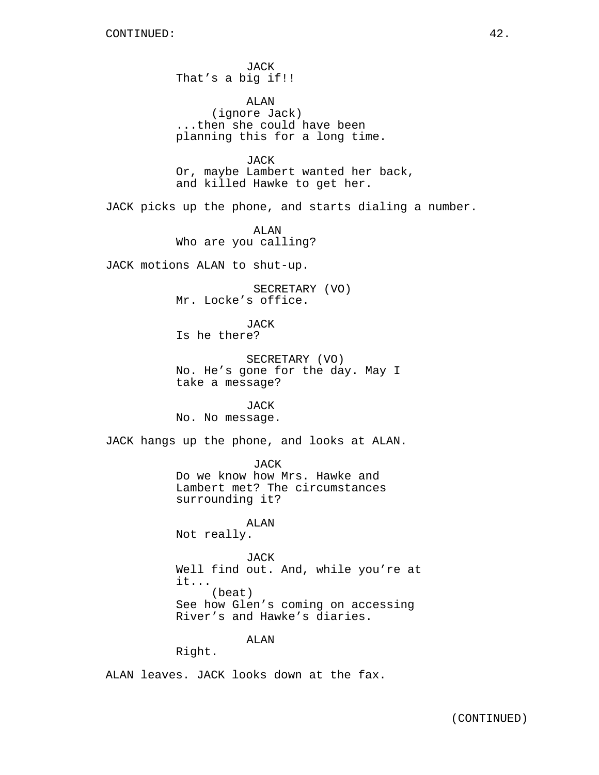JACK That's a big if!!

ALAN (ignore Jack) ...then she could have been planning this for a long time.

JACK Or, maybe Lambert wanted her back, and killed Hawke to get her.

JACK picks up the phone, and starts dialing a number.

ALAN Who are you calling?

JACK motions ALAN to shut-up.

SECRETARY (VO) Mr. Locke's office.

**JACK** Is he there?

SECRETARY (VO) No. He's gone for the day. May I take a message?

JACK No. No message.

JACK hangs up the phone, and looks at ALAN.

JACK

Do we know how Mrs. Hawke and Lambert met? The circumstances surrounding it?

ALAN Not really.

JACK Well find out. And, while you're at it... (beat) See how Glen's coming on accessing River's and Hawke's diaries.

ALAN

Right.

ALAN leaves. JACK looks down at the fax.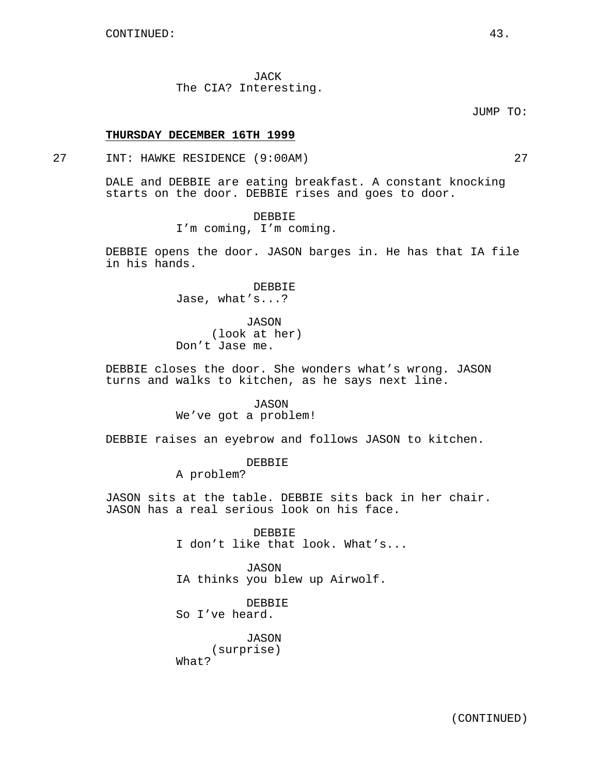JACK The CIA? Interesting.

JUMP TO:

### **THURSDAY DECEMBER 16TH 1999**

## 27 INT: HAWKE RESIDENCE (9:00AM) 27

DALE and DEBBIE are eating breakfast. A constant knocking starts on the door. DEBBIE rises and goes to door.

DEBBIE

I'm coming, I'm coming.

DEBBIE opens the door. JASON barges in. He has that IA file in his hands.

> DEBBIE Jase, what's...?

JASON (look at her) Don't Jase me.

DEBBIE closes the door. She wonders what's wrong. JASON turns and walks to kitchen, as he says next line.

> JASON We've got a problem!

DEBBIE raises an eyebrow and follows JASON to kitchen.

DEBBIE

A problem?

JASON sits at the table. DEBBIE sits back in her chair. JASON has a real serious look on his face.

> DEBBIE I don't like that look. What's...

JASON IA thinks you blew up Airwolf.

DEBBIE So I've heard.

JASON (surprise) What?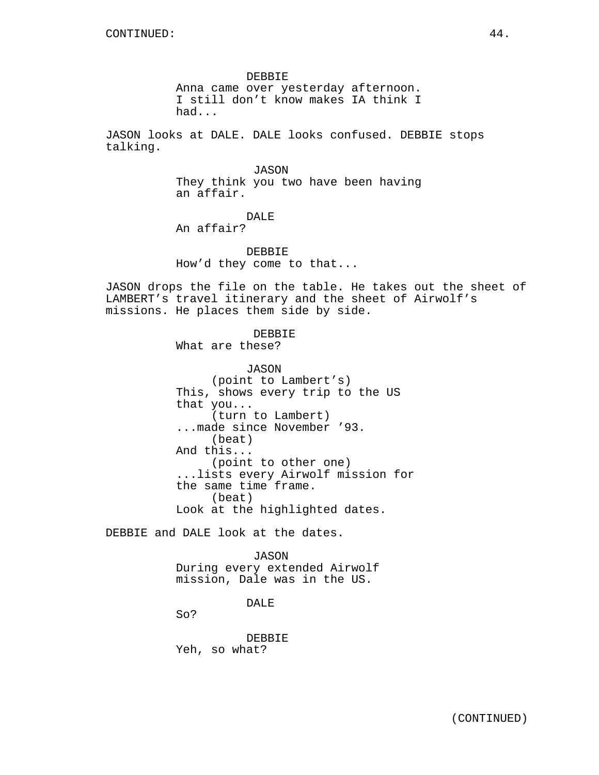DEBBIE Anna came over yesterday afternoon. I still don't know makes IA think I had...

JASON looks at DALE. DALE looks confused. DEBBIE stops talking.

> JASON They think you two have been having an affair.

## DALE

An affair?

DEBBIE How'd they come to that...

JASON drops the file on the table. He takes out the sheet of LAMBERT's travel itinerary and the sheet of Airwolf's missions. He places them side by side.

DEBBIE

What are these?

JASON (point to Lambert's) This, shows every trip to the US that you... (turn to Lambert) ...made since November '93. (beat) And this... (point to other one) ...lists every Airwolf mission for the same time frame. (beat) Look at the highlighted dates.

DEBBIE and DALE look at the dates.

JASON During every extended Airwolf mission, Dale was in the US.

DALE

So?

DEBBIE Yeh, so what?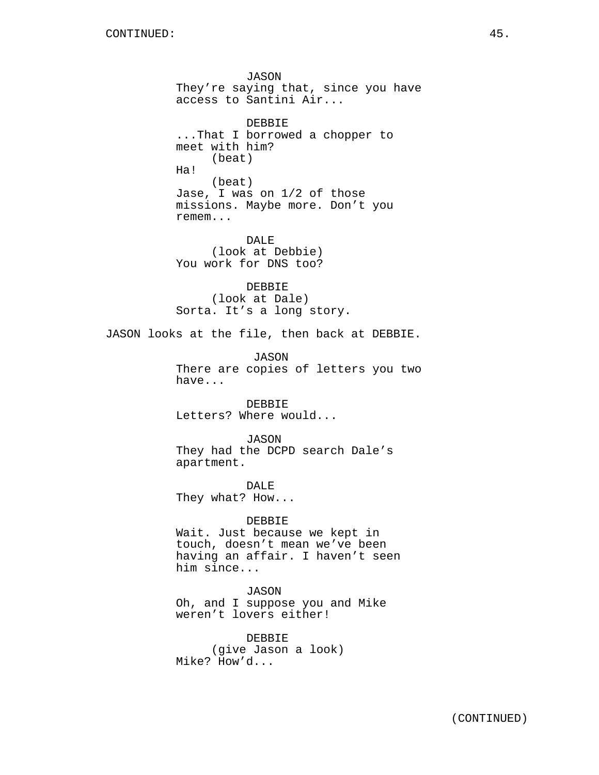JASON They're saying that, since you have access to Santini Air... DEBBIE ...That I borrowed a chopper to meet with him? (beat) Ha! (beat) Jase, I was on 1/2 of those missions. Maybe more. Don't you remem... DALE (look at Debbie) You work for DNS too? DEBBIE (look at Dale) Sorta. It's a long story. JASON looks at the file, then back at DEBBIE. JASON There are copies of letters you two have... DEBBIE Letters? Where would... JASON They had the DCPD search Dale's apartment. DALE They what? How... DEBBIE Wait. Just because we kept in touch, doesn't mean we've been having an affair. I haven't seen him since... JASON Oh, and I suppose you and Mike weren't lovers either! DEBBIE (give Jason a look) Mike? How'd...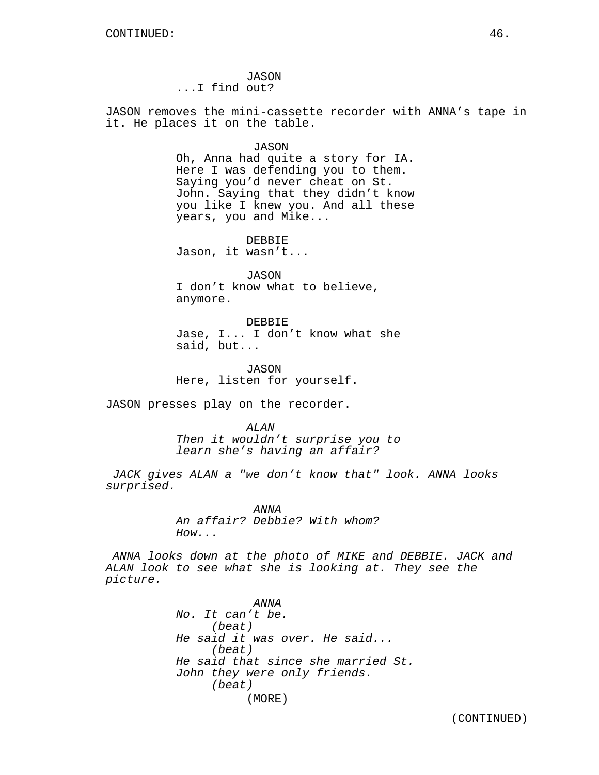JASON ...I find out?

JASON removes the mini-cassette recorder with ANNA's tape in it. He places it on the table.

JASON

Oh, Anna had quite a story for IA. Here I was defending you to them. Saying you'd never cheat on St. John. Saying that they didn't know you like I knew you. And all these years, you and Mike...

DEBBIE Jason, it wasn't...

JASON I don't know what to believe, anymore.

DEBBIE Jase, I... I don't know what she said, but...

JASON Here, listen for yourself.

JASON presses play on the recorder.

ALAN Then it wouldn't surprise you to learn she's having an affair?

JACK gives ALAN a "we don't know that" look. ANNA looks surprised.

> ANNA An affair? Debbie? With whom? How...

ANNA looks down at the photo of MIKE and DEBBIE. JACK and ALAN look to see what she is looking at. They see the picture.

> ANNA No. It can't be. (beat) He said it was over. He said... (beat) He said that since she married St. John they were only friends. (beat) (MORE)

(CONTINUED)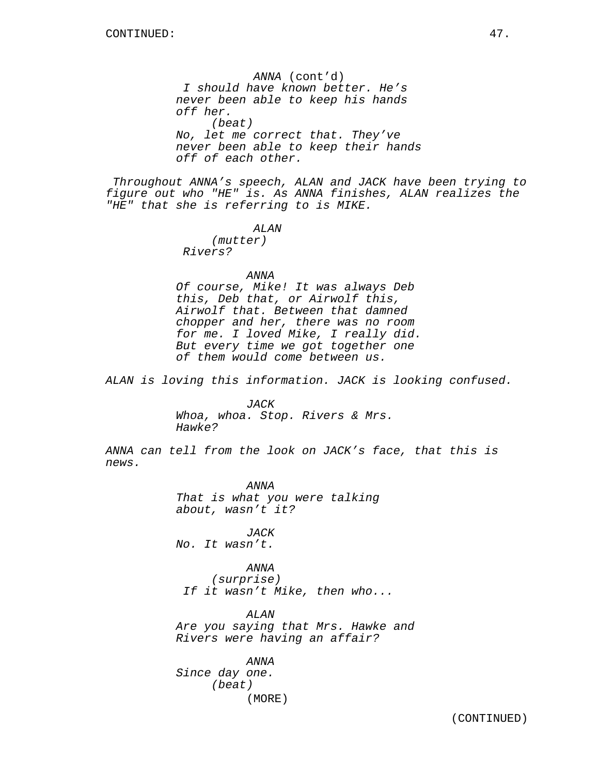ANNA (cont'd) I should have known better. He's never been able to keep his hands off her. (beat) No, let me correct that. They've never been able to keep their hands off of each other.

Throughout ANNA's speech, ALAN and JACK have been trying to figure out who "HE" is. As ANNA finishes, ALAN realizes the "HE" that she is referring to is MIKE.

### ALAN

(mutter) Rivers?

### ANNA

Of course, Mike! It was always Deb this, Deb that, or Airwolf this, Airwolf that. Between that damned chopper and her, there was no room for me. I loved Mike, I really did. But every time we got together one of them would come between us.

ALAN is loving this information. JACK is looking confused.

## JACK Whoa, whoa. Stop. Rivers & Mrs. Hawke?

ANNA can tell from the look on JACK's face, that this is news.

> ANNA That is what you were talking about, wasn't it?

JACK No. It wasn't.

## ANNA (surprise) If it wasn't Mike, then who...

ALAN Are you saying that Mrs. Hawke and Rivers were having an affair?

ANNA Since day one. (beat) (MORE)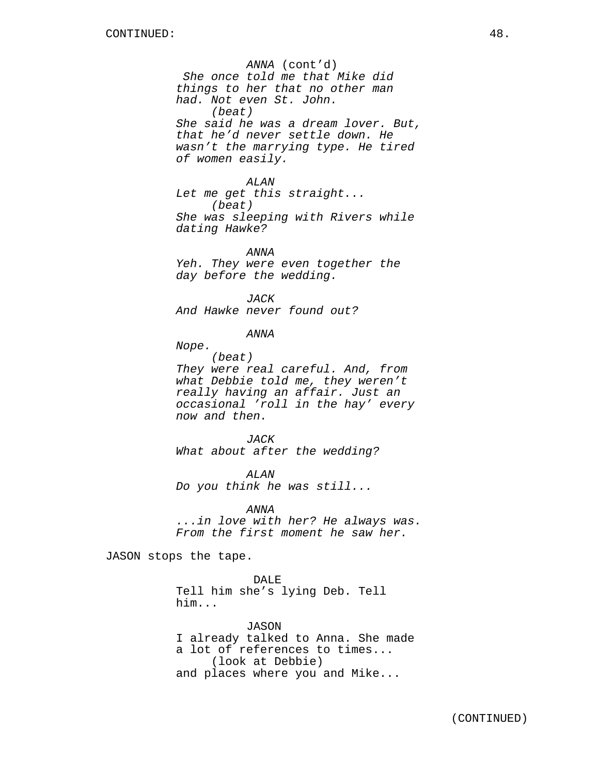ANNA (cont'd) She once told me that Mike did things to her that no other man had. Not even St. John. (beat) She said he was a dream lover. But, that he'd never settle down. He wasn't the marrying type. He tired of women easily.

ALAN Let me get this straight... (beat) She was sleeping with Rivers while dating Hawke?

ANNA Yeh. They were even together the day before the wedding.

JACK And Hawke never found out?

ANNA

Nope.

(beat) They were real careful. And, from what Debbie told me, they weren't really having an affair. Just an occasional 'roll in the hay' every now and then.

JACK What about after the wedding?

ALAN Do you think he was still...

ANNA ...in love with her? He always was. From the first moment he saw her.

JASON stops the tape.

DALE Tell him she's lying Deb. Tell him...

JASON I already talked to Anna. She made a lot of references to times... (look at Debbie) and places where you and Mike...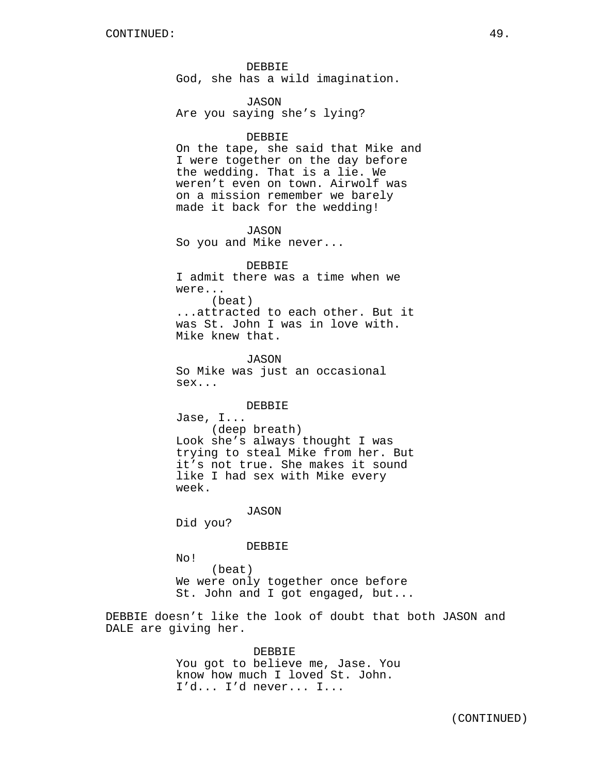DEBBIE God, she has a wild imagination.

JASON Are you saying she's lying?

#### DEBBIE

On the tape, she said that Mike and I were together on the day before the wedding. That is a lie. We weren't even on town. Airwolf was on a mission remember we barely made it back for the wedding!

JASON So you and Mike never...

DEBBIE I admit there was a time when we were... (beat) ...attracted to each other. But it was St. John I was in love with. Mike knew that.

JASON So Mike was just an occasional sex...

DEBBIE

Jase, I... (deep breath) Look she's always thought I was trying to steal Mike from her. But it's not true. She makes it sound like I had sex with Mike every week.

JASON

Did you?

DEBBIE

No!

(beat) We were only together once before St. John and I got engaged, but...

DEBBIE doesn't like the look of doubt that both JASON and DALE are giving her.

> DEBBIE You got to believe me, Jase. You know how much I loved St. John. I'd... I'd never... I...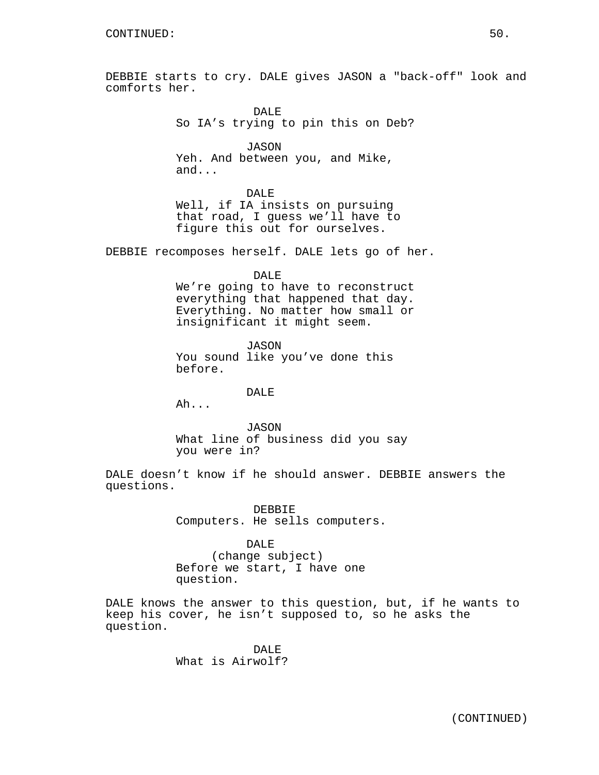DEBBIE starts to cry. DALE gives JASON a "back-off" look and comforts her.

> DAL<sub>E</sub> So IA's trying to pin this on Deb?

JASON Yeh. And between you, and Mike, and...

DALE Well, if IA insists on pursuing that road, I guess we'll have to figure this out for ourselves.

DEBBIE recomposes herself. DALE lets go of her.

DALE We're going to have to reconstruct everything that happened that day. Everything. No matter how small or insignificant it might seem.

JASON You sound like you've done this before.

DALE

Ah...

JASON What line of business did you say you were in?

DALE doesn't know if he should answer. DEBBIE answers the questions.

> DEBBIE Computers. He sells computers.

DALE (change subject) Before we start, I have one question.

DALE knows the answer to this question, but, if he wants to keep his cover, he isn't supposed to, so he asks the question.

> DALE<sup>1</sup> What is Airwolf?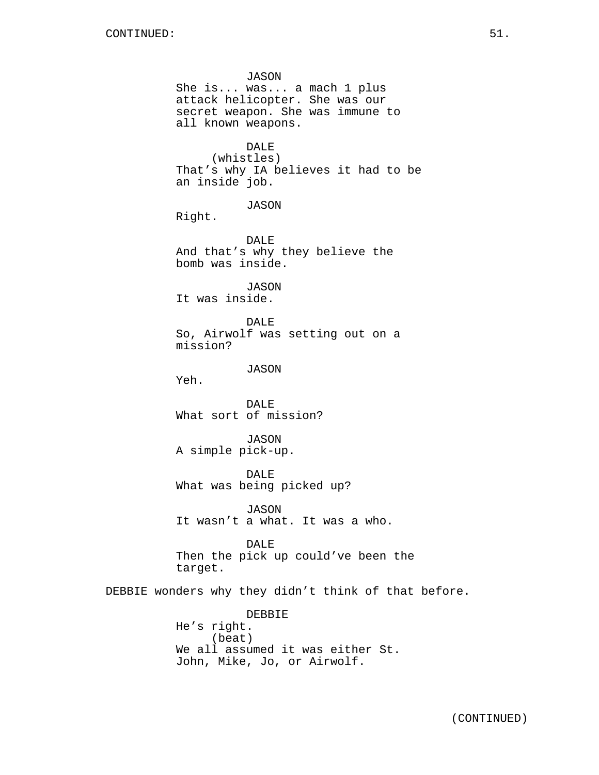JASON She is... was... a mach 1 plus attack helicopter. She was our secret weapon. She was immune to all known weapons. DALE (whistles) That's why IA believes it had to be an inside job. JASON Right. DALE And that's why they believe the bomb was inside. JASON It was inside. DALE So, Airwolf was setting out on a mission? JASON Yeh. DALE What sort of mission? JASON A simple pick-up. DALE What was being picked up? JASON It wasn't a what. It was a who. DALE Then the pick up could've been the target. DEBBIE wonders why they didn't think of that before. DEBBIE He's right. (beat) We all assumed it was either St. John, Mike, Jo, or Airwolf.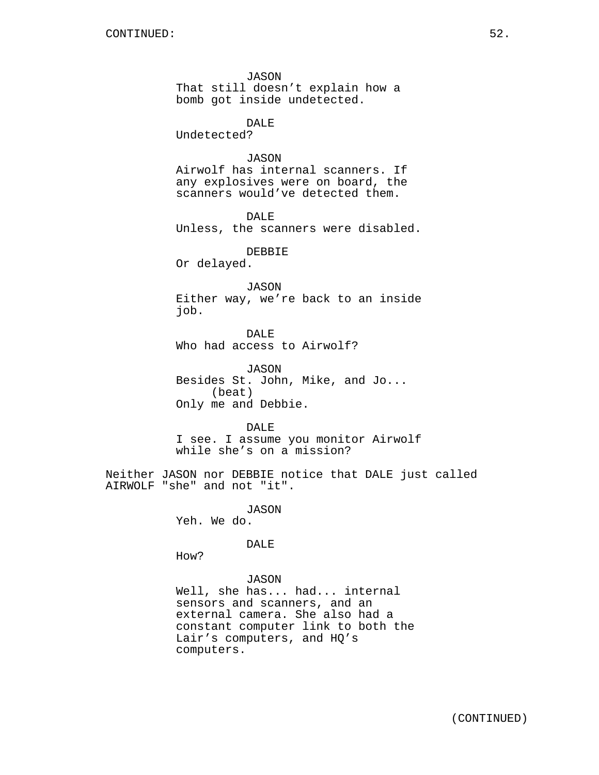JASON That still doesn't explain how a bomb got inside undetected.

DALE

Undetected?

## **JASON**

Airwolf has internal scanners. If any explosives were on board, the scanners would've detected them.

DALE Unless, the scanners were disabled.

DEBBIE

Or delayed.

JASON Either way, we're back to an inside job.

DALE Who had access to Airwolf?

JASON Besides St. John, Mike, and Jo... (beat) Only me and Debbie.

DALE I see. I assume you monitor Airwolf

while she's on a mission?

Neither JASON nor DEBBIE notice that DALE just called AIRWOLF "she" and not "it".

> JASON Yeh. We do.

> > DALE

How?

JASON Well, she has... had... internal sensors and scanners, and an external camera. She also had a constant computer link to both the Lair's computers, and HQ's computers.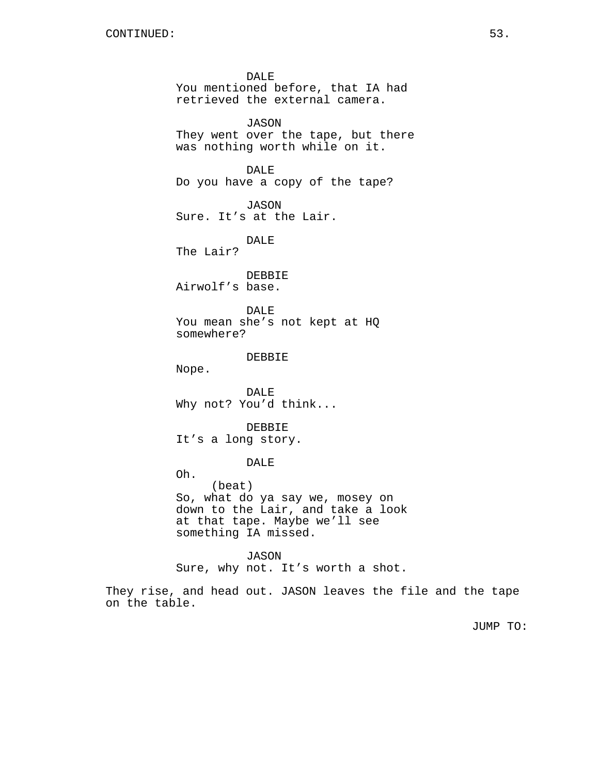DALE You mentioned before, that IA had retrieved the external camera. JASON They went over the tape, but there was nothing worth while on it. DALE Do you have a copy of the tape? JASON Sure. It's at the Lair. DALE The Lair? DEBBIE Airwolf's base. DALE You mean she's not kept at HQ somewhere? DEBBIE Nope. DALE Why not? You'd think... DEBBIE It's a long story. DALE Oh. (beat) So, what do ya say we, mosey on down to the Lair, and take a look at that tape. Maybe we'll see something IA missed. JASON

Sure, why not. It's worth a shot.

They rise, and head out. JASON leaves the file and the tape on the table.

JUMP TO: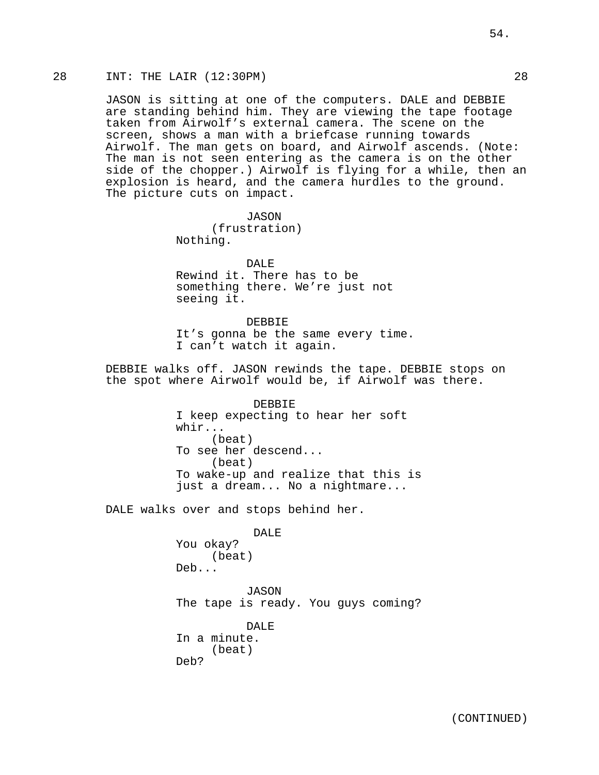## 28 INT: THE LAIR (12:30PM) 28

JASON is sitting at one of the computers. DALE and DEBBIE are standing behind him. They are viewing the tape footage taken from Airwolf's external camera. The scene on the screen, shows a man with a briefcase running towards Airwolf. The man gets on board, and Airwolf ascends. (Note: The man is not seen entering as the camera is on the other side of the chopper.) Airwolf is flying for a while, then an explosion is heard, and the camera hurdles to the ground. The picture cuts on impact.

> JASON (frustration) Nothing.

DALE Rewind it. There has to be something there. We're just not seeing it.

DEBBIE It's gonna be the same every time. I can't watch it again.

DEBBIE walks off. JASON rewinds the tape. DEBBIE stops on the spot where Airwolf would be, if Airwolf was there.

> DEBBIE I keep expecting to hear her soft whir... (beat) To see her descend... (beat) To wake-up and realize that this is just a dream... No a nightmare...

DALE walks over and stops behind her.

DALE You okay? (beat) Deb...

JASON The tape is ready. You guys coming?

DALE In a minute. (beat) Deb?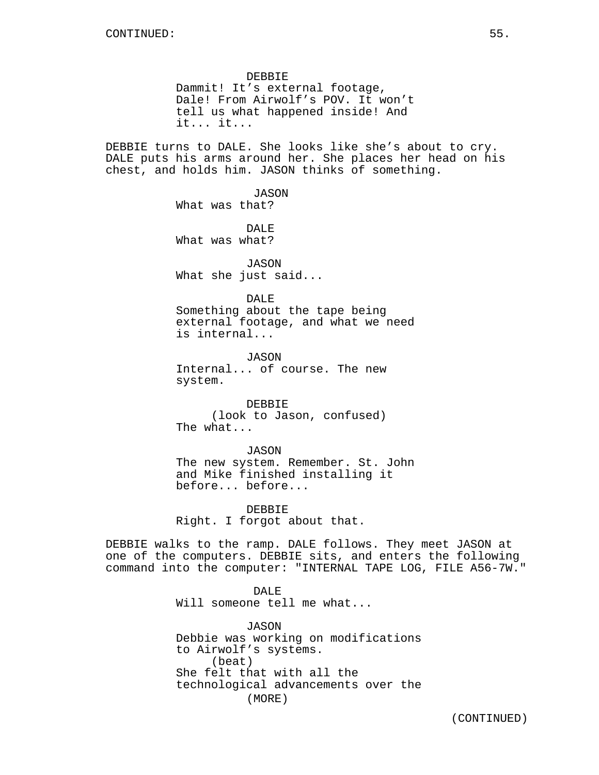DEBBIE Dammit! It's external footage, Dale! From Airwolf's POV. It won't tell us what happened inside! And it... it...

DEBBIE turns to DALE. She looks like she's about to cry. DALE puts his arms around her. She places her head on his chest, and holds him. JASON thinks of something.

> JASON What was that?

DALE What was what?

JASON What she just said...

DALE Something about the tape being external footage, and what we need is internal...

JASON Internal... of course. The new system.

DEBBIE (look to Jason, confused) The what...

JASON The new system. Remember. St. John and Mike finished installing it

before... before...

DEBBIE Right. I forgot about that.

DEBBIE walks to the ramp. DALE follows. They meet JASON at one of the computers. DEBBIE sits, and enters the following command into the computer: "INTERNAL TAPE LOG, FILE A56-7W."

> DALE Will someone tell me what...

JASON Debbie was working on modifications to Airwolf's systems. (beat) She felt that with all the technological advancements over the (MORE)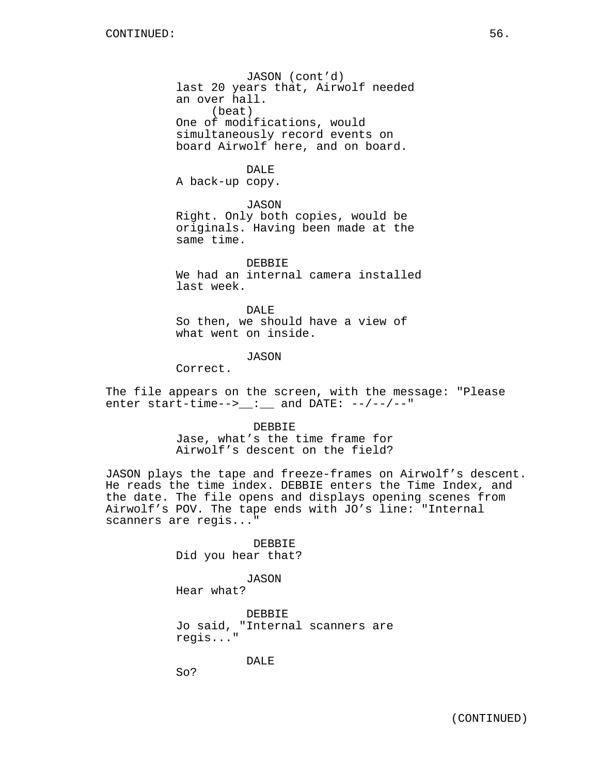JASON (cont'd) last 20 years that, Airwolf needed an over hall. (beat) One of modifications, would simultaneously record events on board Airwolf here, and on board.

## DALE

A back-up copy.

JASON

Right. Only both copies, would be originals. Having been made at the same time.

DEBBIE We had an internal camera installed last week.

DALE So then, we should have a view of what went on inside.

JASON

Correct.

The file appears on the screen, with the message: "Please enter start-time--> $\frac{1}{\sqrt{2}}$  and DATE: --/--/--"

> DEBBIE Jase, what's the time frame for Airwolf's descent on the field?

JASON plays the tape and freeze-frames on Airwolf's descent. He reads the time index. DEBBIE enters the Time Index, and the date. The file opens and displays opening scenes from Airwolf's POV. The tape ends with JO's line: "Internal scanners are regis..."

> DEBBIE Did you hear that?

> > JASON

Hear what?

DEBBIE Jo said, "Internal scanners are regis..."

DALE

So?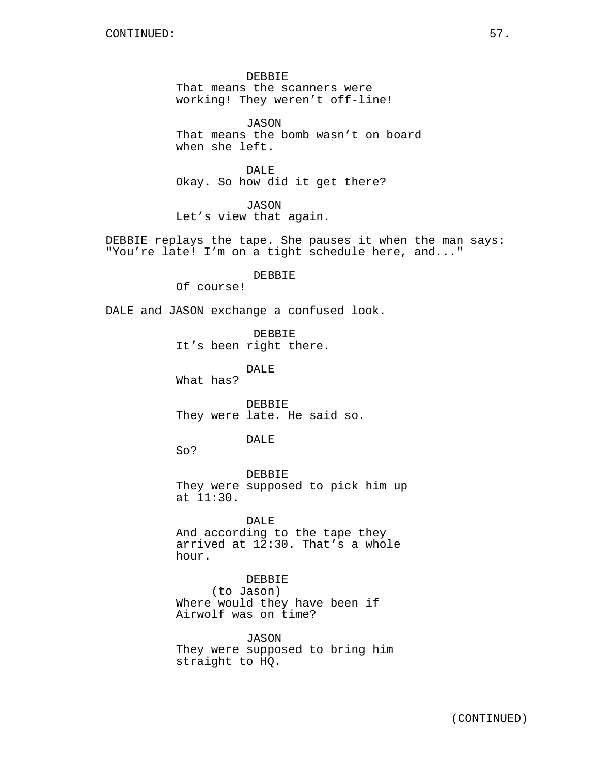DEBBIE That means the scanners were working! They weren't off-line!

JASON That means the bomb wasn't on board when she left.

DALE Okay. So how did it get there?

JASON Let's view that again.

DEBBIE replays the tape. She pauses it when the man says: "You're late! I'm on a tight schedule here, and..."

DEBBIE

Of course!

DALE and JASON exchange a confused look.

DEBBIE It's been right there.

DALE

What has?

DEBBIE They were late. He said so.

#### DALE

So?

DEBBIE They were supposed to pick him up at 11:30.

DALE And according to the tape they arrived at 12:30. That's a whole hour.

DEBBIE (to Jason) Where would they have been if Airwolf was on time?

JASON They were supposed to bring him straight to HQ.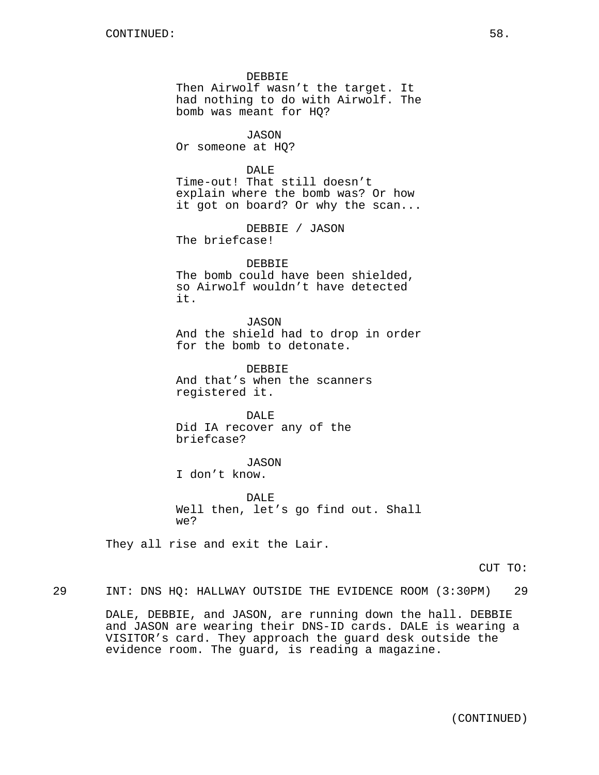DEBBIE Then Airwolf wasn't the target. It had nothing to do with Airwolf. The bomb was meant for HQ?

JASON Or someone at HQ?

DALE Time-out! That still doesn't explain where the bomb was? Or how it got on board? Or why the scan...

DEBBIE / JASON The briefcase!

DEBBIE The bomb could have been shielded, so Airwolf wouldn't have detected it.

JASON And the shield had to drop in order for the bomb to detonate.

DEBBIE And that's when the scanners registered it.

DALE Did IA recover any of the briefcase?

JASON

I don't know.

DALE Well then, let's go find out. Shall we?

They all rise and exit the Lair.

CUT TO:

29 INT: DNS HQ: HALLWAY OUTSIDE THE EVIDENCE ROOM (3:30PM) 29

DALE, DEBBIE, and JASON, are running down the hall. DEBBIE and JASON are wearing their DNS-ID cards. DALE is wearing a VISITOR's card. They approach the guard desk outside the evidence room. The guard, is reading a magazine.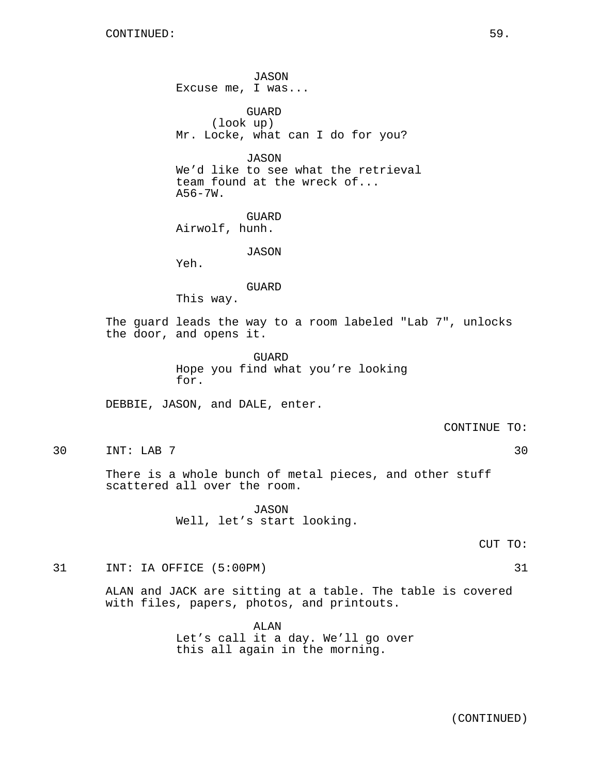JASON Excuse me, I was... GUARD (look up) Mr. Locke, what can I do for you? JASON We'd like to see what the retrieval team found at the wreck of...  $A56-7W.$ GUARD Airwolf, hunh. JASON Yeh. GUARD This way. The guard leads the way to a room labeled "Lab 7", unlocks the door, and opens it. GUARD Hope you find what you're looking for. DEBBIE, JASON, and DALE, enter. CONTINUE TO: 30 INT: LAB 7 30

> There is a whole bunch of metal pieces, and other stuff scattered all over the room.

> > JASON Well, let's start looking.

> > > CUT TO:

31 INT: IA OFFICE (5:00PM) 31

ALAN and JACK are sitting at a table. The table is covered with files, papers, photos, and printouts.

> ALAN Let's call it a day. We'll go over this all again in the morning.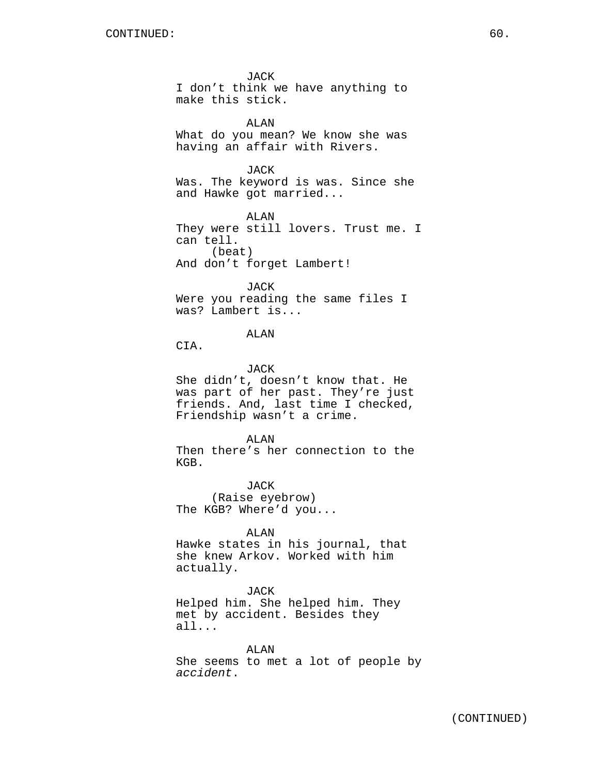JACK I don't think we have anything to make this stick.

ALAN What do you mean? We know she was having an affair with Rivers.

JACK

Was. The keyword is was. Since she and Hawke got married...

ALAN They were still lovers. Trust me. I can tell. (beat) And don't forget Lambert!

JACK Were you reading the same files I was? Lambert is...

ALAN

CIA.

JACK

She didn't, doesn't know that. He was part of her past. They're just friends. And, last time I checked, Friendship wasn't a crime.

ALAN

Then there's her connection to the KGB.

JACK (Raise eyebrow) The KGB? Where'd you...

ALAN

Hawke states in his journal, that she knew Arkov. Worked with him actually.

JACK

Helped him. She helped him. They met by accident. Besides they all...

ALAN She seems to met a lot of people by accident.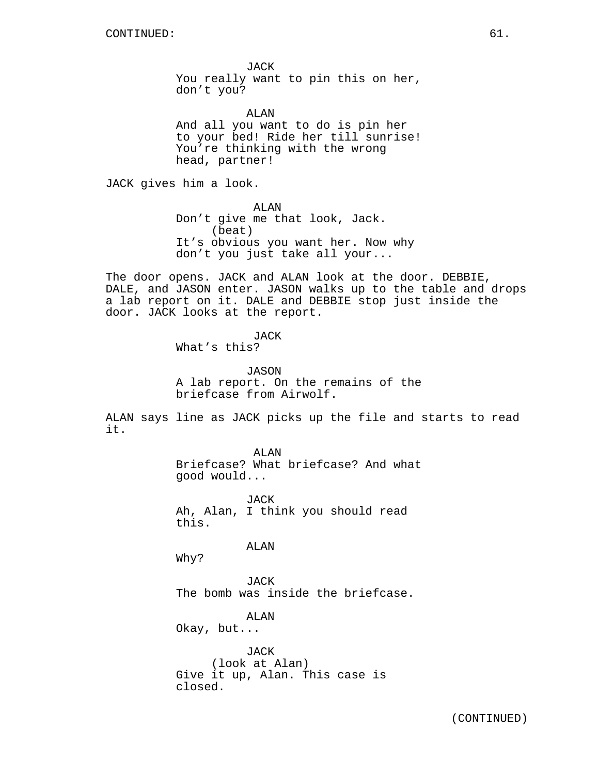JACK You really want to pin this on her, don't you?

ALAN And all you want to do is pin her to your bed! Ride her till sunrise! You're thinking with the wrong head, partner!

JACK gives him a look.

ALAN Don't give me that look, Jack. (beat) It's obvious you want her. Now why don't you just take all your...

The door opens. JACK and ALAN look at the door. DEBBIE, DALE, and JASON enter. JASON walks up to the table and drops a lab report on it. DALE and DEBBIE stop just inside the door. JACK looks at the report.

JACK

What's this?

JASON

A lab report. On the remains of the briefcase from Airwolf.

ALAN says line as JACK picks up the file and starts to read it.

> ALAN Briefcase? What briefcase? And what good would...

JACK Ah, Alan, I think you should read this.

ALAN

Why?

JACK The bomb was inside the briefcase.

ALAN Okay, but...

JACK (look at Alan) Give it up, Alan. This case is closed.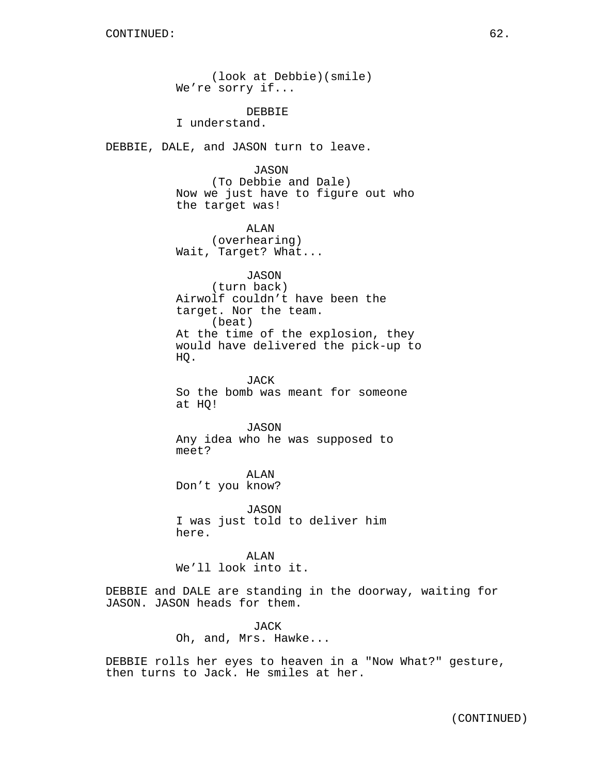(look at Debbie)(smile) We're sorry if... DEBBIE I understand. DEBBIE, DALE, and JASON turn to leave. JASON (To Debbie and Dale) Now we just have to figure out who the target was! ALAN (overhearing) Wait, Target? What... JASON (turn back) Airwolf couldn't have been the target. Nor the team. (beat) At the time of the explosion, they would have delivered the pick-up to HQ. JACK So the bomb was meant for someone at HQ! JASON Any idea who he was supposed to meet? ALAN Don't you know? JASON I was just told to deliver him here. ALAN We'll look into it. DEBBIE and DALE are standing in the doorway, waiting for JASON. JASON heads for them.

> JACK Oh, and, Mrs. Hawke...

DEBBIE rolls her eyes to heaven in a "Now What?" gesture, then turns to Jack. He smiles at her.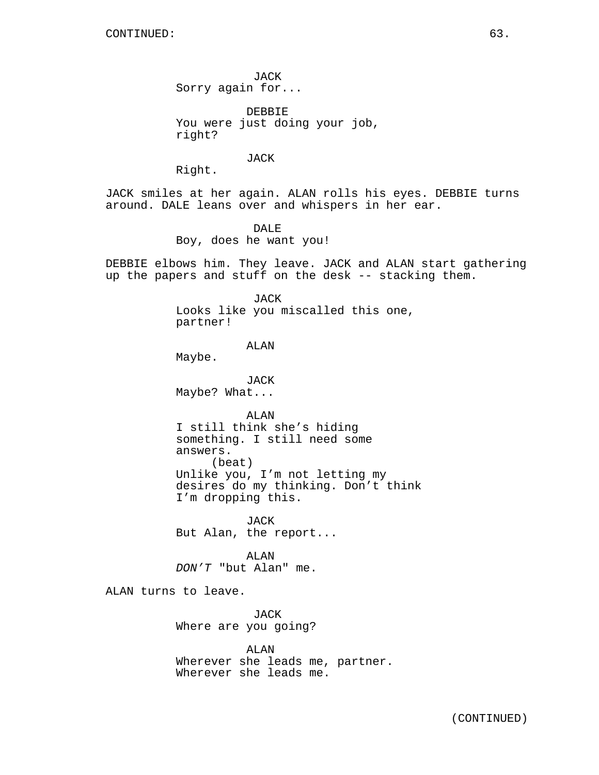JACK Sorry again for...

DEBBIE You were just doing your job, right?

JACK

Right.

JACK smiles at her again. ALAN rolls his eyes. DEBBIE turns around. DALE leans over and whispers in her ear.

> DALE Boy, does he want you!

DEBBIE elbows him. They leave. JACK and ALAN start gathering up the papers and stuff on the desk -- stacking them.

> JACK Looks like you miscalled this one, partner!

> > ALAN

Maybe.

JACK Maybe? What...

ALAN I still think she's hiding something. I still need some answers. (beat) Unlike you, I'm not letting my desires do my thinking. Don't think I'm dropping this.

JACK But Alan, the report...

ALAN DON'T "but Alan" me.

ALAN turns to leave.

JACK Where are you going?

ALAN Wherever she leads me, partner. Wherever she leads me.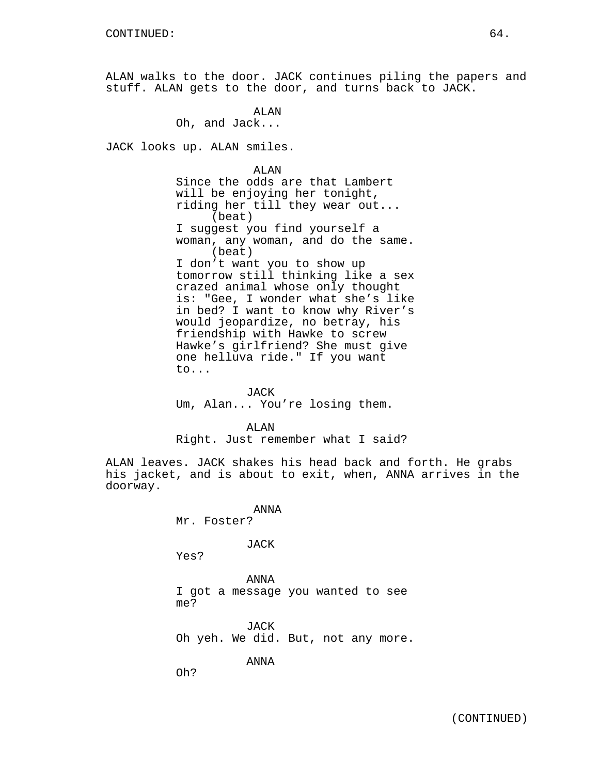ALAN walks to the door. JACK continues piling the papers and stuff. ALAN gets to the door, and turns back to JACK.

> ALAN Oh, and Jack...

JACK looks up. ALAN smiles.

ALAN Since the odds are that Lambert will be enjoying her tonight, riding her till they wear out... (beat) I suggest you find yourself a woman, any woman, and do the same. (beat) I don't want you to show up tomorrow still thinking like a sex crazed animal whose only thought is: "Gee, I wonder what she's like in bed? I want to know why River's would jeopardize, no betray, his friendship with Hawke to screw Hawke's girlfriend? She must give one helluva ride." If you want to...

JACK Um, Alan... You're losing them.

ALAN Right. Just remember what I said?

ALAN leaves. JACK shakes his head back and forth. He grabs his jacket, and is about to exit, when, ANNA arrives in the doorway.

> ANNA Mr. Foster?

> > JACK

Yes?

ANNA I got a message you wanted to see me?

JACK Oh yeh. We did. But, not any more.

ANNA

Oh?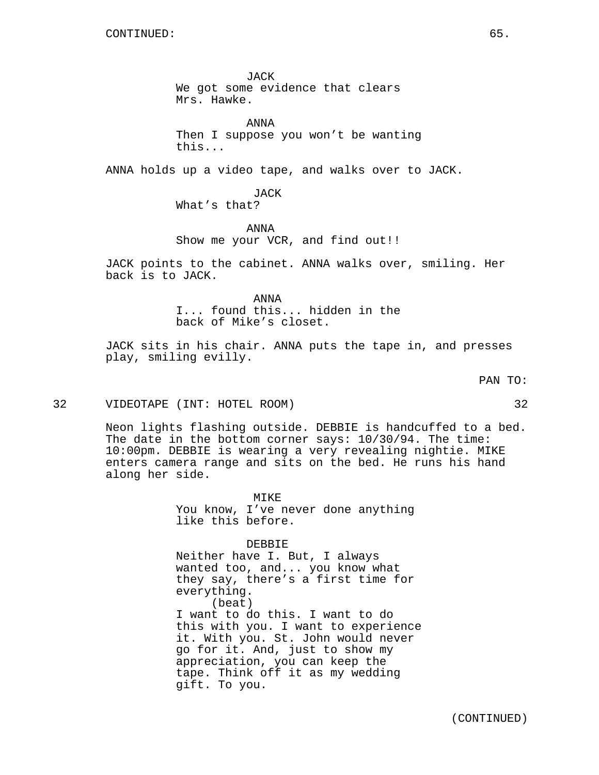JACK We got some evidence that clears Mrs. Hawke.

ANNA Then I suppose you won't be wanting this...

ANNA holds up a video tape, and walks over to JACK.

JACK What's that?

ANNA Show me your VCR, and find out!!

JACK points to the cabinet. ANNA walks over, smiling. Her back is to JACK.

> ANNA I... found this... hidden in the back of Mike's closet.

JACK sits in his chair. ANNA puts the tape in, and presses play, smiling evilly.

32 VIDEOTAPE (INT: HOTEL ROOM) 32

Neon lights flashing outside. DEBBIE is handcuffed to a bed. The date in the bottom corner says: 10/30/94. The time: 10:00pm. DEBBIE is wearing a very revealing nightie. MIKE enters camera range and sits on the bed. He runs his hand along her side.

> MIKE You know, I've never done anything like this before.

> > DEBBIE

Neither have I. But, I always wanted too, and... you know what they say, there's a first time for everything. (beat) I want to do this. I want to do this with you. I want to experience it. With you. St. John would never go for it. And, just to show my appreciation, you can keep the tape. Think off it as my wedding gift. To you.

PAN TO: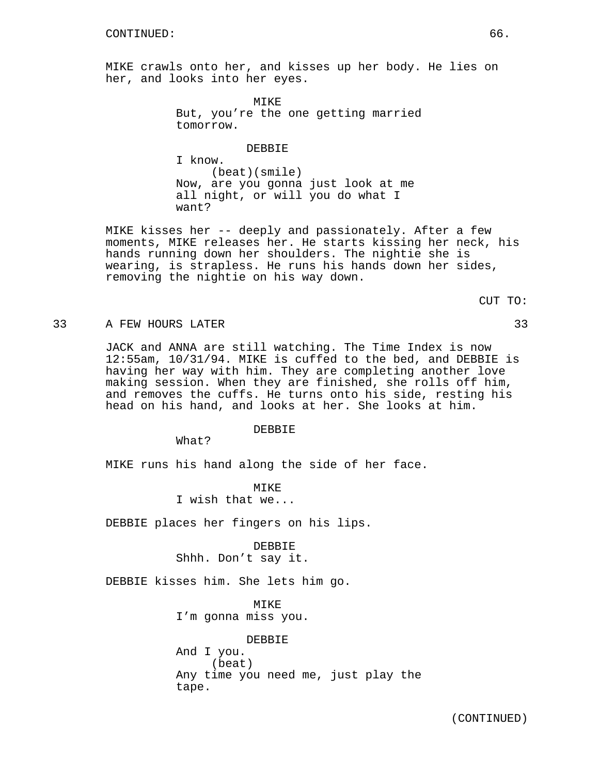MIKE crawls onto her, and kisses up her body. He lies on her, and looks into her eyes.

> MIKE But, you're the one getting married tomorrow.

> > DEBBIE

(beat)(smile) Now, are you gonna just look at me all night, or will you do what I want?

MIKE kisses her -- deeply and passionately. After a few moments, MIKE releases her. He starts kissing her neck, his hands running down her shoulders. The nightie she is wearing, is strapless. He runs his hands down her sides, removing the nightie on his way down.

CUT TO:

## 33 A FEW HOURS LATER 33

JACK and ANNA are still watching. The Time Index is now 12:55am, 10/31/94. MIKE is cuffed to the bed, and DEBBIE is having her way with him. They are completing another love making session. When they are finished, she rolls off him, and removes the cuffs. He turns onto his side, resting his head on his hand, and looks at her. She looks at him.

### DEBBIE

What?

I know.

MIKE runs his hand along the side of her face.

MIKE I wish that we...

DEBBIE places her fingers on his lips.

DEBBIE Shhh. Don't say it.

DEBBIE kisses him. She lets him go.

MTKE. I'm gonna miss you.

DEBBIE And I you. (beat) Any time you need me, just play the tape.

(CONTINUED)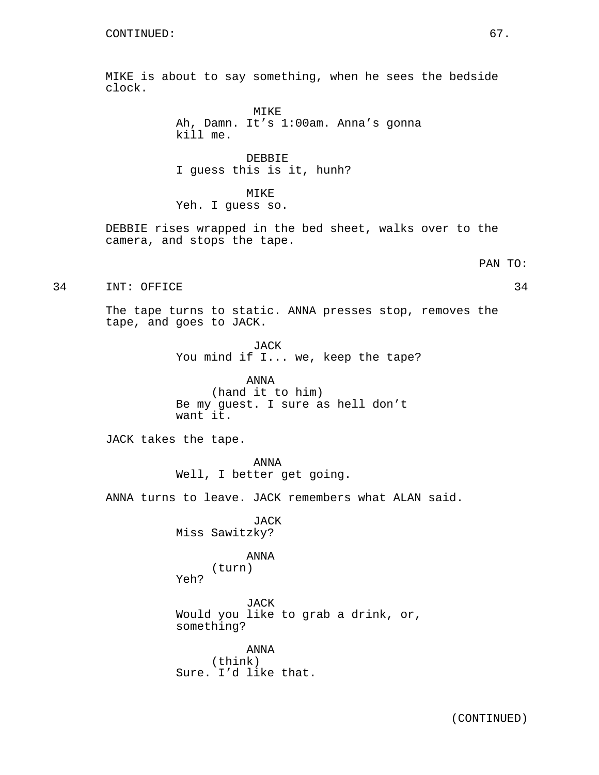MIKE is about to say something, when he sees the bedside clock.

> MIKE Ah, Damn. It's 1:00am. Anna's gonna kill me.

DEBBIE I guess this is it, hunh?

MIKE Yeh. I guess so.

DEBBIE rises wrapped in the bed sheet, walks over to the camera, and stops the tape.

PAN TO:

34 INT: OFFICE 34

The tape turns to static. ANNA presses stop, removes the tape, and goes to JACK.

> JACK You mind if I... we, keep the tape?

ANNA (hand it to him) Be my guest. I sure as hell don't want it.

JACK takes the tape.

ANNA Well, I better get going.

ANNA turns to leave. JACK remembers what ALAN said.

**JACK** Miss Sawitzky?

# ANNA

(turn)

Yeh?

JACK Would you like to grab a drink, or, something?

ANNA (think) Sure. I'd like that.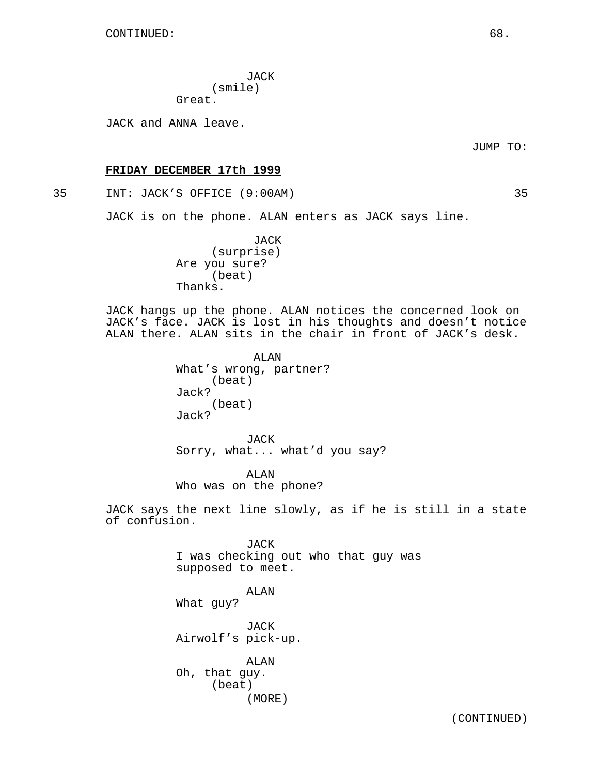JACK (smile) Great.

JACK and ANNA leave.

JUMP TO:

### **FRIDAY DECEMBER 17th 1999**

35 INT: JACK'S OFFICE (9:00AM) 35

JACK is on the phone. ALAN enters as JACK says line.

JACK (surprise) Are you sure? (beat) Thanks.

JACK hangs up the phone. ALAN notices the concerned look on JACK's face. JACK is lost in his thoughts and doesn't notice ALAN there. ALAN sits in the chair in front of JACK's desk.

> ALAN What's wrong, partner? (beat) Jack? (beat) Jack?

JACK Sorry, what... what'd you say?

ALAN Who was on the phone?

JACK says the next line slowly, as if he is still in a state of confusion.

> JACK I was checking out who that guy was supposed to meet.

ALAN What guy?

JACK Airwolf's pick-up.

ALAN Oh, that guy. (beat) (MORE)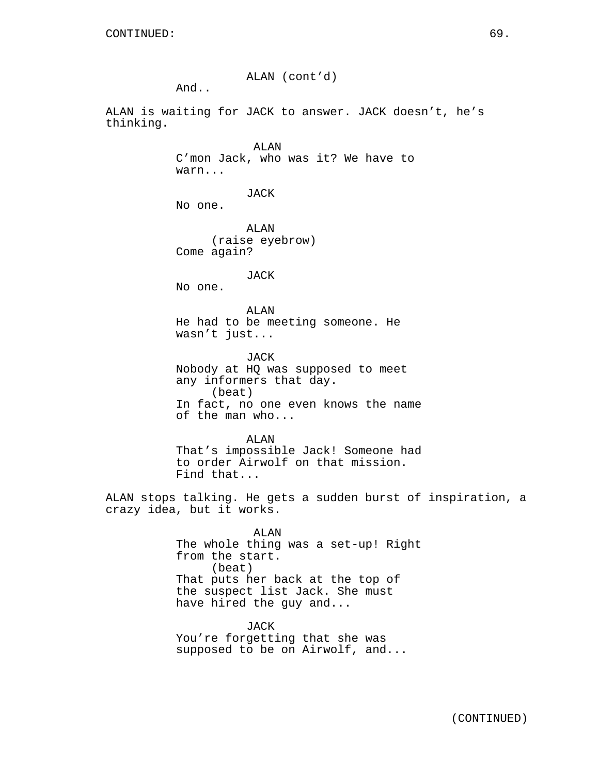ALAN (cont'd)

And..

ALAN is waiting for JACK to answer. JACK doesn't, he's thinking.

> ALAN C'mon Jack, who was it? We have to warn...

> > JACK

No one.

ALAN (raise eyebrow) Come again?

JACK

No one.

ALAN He had to be meeting someone. He wasn't just...

JACK Nobody at HQ was supposed to meet any informers that day. (beat) In fact, no one even knows the name of the man who...

ALAN That's impossible Jack! Someone had to order Airwolf on that mission. Find that...

ALAN stops talking. He gets a sudden burst of inspiration, a crazy idea, but it works.

> ALAN The whole thing was a set-up! Right from the start. (beat) That puts her back at the top of the suspect list Jack. She must have hired the guy and...

JACK You're forgetting that she was supposed to be on Airwolf, and...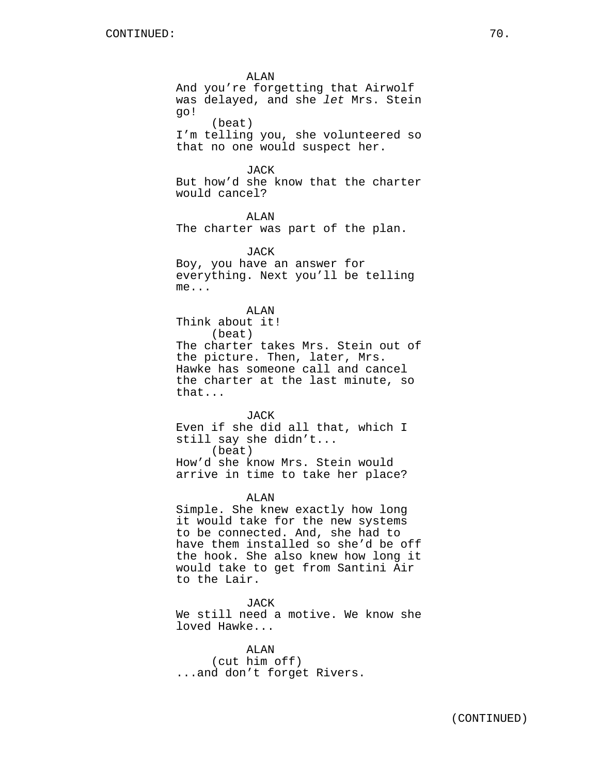ALAN And you're forgetting that Airwolf was delayed, and she let Mrs. Stein go!

(beat) I'm telling you, she volunteered so that no one would suspect her.

JACK

But how'd she know that the charter would cancel?

ALAN The charter was part of the plan.

JACK Boy, you have an answer for everything. Next you'll be telling me...

ALAN Think about it! (beat) The charter takes Mrs. Stein out of the picture. Then, later, Mrs. Hawke has someone call and cancel the charter at the last minute, so that...

JACK Even if she did all that, which I still say she didn't... (beat)

How'd she know Mrs. Stein would arrive in time to take her place?

ALAN

Simple. She knew exactly how long it would take for the new systems to be connected. And, she had to have them installed so she'd be off the hook. She also knew how long it would take to get from Santini Air to the Lair.

JACK We still need a motive. We know she loved Hawke...

ALAN (cut him off) ...and don't forget Rivers.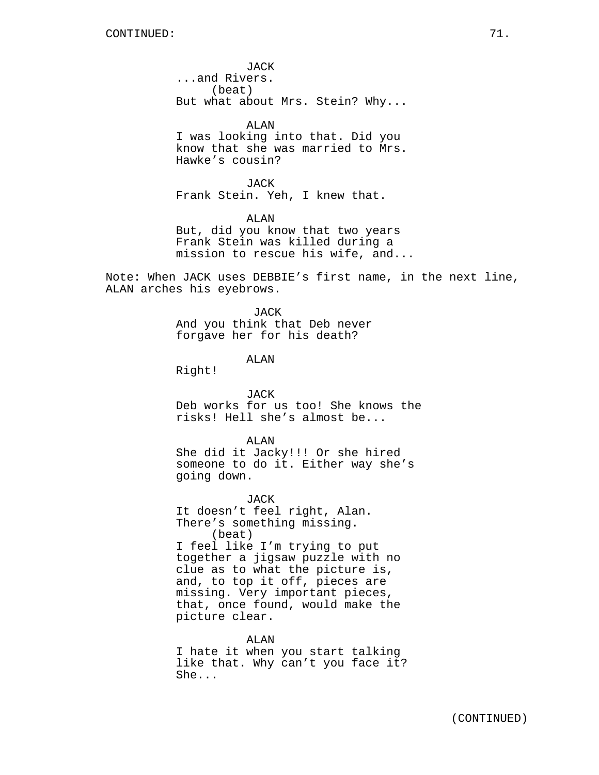JACK ...and Rivers. (beat) But what about Mrs. Stein? Why...

ALAN I was looking into that. Did you know that she was married to Mrs. Hawke's cousin?

JACK Frank Stein. Yeh, I knew that.

ALAN But, did you know that two years Frank Stein was killed during a mission to rescue his wife, and...

Note: When JACK uses DEBBIE's first name, in the next line, ALAN arches his eyebrows.

> **JACK** And you think that Deb never forgave her for his death?

> > ALAN

Right!

### JACK

Deb works for us too! She knows the risks! Hell she's almost be...

ALAN

She did it Jacky!!! Or she hired someone to do it. Either way she's going down.

JACK It doesn't feel right, Alan. There's something missing. (beat) I feel like I'm trying to put together a jigsaw puzzle with no clue as to what the picture is, and, to top it off, pieces are missing. Very important pieces, that, once found, would make the picture clear.

ALAN I hate it when you start talking like that. Why can't you face it? She...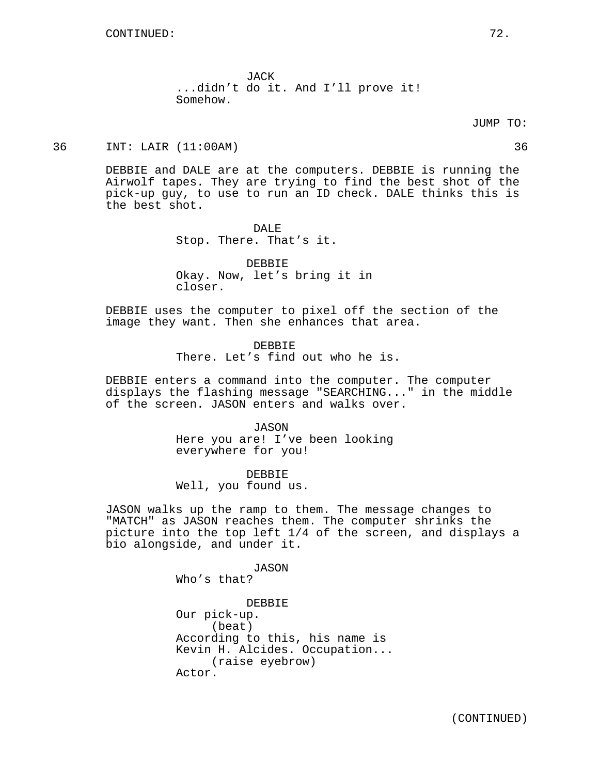JACK ...didn't do it. And I'll prove it! Somehow.

#### JUMP TO:

36 INT: LAIR (11:00AM) 36

DEBBIE and DALE are at the computers. DEBBIE is running the Airwolf tapes. They are trying to find the best shot of the pick-up guy, to use to run an ID check. DALE thinks this is the best shot.

> DALE Stop. There. That's it.

DEBBIE Okay. Now, let's bring it in closer.

DEBBIE uses the computer to pixel off the section of the image they want. Then she enhances that area.

> DEBBIE There. Let's find out who he is.

DEBBIE enters a command into the computer. The computer displays the flashing message "SEARCHING..." in the middle of the screen. JASON enters and walks over.

> JASON Here you are! I've been looking everywhere for you!

DEBBIE Well, you found us.

JASON walks up the ramp to them. The message changes to "MATCH" as JASON reaches them. The computer shrinks the picture into the top left 1/4 of the screen, and displays a bio alongside, and under it.

> JASON Who's that? DEBBIE Our pick-up. (beat) According to this, his name is Kevin H. Alcides. Occupation... (raise eyebrow) Actor.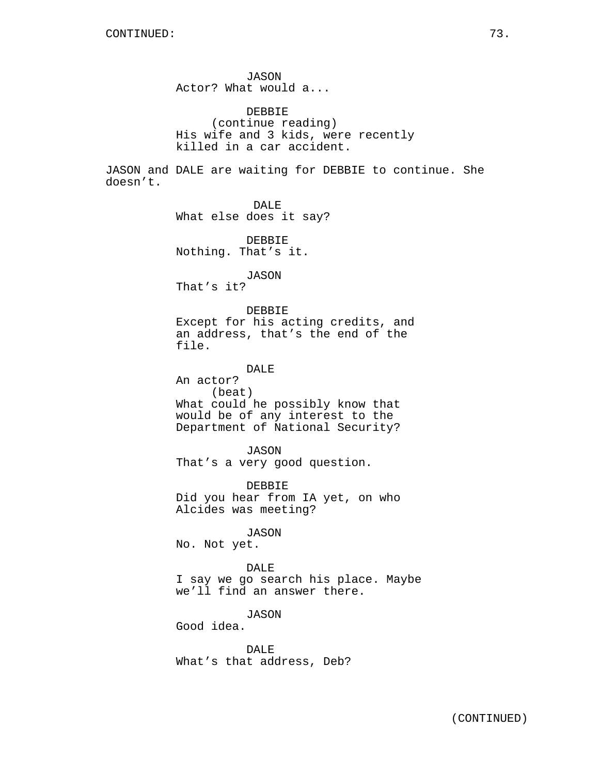JASON Actor? What would a...

DEBBIE (continue reading) His wife and 3 kids, were recently killed in a car accident.

JASON and DALE are waiting for DEBBIE to continue. She doesn't.

DALE What else does it say? DEBBIE Nothing. That's it. JASON That's it? DEBBIE Except for his acting credits, and an address, that's the end of the file. DALE An actor? (beat) What could he possibly know that would be of any interest to the Department of National Security? JASON That's a very good question. DEBBIE Did you hear from IA yet, on who Alcides was meeting? JASON No. Not yet. DALE I say we go search his place. Maybe we'll find an answer there. JASON Good idea. DALE What's that address, Deb?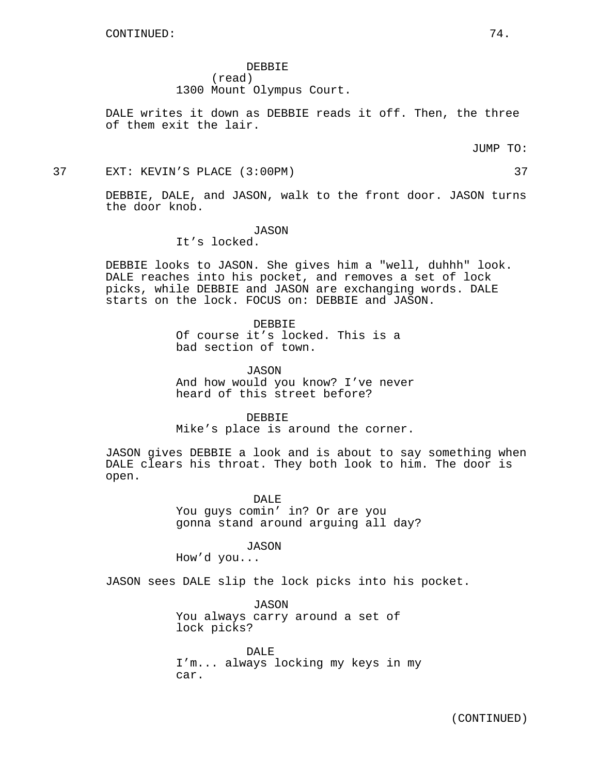DEBBIE (read) 1300 Mount Olympus Court.

DALE writes it down as DEBBIE reads it off. Then, the three of them exit the lair.

JUMP TO:

37 EXT: KEVIN'S PLACE (3:00PM) 37

DEBBIE, DALE, and JASON, walk to the front door. JASON turns the door knob.

JASON

It's locked.

DEBBIE looks to JASON. She gives him a "well, duhhh" look. DALE reaches into his pocket, and removes a set of lock picks, while DEBBIE and JASON are exchanging words. DALE starts on the lock. FOCUS on: DEBBIE and JASON.

> DEBBIE Of course it's locked. This is a bad section of town.

JASON And how would you know? I've never heard of this street before?

DEBBIE Mike's place is around the corner.

JASON gives DEBBIE a look and is about to say something when DALE clears his throat. They both look to him. The door is open.

> DALE You guys comin' in? Or are you gonna stand around arguing all day?

JASON How'd you...

JASON sees DALE slip the lock picks into his pocket.

JASON You always carry around a set of lock picks?

DALE I'm... always locking my keys in my car.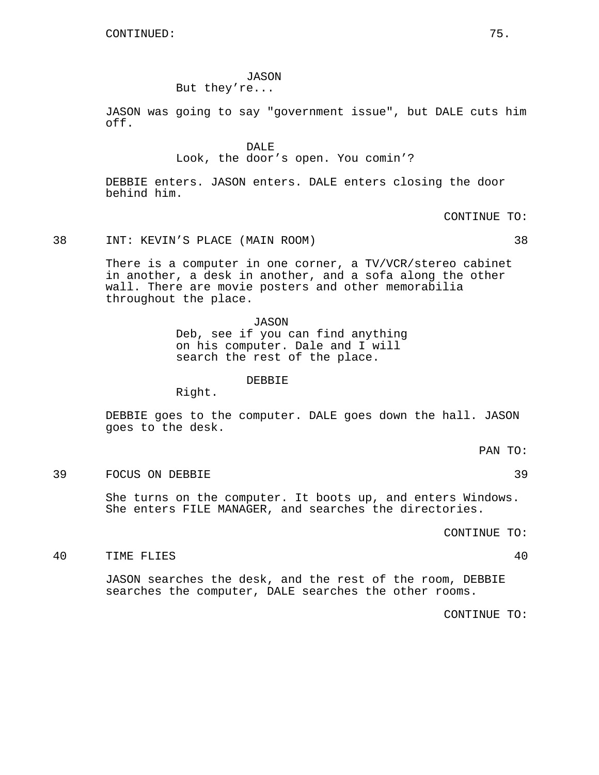JASON

But they're...

JASON was going to say "government issue", but DALE cuts him off.

> DALE Look, the door's open. You comin'?

DEBBIE enters. JASON enters. DALE enters closing the door behind him.

CONTINUE TO:

# 38 INT: KEVIN'S PLACE (MAIN ROOM) 38

There is a computer in one corner, a TV/VCR/stereo cabinet in another, a desk in another, and a sofa along the other wall. There are movie posters and other memorabilia throughout the place.

> JASON Deb, see if you can find anything on his computer. Dale and I will search the rest of the place.

> > DEBBIE

Right.

DEBBIE goes to the computer. DALE goes down the hall. JASON goes to the desk.

PAN TO:

39 FOCUS ON DEBBIE 39

She turns on the computer. It boots up, and enters Windows. She enters FILE MANAGER, and searches the directories.

CONTINUE TO:

# 40 TIME FLIES 40

JASON searches the desk, and the rest of the room, DEBBIE searches the computer, DALE searches the other rooms.

CONTINUE TO: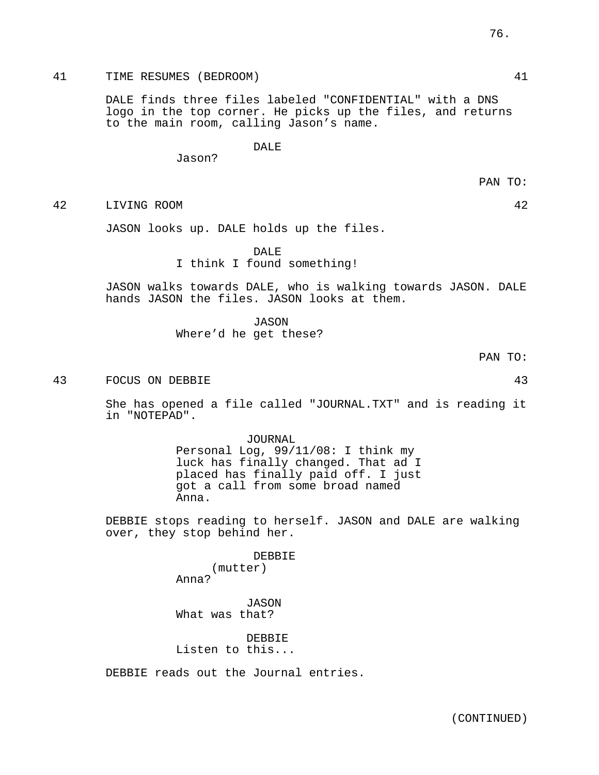# 41 TIME RESUMES (BEDROOM) 41

DALE finds three files labeled "CONFIDENTIAL" with a DNS logo in the top corner. He picks up the files, and returns to the main room, calling Jason's name.

DALE

Jason?

42 LIVING ROOM 42

JASON looks up. DALE holds up the files.

DAL<sub>E</sub>

I think I found something!

JASON walks towards DALE, who is walking towards JASON. DALE hands JASON the files. JASON looks at them.

> JASON Where'd he get these?

> > PAN TO:

43 FOCUS ON DEBBIE 43

She has opened a file called "JOURNAL.TXT" and is reading it in "NOTEPAD".

> JOURNAL Personal Log, 99/11/08: I think my luck has finally changed. That ad I placed has finally paid off. I just got a call from some broad named Anna.

DEBBIE stops reading to herself. JASON and DALE are walking over, they stop behind her.

> DEBBIE (mutter) Anna?

JASON What was that?

DEBBIE Listen to this...

DEBBIE reads out the Journal entries.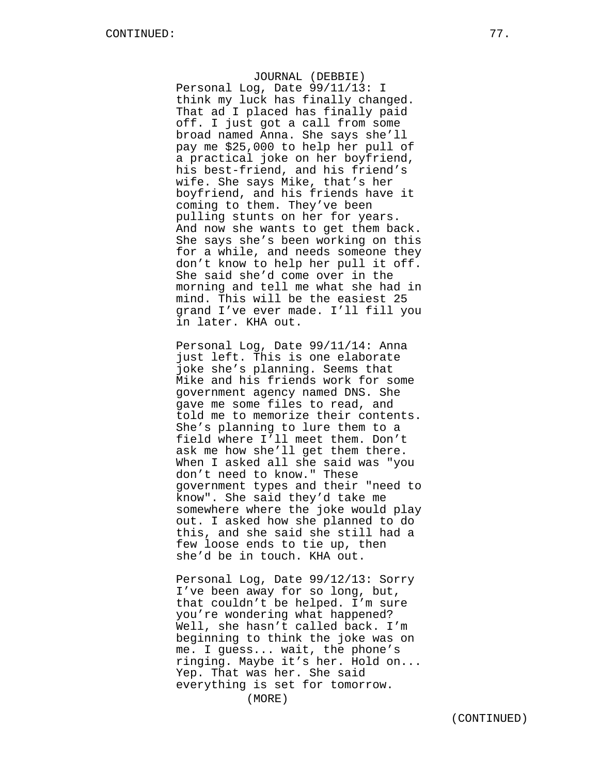JOURNAL (DEBBIE) Personal Log, Date 99/11/13: I think my luck has finally changed. That ad I placed has finally paid off. I just got a call from some broad named Anna. She says she'll pay me \$25,000 to help her pull of a practical joke on her boyfriend, his best-friend, and his friend's wife. She says Mike, that's her boyfriend, and his friends have it coming to them. They've been pulling stunts on her for years. And now she wants to get them back. She says she's been working on this for a while, and needs someone they don't know to help her pull it off. She said she'd come over in the morning and tell me what she had in mind. This will be the easiest 25 grand I've ever made. I'll fill you in later. KHA out.

Personal Log, Date 99/11/14: Anna just left. This is one elaborate joke she's planning. Seems that Mike and his friends work for some government agency named DNS. She gave me some files to read, and told me to memorize their contents. She's planning to lure them to a field where I'll meet them. Don't ask me how she'll get them there. When I asked all she said was "you don't need to know." These government types and their "need to know". She said they'd take me somewhere where the joke would play out. I asked how she planned to do this, and she said she still had a few loose ends to tie up, then she'd be in touch. KHA out.

Personal Log, Date 99/12/13: Sorry I've been away for so long, but, that couldn't be helped. I'm sure you're wondering what happened? Well, she hasn't called back. I'm beginning to think the joke was on me. I guess... wait, the phone's ringing. Maybe it's her. Hold on... Yep. That was her. She said everything is set for tomorrow.

(MORE)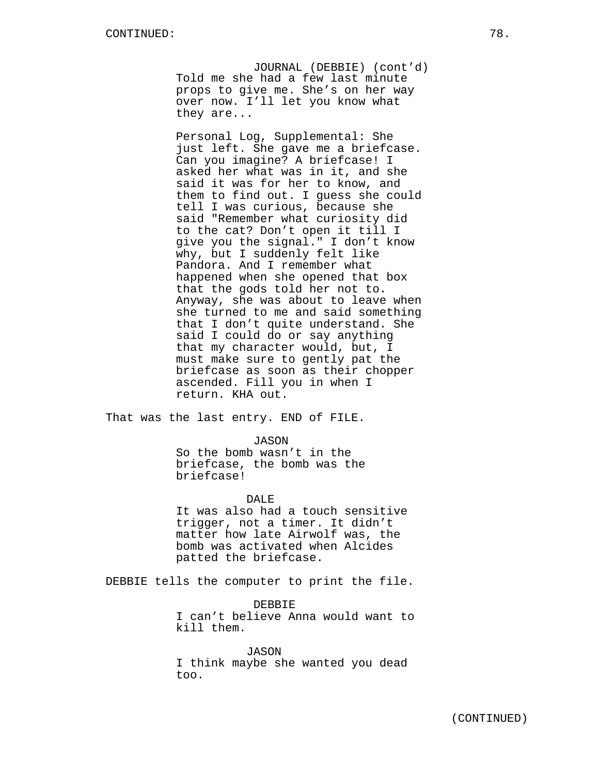JOURNAL (DEBBIE) (cont'd) Told me she had a few last minute props to give me. She's on her way over now. I'll let you know what they are...

Personal Log, Supplemental: She just left. She gave me a briefcase. Can you imagine? A briefcase! I asked her what was in it, and she said it was for her to know, and them to find out. I guess she could tell I was curious, because she said "Remember what curiosity did to the cat? Don't open it till I give you the signal." I don't know why, but I suddenly felt like Pandora. And I remember what happened when she opened that box that the gods told her not to. Anyway, she was about to leave when she turned to me and said something that I don't quite understand. She said I could do or say anything that my character would, but, I must make sure to gently pat the briefcase as soon as their chopper ascended. Fill you in when I return. KHA out.

That was the last entry. END of FILE.

JASON

So the bomb wasn't in the briefcase, the bomb was the briefcase!

# DALE

It was also had a touch sensitive trigger, not a timer. It didn't matter how late Airwolf was, the bomb was activated when Alcides patted the briefcase.

DEBBIE tells the computer to print the file.

DEBBIE I can't believe Anna would want to kill them.

JASON I think maybe she wanted you dead too.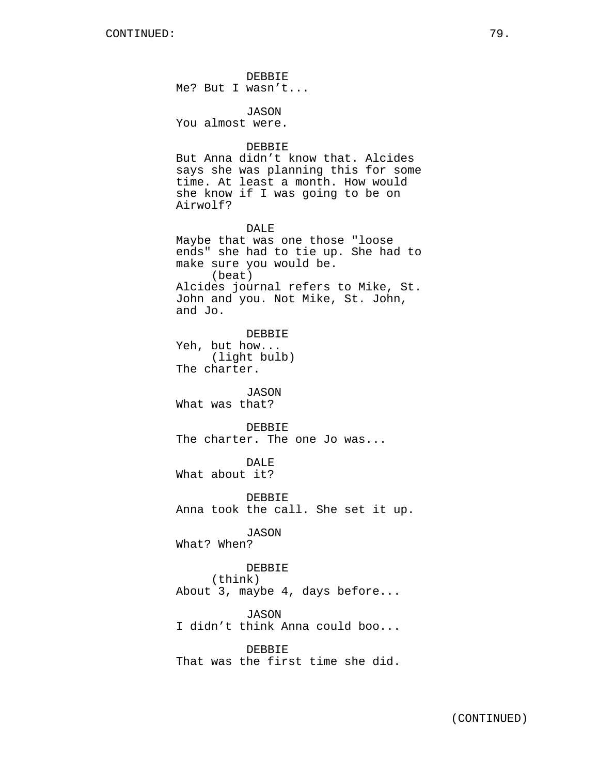DEBBIE Me? But I wasn't...

JASON You almost were.

#### DEBBIE

But Anna didn't know that. Alcides says she was planning this for some time. At least a month. How would she know if I was going to be on Airwolf?

DALE Maybe that was one those "loose ends" she had to tie up. She had to make sure you would be. (beat) Alcides journal refers to Mike, St. John and you. Not Mike, St. John, and Jo.

DEBBIE Yeh, but how... (light bulb) The charter.

JASON What was that?

### DEBBIE

The charter. The one Jo was...

DALE

What about it?

DEBBIE Anna took the call. She set it up.

JASON What? When?

DEBBIE

(think)

About 3, maybe 4, days before...

JASON

I didn't think Anna could boo...

DEBBIE

That was the first time she did.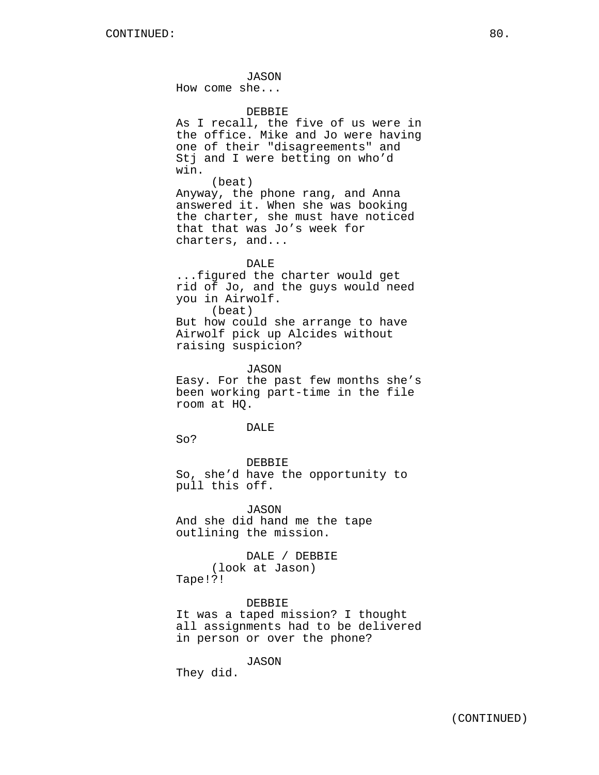JASON How come she... DEBBIE As I recall, the five of us were in the office. Mike and Jo were having one of their "disagreements" and Stj and I were betting on who'd win. (beat) Anyway, the phone rang, and Anna answered it. When she was booking the charter, she must have noticed that that was Jo's week for charters, and... DALE ...figured the charter would get rid of Jo, and the guys would need you in Airwolf. (beat) But how could she arrange to have Airwolf pick up Alcides without raising suspicion? JASON Easy. For the past few months she's been working part-time in the file room at HQ. DAL<sub>E</sub> So? DEBBIE So, she'd have the opportunity to pull this off. JASON And she did hand me the tape outlining the mission. DALE / DEBBIE (look at Jason)

Tape!?!

DEBBIE It was a taped mission? I thought all assignments had to be delivered in person or over the phone?

JASON They did.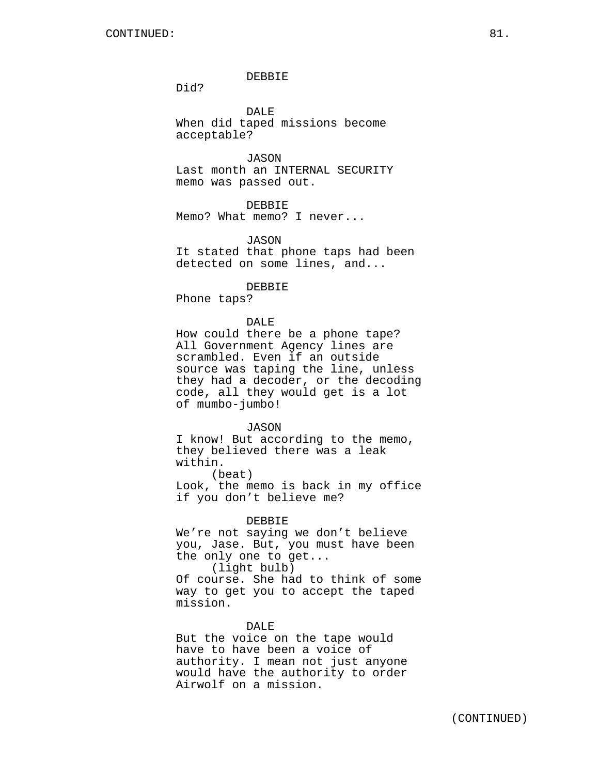### DEBBIE

Did?

DALE When did taped missions become acceptable?

JASON Last month an INTERNAL SECURITY memo was passed out.

### DEBBIE

Memo? What memo? I never...

### JASON

It stated that phone taps had been detected on some lines, and...

#### DEBBIE

Phone taps?

### DALE

How could there be a phone tape? All Government Agency lines are scrambled. Even if an outside source was taping the line, unless they had a decoder, or the decoding code, all they would get is a lot of mumbo-jumbo!

#### JASON

I know! But according to the memo, they believed there was a leak within.

(beat) Look, the memo is back in my office if you don't believe me?

#### DEBBIE

We're not saying we don't believe you, Jase. But, you must have been the only one to get...

(light bulb)

Of course. She had to think of some way to get you to accept the taped mission.

### DALE

But the voice on the tape would have to have been a voice of authority. I mean not just anyone would have the authority to order Airwolf on a mission.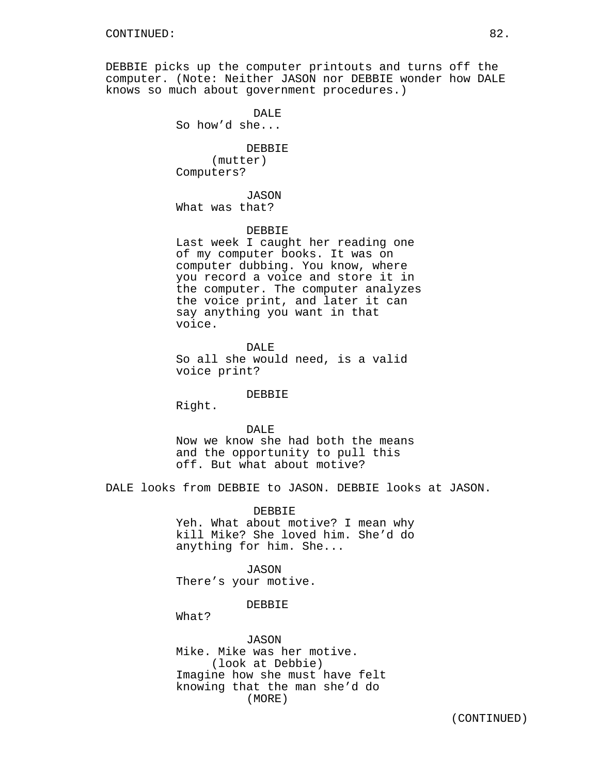DEBBIE picks up the computer printouts and turns off the computer. (Note: Neither JASON nor DEBBIE wonder how DALE knows so much about government procedures.)

> DALE So how'd she... DEBBIE (mutter) Computers?

JASON What was that?

### DEBBIE

Last week I caught her reading one of my computer books. It was on computer dubbing. You know, where you record a voice and store it in the computer. The computer analyzes the voice print, and later it can say anything you want in that voice.

DALE So all she would need, is a valid voice print?

#### DEBBIE

Right.

#### DALE<sup></sup>

Now we know she had both the means and the opportunity to pull this off. But what about motive?

DALE looks from DEBBIE to JASON. DEBBIE looks at JASON.

DEBBIE Yeh. What about motive? I mean why kill Mike? She loved him. She'd do anything for him. She...

JASON There's your motive.

### DEBBIE

What?

JASON Mike. Mike was her motive. (look at Debbie) Imagine how she must have felt knowing that the man she'd do (MORE)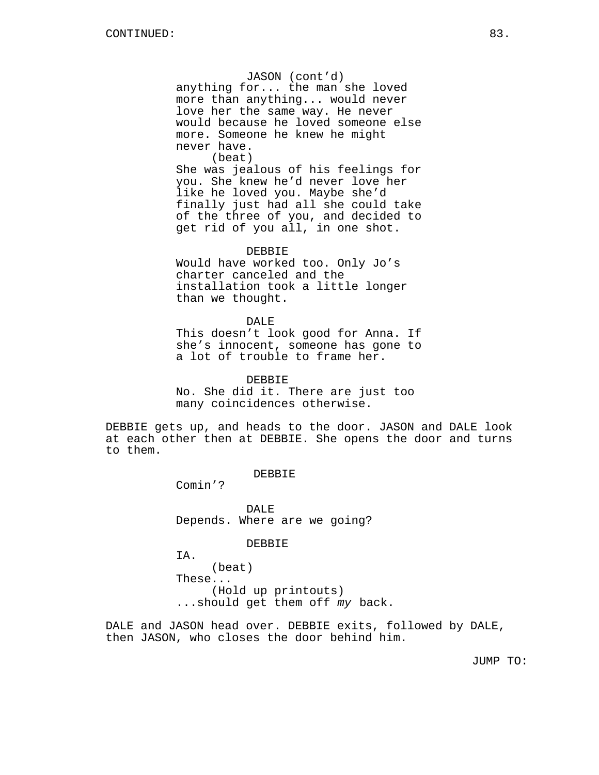JASON (cont'd) anything for... the man she loved more than anything... would never love her the same way. He never would because he loved someone else more. Someone he knew he might never have. (beat)

She was jealous of his feelings for you. She knew he'd never love her like he loved you. Maybe she'd finally just had all she could take of the three of you, and decided to get rid of you all, in one shot.

DEBBIE

Would have worked too. Only Jo's charter canceled and the installation took a little longer than we thought.

#### DALE

This doesn't look good for Anna. If she's innocent, someone has gone to a lot of trouble to frame her.

DEBBIE No. She did it. There are just too many coincidences otherwise.

DEBBIE gets up, and heads to the door. JASON and DALE look at each other then at DEBBIE. She opens the door and turns to them.

DEBBIE

Comin'?

DALE Depends. Where are we going?

DEBBIE

IA.

(beat) These... (Hold up printouts) ...should get them off my back.

DALE and JASON head over. DEBBIE exits, followed by DALE, then JASON, who closes the door behind him.

JUMP TO: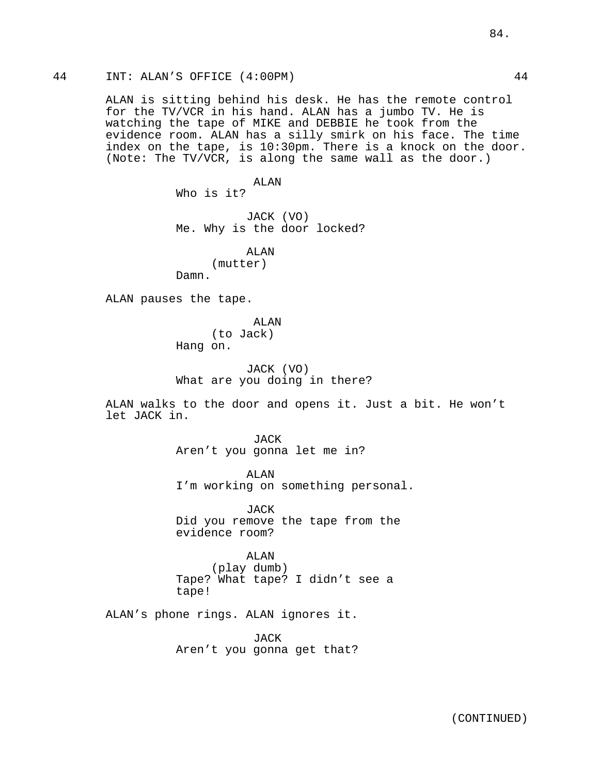ALAN is sitting behind his desk. He has the remote control for the TV/VCR in his hand. ALAN has a jumbo TV. He is watching the tape of MIKE and DEBBIE he took from the evidence room. ALAN has a silly smirk on his face. The time index on the tape, is 10:30pm. There is a knock on the door. (Note: The TV/VCR, is along the same wall as the door.)

ALAN

Who is it?

JACK (VO) Me. Why is the door locked?

ALAN (mutter) Damn.

ALAN pauses the tape.

ALAN (to Jack) Hang on.

JACK (VO) What are you doing in there?

ALAN walks to the door and opens it. Just a bit. He won't let JACK in.

> **JACK** Aren't you gonna let me in?

ALAN I'm working on something personal.

JACK Did you remove the tape from the evidence room?

ALAN (play dumb) Tape? What tape? I didn't see a tape!

ALAN's phone rings. ALAN ignores it.

JACK Aren't you gonna get that?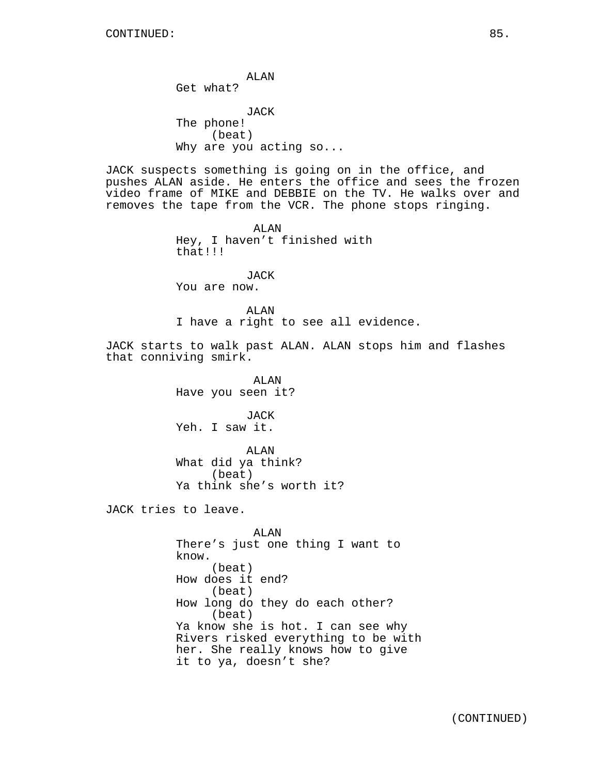ALAN Get what? JACK The phone! (beat) Why are you acting so... JACK suspects something is going on in the office, and pushes ALAN aside. He enters the office and sees the frozen video frame of MIKE and DEBBIE on the TV. He walks over and removes the tape from the VCR. The phone stops ringing. ALAN Hey, I haven't finished with that!!! JACK You are now. ALAN I have a right to see all evidence. JACK starts to walk past ALAN. ALAN stops him and flashes that conniving smirk. ALAN Have you seen it? JACK Yeh. I saw it. ALAN What did ya think? (beat) Ya think she's worth it? JACK tries to leave. ALAN There's just one thing I want to know. (beat) How does it end? (beat) How long do they do each other? (beat)

Ya know she is hot. I can see why Rivers risked everything to be with her. She really knows how to give it to ya, doesn't she?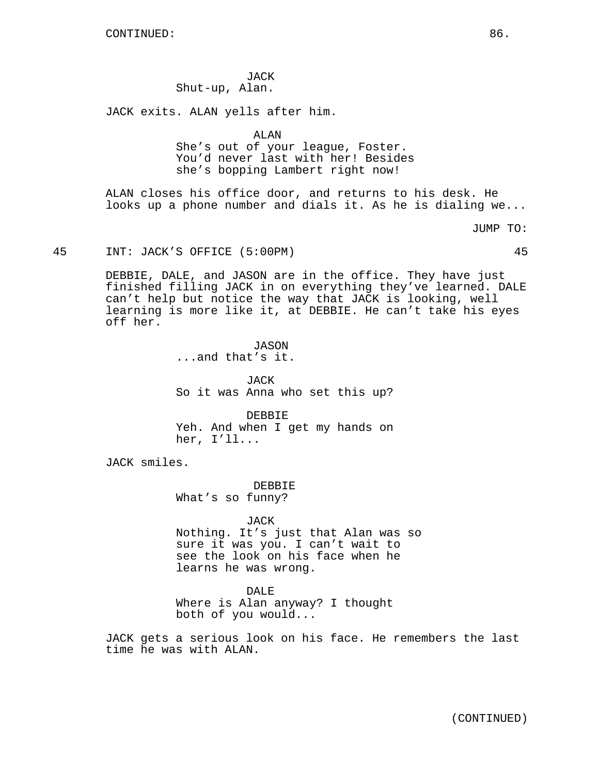JACK Shut-up, Alan.

JACK exits. ALAN yells after him.

ALAN

She's out of your league, Foster. You'd never last with her! Besides she's bopping Lambert right now!

ALAN closes his office door, and returns to his desk. He looks up a phone number and dials it. As he is dialing we...

JUMP TO:

# 45 INT: JACK'S OFFICE (5:00PM) 45

DEBBIE, DALE, and JASON are in the office. They have just finished filling JACK in on everything they've learned. DALE can't help but notice the way that JACK is looking, well learning is more like it, at DEBBIE. He can't take his eyes off her.

> JASON ...and that's it.

JACK So it was Anna who set this up?

DEBBIE Yeh. And when I get my hands on her, I'll...

JACK smiles.

DEBBIE What's so funny?

JACK Nothing. It's just that Alan was so sure it was you. I can't wait to see the look on his face when he learns he was wrong.

DALE Where is Alan anyway? I thought both of you would...

JACK gets a serious look on his face. He remembers the last time he was with ALAN.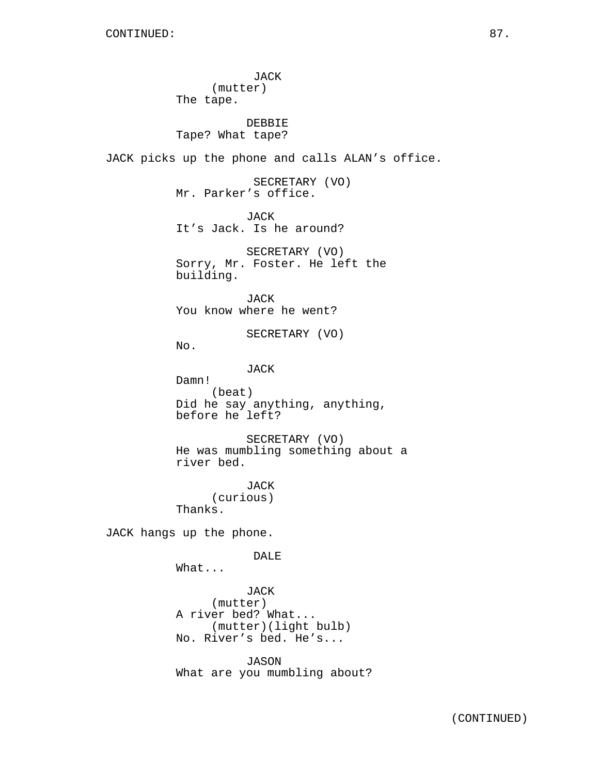JACK (mutter) The tape. DEBBIE Tape? What tape? JACK picks up the phone and calls ALAN's office. SECRETARY (VO) Mr. Parker's office. JACK It's Jack. Is he around? SECRETARY (VO) Sorry, Mr. Foster. He left the building. JACK You know where he went? SECRETARY (VO) No. JACK Damn! (beat) Did he say anything, anything, before he left? SECRETARY (VO) He was mumbling something about a river bed. JACK (curious) Thanks. JACK hangs up the phone. DALE What... JACK (mutter) A river bed? What... (mutter)(light bulb) No. River's bed. He's... JASON What are you mumbling about?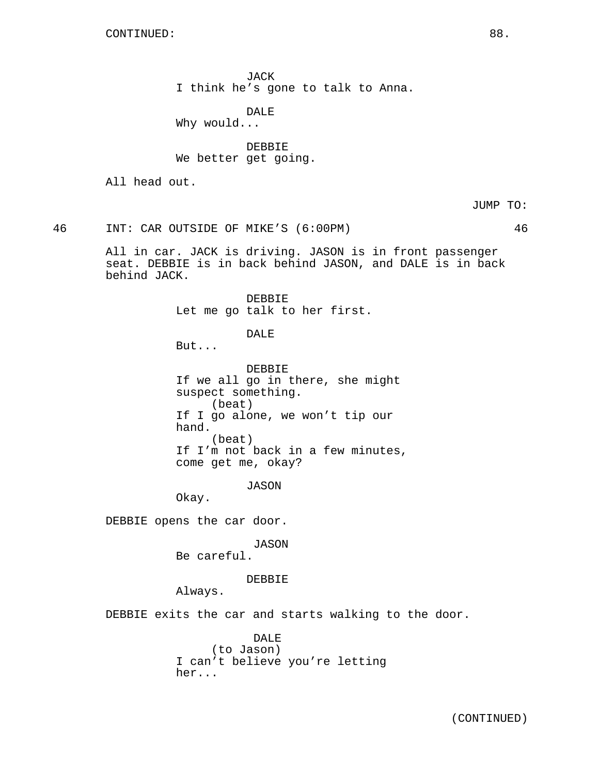JACK I think he's gone to talk to Anna.

DALE Why would...

DEBBIE We better get going.

All head out.

JUMP TO:

46 INT: CAR OUTSIDE OF MIKE'S (6:00PM) 46

All in car. JACK is driving. JASON is in front passenger seat. DEBBIE is in back behind JASON, and DALE is in back behind JACK.

> DEBBIE Let me go talk to her first.

> > DALE

But...

DEBBIE If we all go in there, she might suspect something. (beat) If I go alone, we won't tip our hand. (beat) If I'm not back in a few minutes, come get me, okay?

JASON

Okay.

DEBBIE opens the car door.

JASON

Be careful.

DEBBIE

Always.

DEBBIE exits the car and starts walking to the door.

DALE (to Jason) I can't believe you're letting her...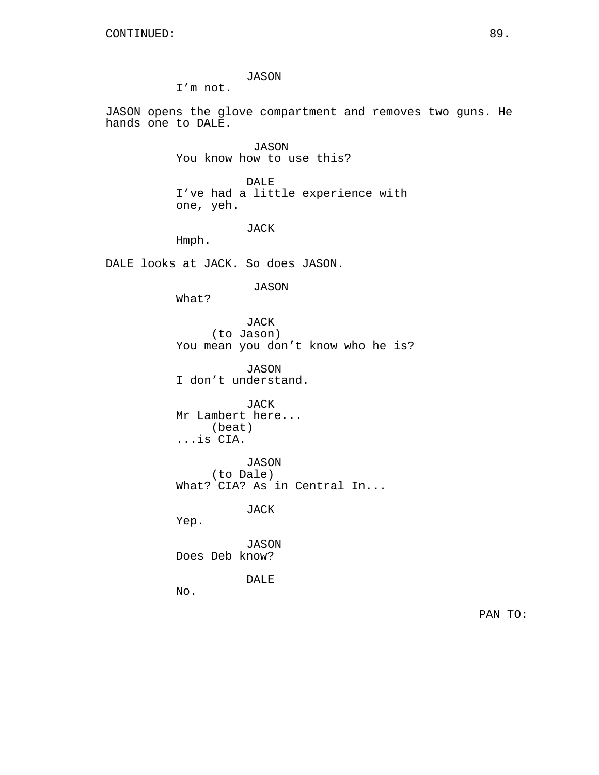JASON

I'm not.

JASON opens the glove compartment and removes two guns. He hands one to DALE.

> JASON You know how to use this?

DALE I've had a little experience with one, yeh.

JACK

Hmph.

DALE looks at JACK. So does JASON.

JASON

What?

JACK (to Jason) You mean you don't know who he is?

JASON I don't understand.

JACK Mr Lambert here... (beat) ...is CIA.

JASON (to Dale) What? CIA? As in Central In...

JACK

Yep.

JASON Does Deb know?

DALE

No.

PAN TO: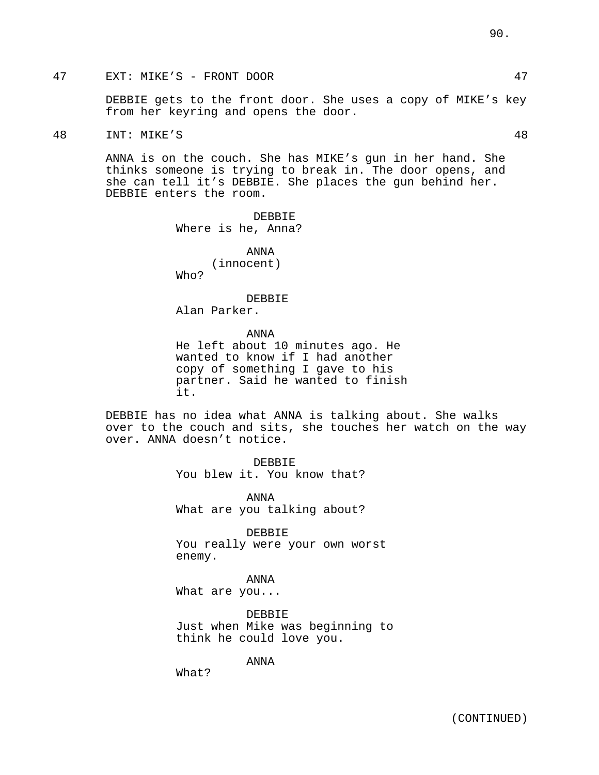# 47 EXT: MIKE'S - FRONT DOOR 47

DEBBIE gets to the front door. She uses a copy of MIKE's key from her keyring and opens the door.

48 INT: MIKE'S 48

ANNA is on the couch. She has MIKE's gun in her hand. She thinks someone is trying to break in. The door opens, and she can tell it's DEBBIE. She places the gun behind her. DEBBIE enters the room.

> DEBBIE Where is he, Anna?

> > ANNA (innocent)

Who?

DEBBIE

Alan Parker.

ANNA

He left about 10 minutes ago. He wanted to know if I had another copy of something I gave to his partner. Said he wanted to finish it.

DEBBIE has no idea what ANNA is talking about. She walks over to the couch and sits, she touches her watch on the way over. ANNA doesn't notice.

> DEBBIE You blew it. You know that?

> ANNA What are you talking about?

DEBBIE You really were your own worst enemy.

ANNA What are you...

DEBBIE Just when Mike was beginning to think he could love you.

ANNA

What?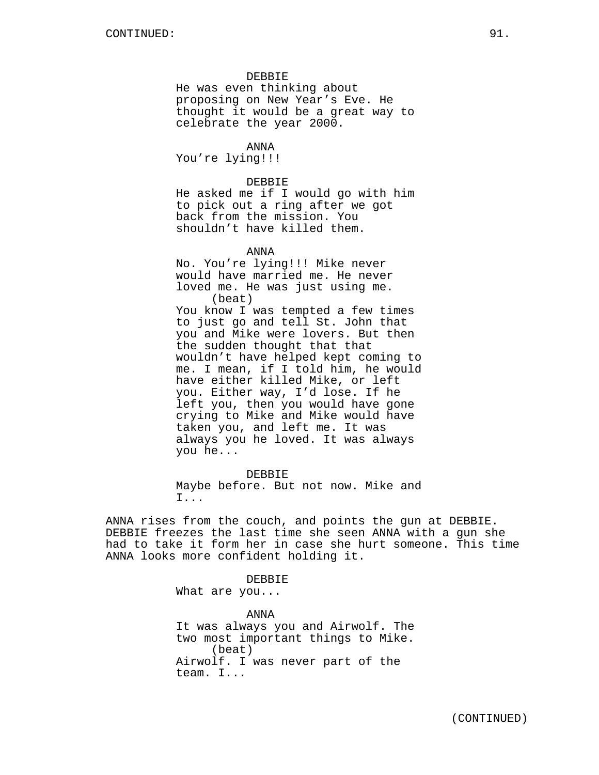# DEBBIE

He was even thinking about proposing on New Year's Eve. He thought it would be a great way to celebrate the year 2000.

ANNA You're lying!!!

#### DEBBIE

He asked me if I would go with him to pick out a ring after we got back from the mission. You shouldn't have killed them.

ANNA

No. You're lying!!! Mike never would have married me. He never loved me. He was just using me. (beat) You know I was tempted a few times to just go and tell St. John that you and Mike were lovers. But then the sudden thought that that wouldn't have helped kept coming to me. I mean, if I told him, he would have either killed Mike, or left you. Either way, I'd lose. If he left you, then you would have gone crying to Mike and Mike would have taken you, and left me. It was always you he loved. It was always you he...

DEBBIE Maybe before. But not now. Mike and I...

ANNA rises from the couch, and points the gun at DEBBIE. DEBBIE freezes the last time she seen ANNA with a gun she had to take it form her in case she hurt someone. This time ANNA looks more confident holding it.

DEBBIE

What are you...

ANNA It was always you and Airwolf. The two most important things to Mike. (beat) Airwolf. I was never part of the team. I...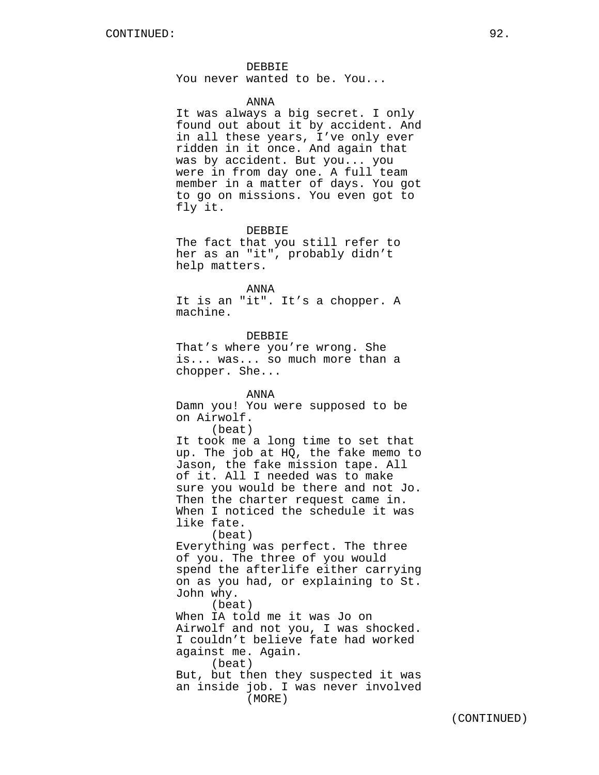# DEBBIE

You never wanted to be. You...

#### ANNA

It was always a big secret. I only found out about it by accident. And in all these years, I've only ever ridden in it once. And again that was by accident. But you... you were in from day one. A full team member in a matter of days. You got to go on missions. You even got to fly it.

### DEBBIE

The fact that you still refer to her as an "it", probably didn't help matters.

#### ANNA

It is an "it". It's a chopper. A machine.

#### DEBBIE

That's where you're wrong. She is... was... so much more than a chopper. She...

#### ANNA

Damn you! You were supposed to be on Airwolf.

(beat)

It took me a long time to set that up. The job at HQ, the fake memo to Jason, the fake mission tape. All of it. All I needed was to make sure you would be there and not Jo. Then the charter request came in. When I noticed the schedule it was like fate.

(beat)

Everything was perfect. The three of you. The three of you would spend the afterlife either carrying on as you had, or explaining to St. John why.

(beat) When IA told me it was Jo on Airwolf and not you, I was shocked. I couldn't believe fate had worked against me. Again. (beat)

But, but then they suspected it was an inside job. I was never involved (MORE)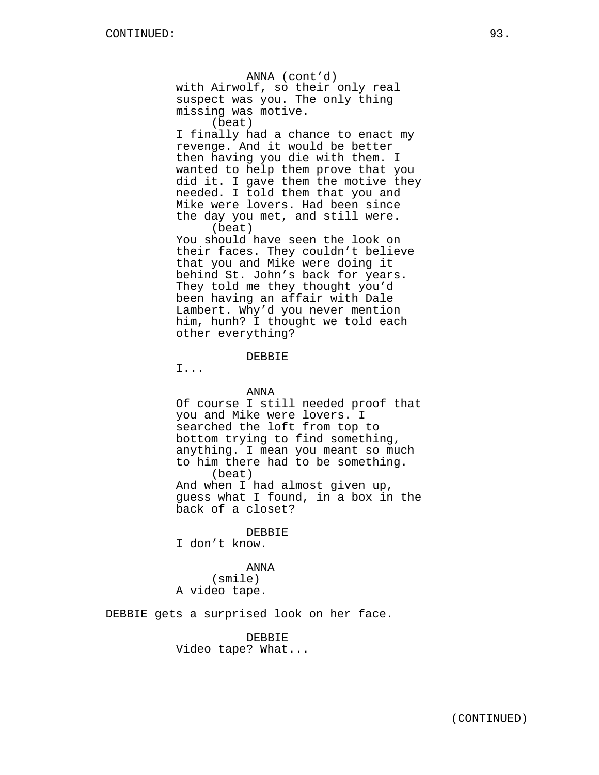ANNA (cont'd) with Airwolf, so their only real suspect was you. The only thing missing was motive. (beat) I finally had a chance to enact my revenge. And it would be better then having you die with them. I wanted to help them prove that you did it. I gave them the motive they needed. I told them that you and Mike were lovers. Had been since the day you met, and still were. (beat) You should have seen the look on their faces. They couldn't believe that you and Mike were doing it behind St. John's back for years.

They told me they thought you'd been having an affair with Dale Lambert. Why'd you never mention him, hunh? I thought we told each other everything?

DEBBIE

I...

### ANNA

Of course I still needed proof that you and Mike were lovers. I searched the loft from top to bottom trying to find something, anything. I mean you meant so much to him there had to be something. (beat) And when I had almost given up, guess what I found, in a box in the back of a closet?

#### DEBBIE

I don't know.

### ANNA

(smile) A video tape.

DEBBIE gets a surprised look on her face.

DEBBIE Video tape? What...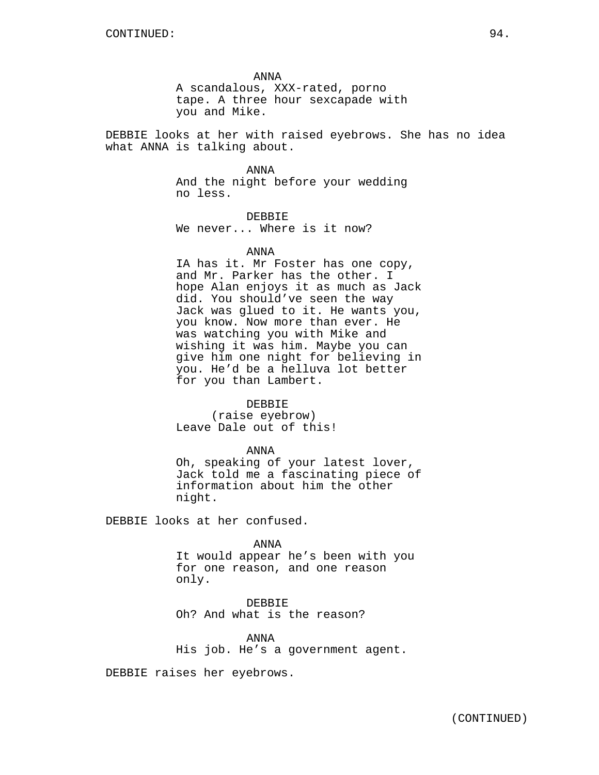ANNA

A scandalous, XXX-rated, porno tape. A three hour sexcapade with you and Mike.

DEBBIE looks at her with raised eyebrows. She has no idea what ANNA is talking about.

#### ANNA

And the night before your wedding no less.

DEBBIE We never... Where is it now?

#### ANNA

IA has it. Mr Foster has one copy, and Mr. Parker has the other. I hope Alan enjoys it as much as Jack did. You should've seen the way Jack was glued to it. He wants you, you know. Now more than ever. He was watching you with Mike and wishing it was him. Maybe you can give him one night for believing in you. He'd be a helluva lot better for you than Lambert.

#### DEBBIE

(raise eyebrow) Leave Dale out of this!

#### ANNA

Oh, speaking of your latest lover, Jack told me a fascinating piece of information about him the other night.

DEBBIE looks at her confused.

#### ANNA

It would appear he's been with you for one reason, and one reason only.

DEBBIE Oh? And what is the reason?

ANNA His job. He's a government agent.

DEBBIE raises her eyebrows.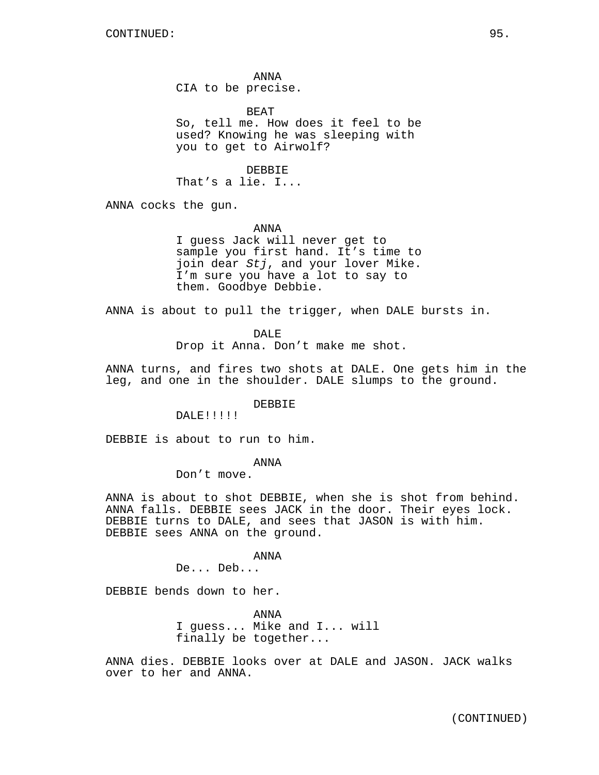ANNA CIA to be precise.

BEAT So, tell me. How does it feel to be used? Knowing he was sleeping with you to get to Airwolf?

DEBBIE That's a lie. I...

ANNA cocks the gun.

ANNA

I guess Jack will never get to sample you first hand. It's time to join dear Stj, and your lover Mike. I'm sure you have a lot to say to them. Goodbye Debbie.

ANNA is about to pull the trigger, when DALE bursts in.

DALE<sup>1</sup>

Drop it Anna. Don't make me shot.

ANNA turns, and fires two shots at DALE. One gets him in the leg, and one in the shoulder. DALE slumps to the ground.

DEBBIE

DALE!!!!!

DEBBIE is about to run to him.

ANNA

Don't move.

ANNA is about to shot DEBBIE, when she is shot from behind. ANNA falls. DEBBIE sees JACK in the door. Their eyes lock. DEBBIE turns to DALE, and sees that JASON is with him. DEBBIE sees ANNA on the ground.

ANNA

De... Deb...

DEBBIE bends down to her.

ANNA I guess... Mike and I... will finally be together...

ANNA dies. DEBBIE looks over at DALE and JASON. JACK walks over to her and ANNA.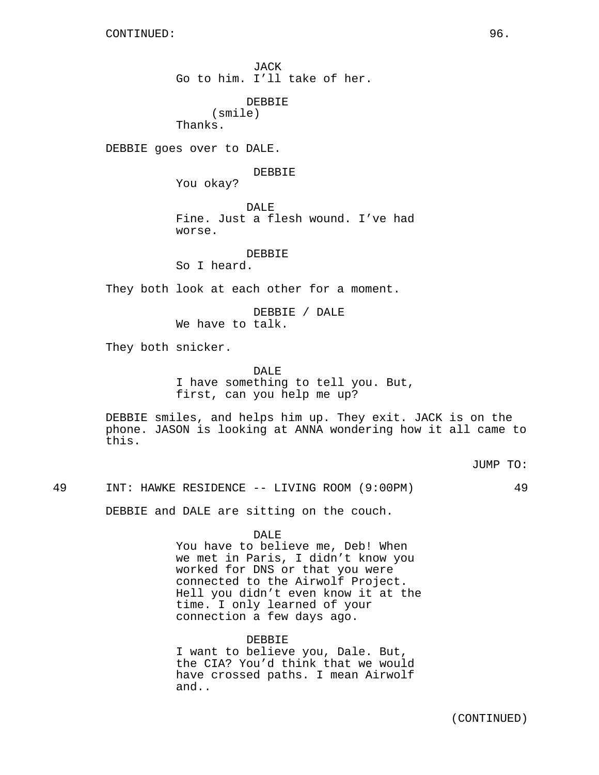JACK Go to him. I'll take of her.

DEBBIE

(smile) Thanks.

DEBBIE goes over to DALE.

DEBBIE

You okay?

DALE<sup>1</sup> Fine. Just a flesh wound. I've had worse.

DEBBIE

So I heard.

They both look at each other for a moment.

DEBBIE / DALE We have to talk.

They both snicker.

DALE

I have something to tell you. But, first, can you help me up?

DEBBIE smiles, and helps him up. They exit. JACK is on the phone. JASON is looking at ANNA wondering how it all came to this.

JUMP TO:

49 INT: HAWKE RESIDENCE -- LIVING ROOM (9:00PM) 49

DEBBIE and DALE are sitting on the couch.

DALE

You have to believe me, Deb! When we met in Paris, I didn't know you worked for DNS or that you were connected to the Airwolf Project. Hell you didn't even know it at the time. I only learned of your connection a few days ago.

DEBBIE

I want to believe you, Dale. But, the CIA? You'd think that we would have crossed paths. I mean Airwolf and..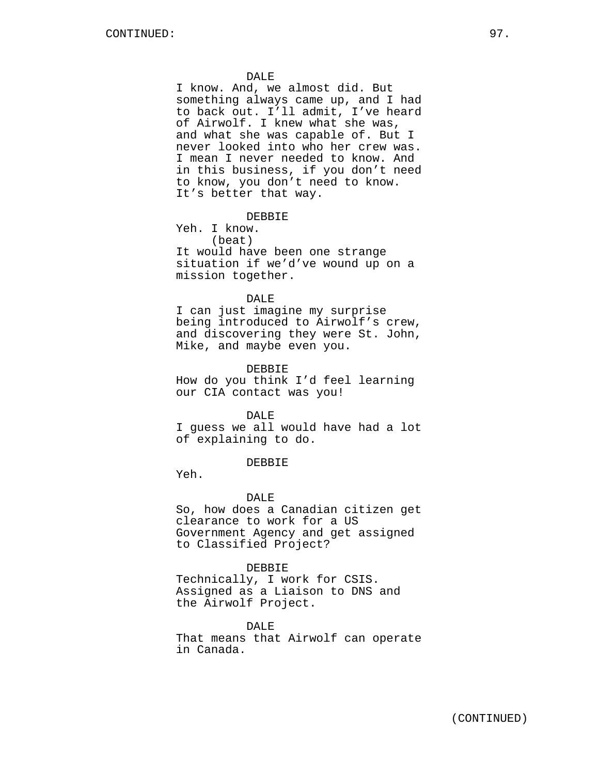#### DALE

I know. And, we almost did. But something always came up, and I had to back out. I'll admit, I've heard of Airwolf. I knew what she was, and what she was capable of. But I never looked into who her crew was. I mean I never needed to know. And in this business, if you don't need to know, you don't need to know. It's better that way.

### DEBBIE

Yeh. I know. (beat) It would have been one strange situation if we'd've wound up on a mission together.

#### DALE

I can just imagine my surprise being introduced to Airwolf's crew, and discovering they were St. John, Mike, and maybe even you.

#### DEBBIE

How do you think I'd feel learning our CIA contact was you!

#### DALE

I guess we all would have had a lot of explaining to do.

### DEBBIE

Yeh.

#### DALE

So, how does a Canadian citizen get clearance to work for a US Government Agency and get assigned to Classified Project?

#### DEBBIE

Technically, I work for CSIS. Assigned as a Liaison to DNS and the Airwolf Project.

### DALE

That means that Airwolf can operate in Canada.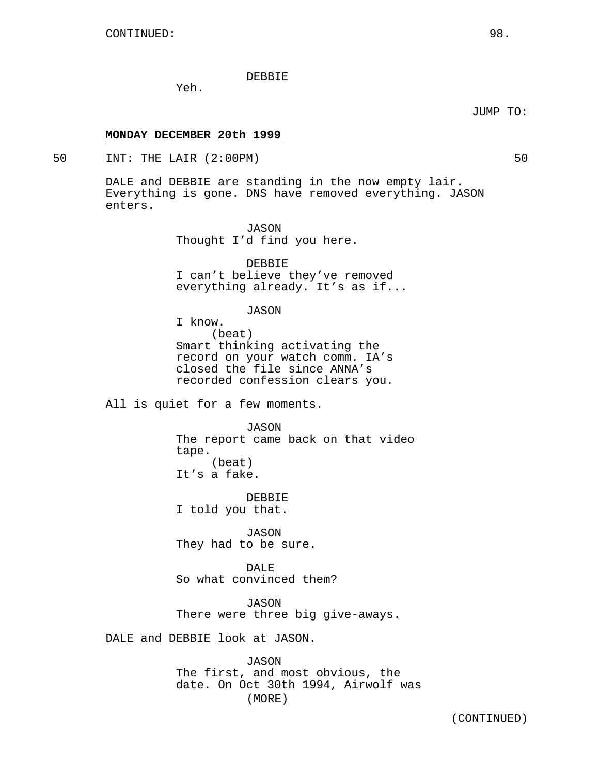DEBBIE

Yeh.

**MONDAY DECEMBER 20th 1999**

50 INT: THE LAIR (2:00PM) 50

DALE and DEBBIE are standing in the now empty lair. Everything is gone. DNS have removed everything. JASON enters.

> JASON Thought I'd find you here.

DEBBIE I can't believe they've removed everything already. It's as if...

JASON

I know. (beat) Smart thinking activating the record on your watch comm. IA's closed the file since ANNA's recorded confession clears you.

All is quiet for a few moments.

JASON The report came back on that video tape. (beat)

It's a fake.

DEBBIE I told you that.

JASON They had to be sure.

DALE So what convinced them?

JASON There were three big give-aways.

DALE and DEBBIE look at JASON.

JASON The first, and most obvious, the date. On Oct 30th 1994, Airwolf was (MORE)

JUMP TO: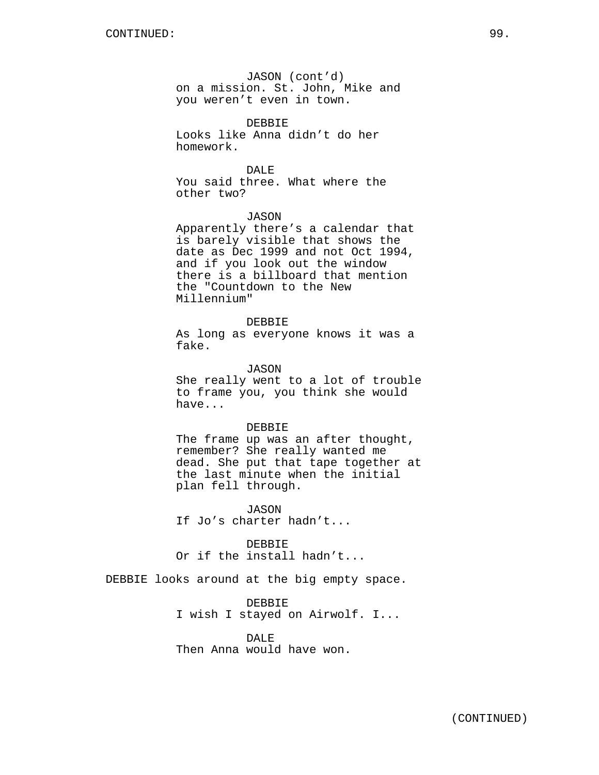JASON (cont'd) on a mission. St. John, Mike and you weren't even in town.

DEBBIE Looks like Anna didn't do her homework.

DALE You said three. What where the other two?

### JASON

Apparently there's a calendar that is barely visible that shows the date as Dec 1999 and not Oct 1994, and if you look out the window there is a billboard that mention the "Countdown to the New Millennium"

DEBBIE

As long as everyone knows it was a fake.

JASON

She really went to a lot of trouble to frame you, you think she would have...

#### DEBBIE

The frame up was an after thought, remember? She really wanted me dead. She put that tape together at the last minute when the initial plan fell through.

JASON If Jo's charter hadn't...

DEBBIE Or if the install hadn't...

DEBBIE looks around at the big empty space.

DEBBIE I wish I stayed on Airwolf. I...

DALE Then Anna would have won.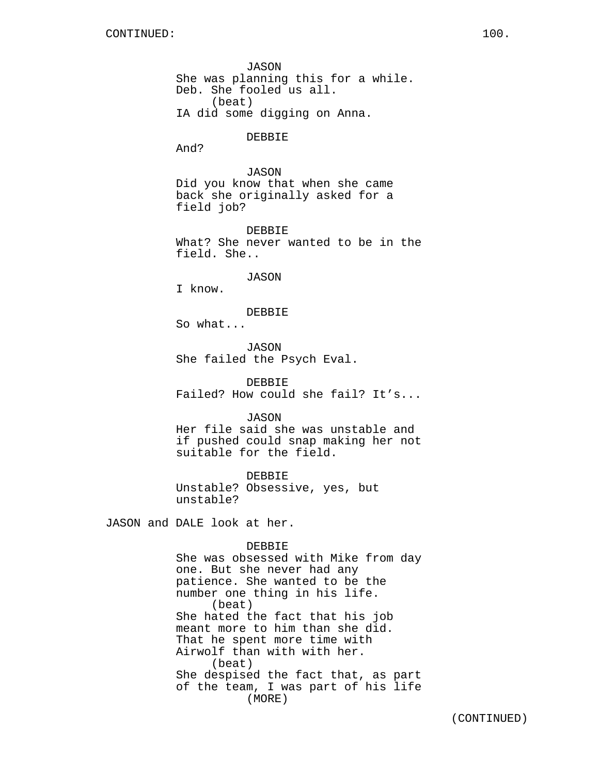JASON She was planning this for a while. Deb. She fooled us all. (beat) IA did some digging on Anna.

#### DEBBIE

And?

## JASON

Did you know that when she came back she originally asked for a field job?

DEBBIE What? She never wanted to be in the field. She..

### JASON

I know.

# DEBBIE

So what...

JASON She failed the Psych Eval.

DEBBIE Failed? How could she fail? It's...

### JASON

Her file said she was unstable and if pushed could snap making her not suitable for the field.

DEBBIE

Unstable? Obsessive, yes, but unstable?

JASON and DALE look at her.

#### DEBBIE

She was obsessed with Mike from day one. But she never had any patience. She wanted to be the number one thing in his life. (beat) She hated the fact that his job meant more to him than she did. That he spent more time with Airwolf than with with her. (beat) She despised the fact that, as part of the team, I was part of his life (MORE)